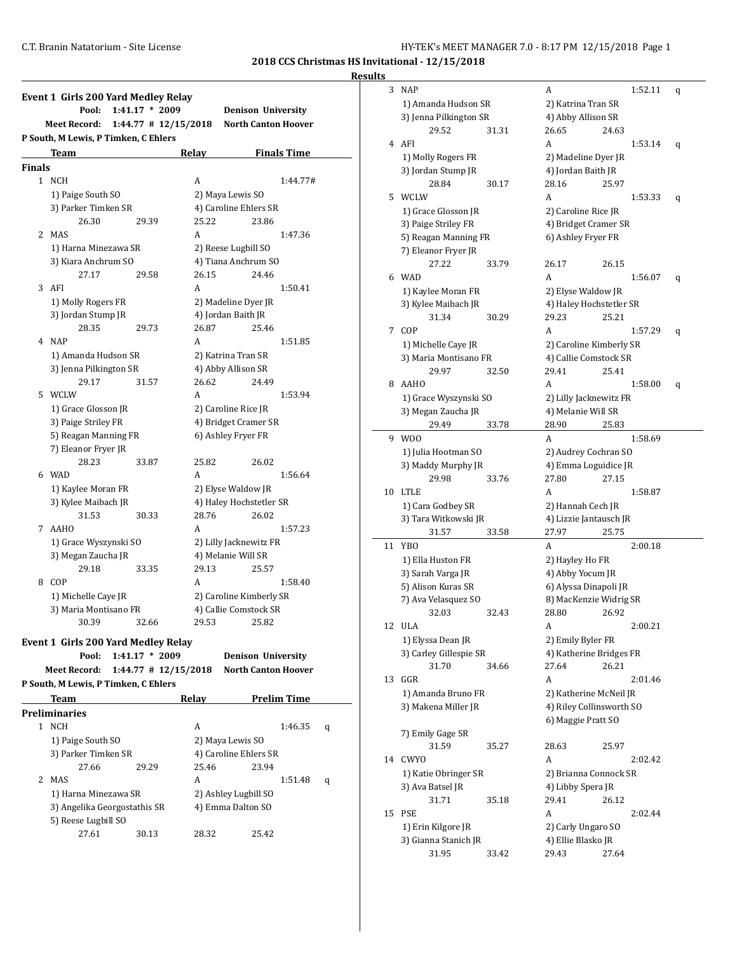#### **Results**

|               | <b>Event 1 Girls 200 Yard Medley Relay</b><br>Pool: | $1:41.17 * 2009$         |              | <b>Denison University</b>  |
|---------------|-----------------------------------------------------|--------------------------|--------------|----------------------------|
|               | <b>Meet Record:</b>                                 | $1:44.77$ # $12/15/2018$ |              | <b>North Canton Hoover</b> |
|               | P South, M Lewis, P Timken, C Ehlers                |                          |              |                            |
|               | Team                                                |                          | <b>Relay</b> | <b>Finals Time</b>         |
| <b>Finals</b> |                                                     |                          |              |                            |
| $\mathbf{1}$  | <b>NCH</b>                                          |                          | A            | 1:44.77#                   |
|               | 1) Paige South SO                                   |                          |              | 2) Maya Lewis SO           |
|               | 3) Parker Timken SR                                 |                          |              | 4) Caroline Ehlers SR      |
|               | 26.30                                               | 29.39                    | 25.22        | 23.86                      |
| 2             | MAS                                                 |                          | A            | 1:47.36                    |
|               | 1) Harna Minezawa SR                                |                          |              | 2) Reese Lugbill SO        |
|               | 3) Kiara Anchrum SO                                 |                          |              | 4) Tiana Anchrum SO        |
|               | 27.17                                               | 29.58                    | 26.15        | 24.46                      |
| 3             | AFI                                                 |                          | A            | 1:50.41                    |
|               | 1) Molly Rogers FR                                  |                          |              | 2) Madeline Dyer JR        |
|               | 3) Jordan Stump JR                                  |                          |              | 4) Jordan Baith JR         |
|               | 28.35                                               | 29.73                    | 26.87        | 25.46                      |
|               | 4 NAP                                               |                          | A            | 1:51.85                    |
|               | 1) Amanda Hudson SR                                 |                          |              | 2) Katrina Tran SR         |
|               | 3) Jenna Pilkington SR                              |                          |              | 4) Abby Allison SR         |
|               | 29.17                                               | 31.57                    | 26.62        | 24.49                      |
| 5             | WCLW                                                |                          | A            | 1:53.94                    |
|               | 1) Grace Glosson JR                                 |                          |              | 2) Caroline Rice JR        |
|               | 3) Paige Striley FR                                 |                          |              | 4) Bridget Cramer SR       |
|               | 5) Reagan Manning FR                                |                          |              | 6) Ashley Fryer FR         |
|               | 7) Eleanor Fryer JR                                 |                          |              |                            |
|               | 28.23                                               | 33.87                    | 25.82        | 26.02                      |
| 6             | WAD                                                 |                          | A            | 1:56.64                    |
|               | 1) Kaylee Moran FR                                  |                          |              | 2) Elyse Waldow JR         |
|               | 3) Kylee Maibach JR                                 |                          |              | 4) Haley Hochstetler SR    |
|               | 31.53                                               | 30.33                    | 28.76        | 26.02                      |
| 7             | <b>AAHO</b>                                         |                          | A            | 1:57.23                    |
|               | 1) Grace Wyszynski SO                               |                          |              | 2) Lilly Jacknewitz FR     |
|               | 3) Megan Zaucha JR                                  |                          |              | 4) Melanie Will SR         |
|               | 29.18                                               | 33.35                    | 29.13        | 25.57                      |
| 8             | COP                                                 |                          | A            | 1:58.40                    |
|               | 1) Michelle Caye JR                                 |                          |              | 2) Caroline Kimberly SR    |
|               | 3) Maria Montisano FR                               |                          |              | 4) Callie Comstock SR      |
|               | 30.39                                               | 32.66                    | 29.53        | 25.82                      |

**Pool: 1:41.17 \* 2009 Denison University Meet Record: 1:44.77 # 12/15/2018 North Canton Hoover**

**P South, M Lewis, P Timken, C Ehlers**

|   | <b>Team</b>                  |       | Relav                 | <b>Prelim Time</b> |   |
|---|------------------------------|-------|-----------------------|--------------------|---|
|   | Preliminaries                |       |                       |                    |   |
|   | <b>NCH</b>                   |       | A                     | 1:46.35            | q |
|   | 1) Paige South SO            |       | 2) Maya Lewis SO      |                    |   |
|   | 3) Parker Timken SR          |       | 4) Caroline Ehlers SR |                    |   |
|   | 27.66                        | 29.29 | 25.46                 | 23.94              |   |
| 2 | <b>MAS</b>                   |       | A                     | 1:51.48            | q |
|   | 1) Harna Minezawa SR         |       | 2) Ashley Lugbill SO  |                    |   |
|   | 3) Angelika Georgostathis SR |       | 4) Emma Dalton SO     |                    |   |
|   | 5) Reese Lugbill SO          |       |                       |                    |   |
|   | 27.61                        | 30.13 | 28.32                 | 25.42              |   |
|   |                              |       |                       |                    |   |

| S  |                        |       |                          |       |         |   |
|----|------------------------|-------|--------------------------|-------|---------|---|
| 3  | <b>NAP</b>             |       | A                        |       | 1:52.11 | q |
|    | 1) Amanda Hudson SR    |       | 2) Katrina Tran SR       |       |         |   |
|    | 3) Jenna Pilkington SR |       | 4) Abby Allison SR       |       |         |   |
|    | 29.52                  | 31.31 | 26.65                    | 24.63 |         |   |
| 4  | AFI                    |       | A                        |       | 1:53.14 |   |
|    |                        |       |                          |       |         | q |
|    | 1) Molly Rogers FR     |       | 2) Madeline Dyer JR      |       |         |   |
|    | 3) Jordan Stump JR     |       | 4) Jordan Baith JR       |       |         |   |
|    | 28.84                  | 30.17 | 28.16                    | 25.97 |         |   |
| 5  | WCLW                   |       | A                        |       | 1:53.33 | q |
|    | 1) Grace Glosson JR    |       | 2) Caroline Rice JR      |       |         |   |
|    | 3) Paige Striley FR    |       | 4) Bridget Cramer SR     |       |         |   |
|    | 5) Reagan Manning FR   |       | 6) Ashley Fryer FR       |       |         |   |
|    | 7) Eleanor Fryer JR    |       |                          |       |         |   |
|    | 27.22                  | 33.79 | 26.17                    | 26.15 |         |   |
| 6  | <b>WAD</b>             |       | A                        |       | 1:56.07 | q |
|    | 1) Kaylee Moran FR     |       | 2) Elyse Waldow JR       |       |         |   |
|    | 3) Kylee Maibach JR    |       | 4) Haley Hochstetler SR  |       |         |   |
|    | 31.34                  | 30.29 | 29.23                    | 25.21 |         |   |
| 7  | COP                    |       | A                        |       | 1:57.29 | q |
|    | 1) Michelle Caye JR    |       | 2) Caroline Kimberly SR  |       |         |   |
|    | 3) Maria Montisano FR  |       | 4) Callie Comstock SR    |       |         |   |
|    | 29.97                  | 32.50 | 29.41                    | 25.41 |         |   |
| 8  | AAHO                   |       | A                        |       | 1:58.00 |   |
|    |                        |       |                          |       |         | q |
|    | 1) Grace Wyszynski SO  |       | 2) Lilly Jacknewitz FR   |       |         |   |
|    | 3) Megan Zaucha JR     |       | 4) Melanie Will SR       |       |         |   |
|    | 29.49                  | 33.78 | 28.90                    | 25.83 |         |   |
| 9  | W <sub>0</sub>         |       | A                        |       | 1:58.69 |   |
|    | 1) Julia Hootman SO    |       | 2) Audrey Cochran SO     |       |         |   |
|    | 3) Maddy Murphy JR     |       | 4) Emma Loguidice JR     |       |         |   |
|    | 29.98                  | 33.76 | 27.80                    | 27.15 |         |   |
| 10 | <b>LTLE</b>            |       | A                        |       | 1:58.87 |   |
|    | 1) Cara Godbey SR      |       | 2) Hannah Cech JR        |       |         |   |
|    | 3) Tara Witkowski JR   |       | 4) Lizzie Jantausch JR   |       |         |   |
|    | 31.57                  | 33.58 | 27.97                    | 25.75 |         |   |
| 11 | YBO                    |       | A                        |       | 2:00.18 |   |
|    | 1) Ella Huston FR      |       | 2) Hayley Ho FR          |       |         |   |
|    | 3) Sarah Varga JR      |       | 4) Abby Yocum JR         |       |         |   |
|    | 5) Alison Kuras SR     |       | 6) Alyssa Dinapoli JR    |       |         |   |
|    | 7) Ava Velasquez SO    |       | 8) MacKenzie Widrig SR   |       |         |   |
|    | 32.03                  | 32.43 | 28.80 26.92              |       |         |   |
| 12 | ULA                    |       | A                        |       | 2:00.21 |   |
|    | 1) Elyssa Dean JR      |       | 2) Emily Byler FR        |       |         |   |
|    | 3) Carley Gillespie SR |       | 4) Katherine Bridges FR  |       |         |   |
|    | 31.70                  | 34.66 | 27.64                    | 26.21 |         |   |
| 13 | GGR                    |       | A                        |       | 2:01.46 |   |
|    | 1) Amanda Bruno FR     |       | 2) Katherine McNeil JR   |       |         |   |
|    | 3) Makena Miller JR    |       | 4) Riley Collinsworth SO |       |         |   |
|    |                        |       | 6) Maggie Pratt SO       |       |         |   |
|    | 7) Emily Gage SR       |       |                          |       |         |   |
|    | 31.59                  | 35.27 | 28.63                    | 25.97 |         |   |
|    | <b>CWYO</b>            |       | A                        |       |         |   |
| 14 |                        |       |                          |       | 2:02.42 |   |
|    | 1) Katie Obringer SR   |       | 2) Brianna Connock SR    |       |         |   |
|    | 3) Ava Batsel JR       |       | 4) Libby Spera JR        |       |         |   |
|    | 31.71                  | 35.18 | 29.41                    | 26.12 |         |   |
| 15 | <b>PSE</b>             |       | A                        |       | 2:02.44 |   |
|    | 1) Erin Kilgore JR     |       | 2) Carly Ungaro SO       |       |         |   |
|    | 3) Gianna Stanich JR   |       | 4) Ellie Blasko JR       |       |         |   |
|    | 31.95                  | 33.42 | 29.43                    | 27.64 |         |   |
|    |                        |       |                          |       |         |   |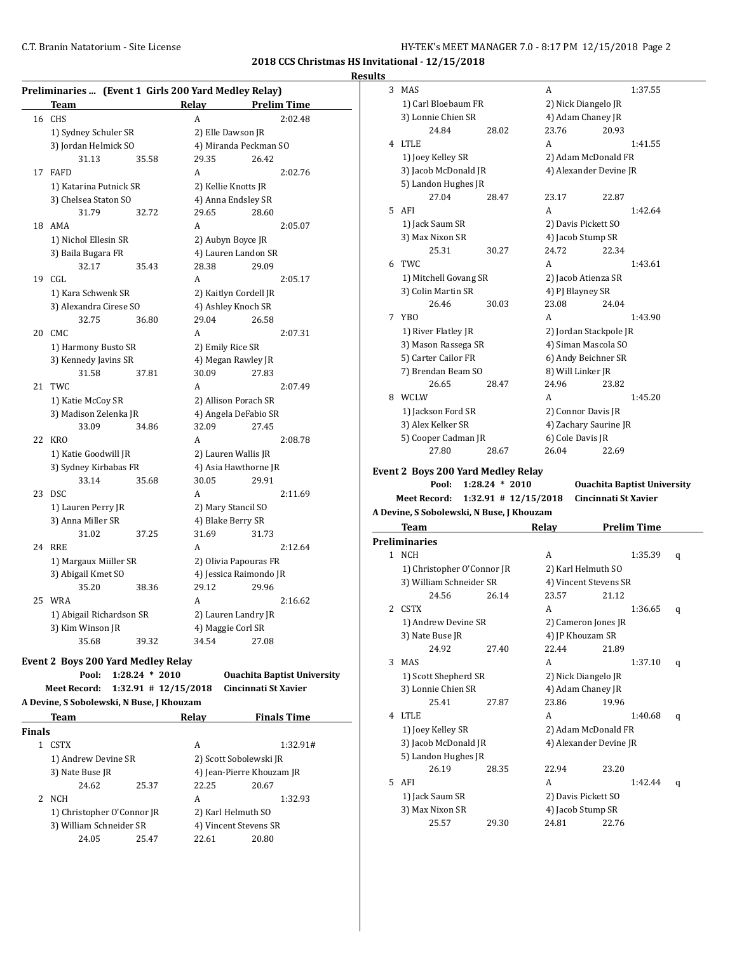| <b>Results</b> |  |
|----------------|--|
|                |  |

|    | Preliminaries  (Event 1 Girls 200 Yard Medley Relay) |       |                     |                        |
|----|------------------------------------------------------|-------|---------------------|------------------------|
|    | Team                                                 |       | Relay               | <b>Prelim Time</b>     |
| 16 | <b>CHS</b>                                           |       | A                   | 2:02.48                |
|    | 1) Sydney Schuler SR                                 |       | 2) Elle Dawson JR   |                        |
|    | 3) Jordan Helmick SO                                 |       |                     | 4) Miranda Peckman SO  |
|    | 31.13                                                | 35.58 | 29.35               | 26.42                  |
| 17 | <b>FAFD</b>                                          |       | A                   | 2:02.76                |
|    | 1) Katarina Putnick SR                               |       | 2) Kellie Knotts JR |                        |
|    | 3) Chelsea Staton SO                                 |       |                     | 4) Anna Endsley SR     |
|    | 31.79                                                | 32.72 | 29.65               | 28.60                  |
| 18 | AMA                                                  |       | A                   | 2:05.07                |
|    | 1) Nichol Ellesin SR                                 |       | 2) Aubyn Boyce JR   |                        |
|    | 3) Baila Bugara FR                                   |       |                     | 4) Lauren Landon SR    |
|    | 32.17                                                | 35.43 | 28.38               | 29.09                  |
| 19 | CGL                                                  |       | A                   | 2:05.17                |
|    | 1) Kara Schwenk SR                                   |       |                     | 2) Kaitlyn Cordell JR  |
|    | 3) Alexandra Cirese SO                               |       |                     | 4) Ashley Knoch SR     |
|    | 32.75                                                | 36.80 | 29.04               | 26.58                  |
| 20 | CMC.                                                 |       | A                   | 2:07.31                |
|    | 1) Harmony Busto SR                                  |       | 2) Emily Rice SR    |                        |
|    | 3) Kennedy Javins SR                                 |       |                     | 4) Megan Rawley JR     |
|    | 31.58                                                | 37.81 | 30.09               | 27.83                  |
| 21 | <b>TWC</b>                                           |       | A                   | 2:07.49                |
|    | 1) Katie McCoy SR                                    |       |                     | 2) Allison Porach SR   |
|    | 3) Madison Zelenka JR                                |       |                     | 4) Angela DeFabio SR   |
|    | 33.09                                                | 34.86 | 32.09               | 27.45                  |
| 22 | <b>KRO</b>                                           |       | A                   | 2:08.78                |
|    | 1) Katie Goodwill JR                                 |       |                     | 2) Lauren Wallis JR    |
|    | 3) Sydney Kirbabas FR                                |       |                     | 4) Asia Hawthorne JR   |
|    | 33.14                                                | 35.68 | 30.05               | 29.91                  |
| 23 | <b>DSC</b>                                           |       | A                   | 2:11.69                |
|    | 1) Lauren Perry JR                                   |       | 2) Mary Stancil SO  |                        |
|    | 3) Anna Miller SR                                    |       | 4) Blake Berry SR   |                        |
|    | 31.02                                                | 37.25 | 31.69               | 31.73                  |
| 24 | <b>RRE</b>                                           |       | A                   | 2:12.64                |
|    | 1) Margaux Miiller SR                                |       |                     | 2) Olivia Papouras FR  |
|    | 3) Abigail Kmet SO                                   |       |                     | 4) Jessica Raimondo JR |
|    | 35.20                                                | 38.36 | 29.12               | 29.96                  |
| 25 | <b>WRA</b>                                           |       | A                   | 2:16.62                |
|    | 1) Abigail Richardson SR                             |       |                     | 2) Lauren Landry JR    |
|    | 3) Kim Winson JR                                     |       | 4) Maggie Corl SR   |                        |
|    | 35.68                                                | 39.32 | 34.54               | 27.08                  |

#### **Event 2 Boys 200 Yard Medley Relay**

**Pool: 1:28.24 \* 2010 Ouachita Baptist University**

**Meet Record: 1:32.91 # 12/15/2018 Cincinnati St Xavier**

| A Devine, S Sobolewski, N Buse, J Khouzam |                            |       |       |                           |  |  |  |  |  |
|-------------------------------------------|----------------------------|-------|-------|---------------------------|--|--|--|--|--|
|                                           | Team                       |       | Relay | <b>Finals Time</b>        |  |  |  |  |  |
| <b>Finals</b>                             |                            |       |       |                           |  |  |  |  |  |
| 1                                         | <b>CSTX</b>                |       | A     | 1:32.91#                  |  |  |  |  |  |
|                                           | 1) Andrew Devine SR        |       |       | 2) Scott Sobolewski JR    |  |  |  |  |  |
|                                           | 3) Nate Buse JR            |       |       | 4) Jean-Pierre Khouzam JR |  |  |  |  |  |
|                                           | 24.62                      | 25.37 | 22.25 | 20.67                     |  |  |  |  |  |
| 2                                         | <b>NCH</b>                 |       | A     | 1:32.93                   |  |  |  |  |  |
|                                           | 1) Christopher O'Connor JR |       |       | 2) Karl Helmuth SO        |  |  |  |  |  |
|                                           | 3) William Schneider SR    |       |       | 4) Vincent Stevens SR     |  |  |  |  |  |
|                                           | 24.05                      | 25.47 | 22.61 | 20.80                     |  |  |  |  |  |
|                                           |                            |       |       |                           |  |  |  |  |  |

| աւա |                                           |                          |                           |                      |                                    |   |
|-----|-------------------------------------------|--------------------------|---------------------------|----------------------|------------------------------------|---|
| 3   | <b>MAS</b>                                |                          | A                         |                      | 1:37.55                            |   |
|     | 1) Carl Bloebaum FR                       |                          | 2) Nick Diangelo JR       |                      |                                    |   |
|     | 3) Lonnie Chien SR                        |                          | 4) Adam Chaney JR         |                      |                                    |   |
|     | 24.84                                     | 28.02                    | 23.76                     | 20.93                |                                    |   |
| 4   | <b>LTLE</b>                               |                          | A                         |                      | 1:41.55                            |   |
|     | 1) Joey Kelley SR                         |                          | 2) Adam McDonald FR       |                      |                                    |   |
|     | 3) Jacob McDonald JR                      |                          | 4) Alexander Devine JR    |                      |                                    |   |
|     | 5) Landon Hughes JR                       |                          |                           |                      |                                    |   |
|     | 27.04                                     | 28.47                    | 23.17                     | 22.87                |                                    |   |
| 5   | AFI                                       |                          | A                         |                      | 1:42.64                            |   |
|     | 1) Jack Saum SR                           |                          | 2) Davis Pickett SO       |                      |                                    |   |
|     | 3) Max Nixon SR                           |                          | 4) Jacob Stump SR         |                      |                                    |   |
|     | 25.31                                     | 30.27                    | 24.72                     | 22.34                |                                    |   |
| 6   | TWC                                       |                          | A                         |                      | 1:43.61                            |   |
|     | 1) Mitchell Govang SR                     |                          | 2) Jacob Atienza SR       |                      |                                    |   |
|     | 3) Colin Martin SR                        |                          | 4) PJ Blayney SR          |                      |                                    |   |
|     | 26.46                                     | 30.03                    | 23.08                     | 24.04                |                                    |   |
| 7   | YBO                                       |                          | A                         |                      | 1:43.90                            |   |
|     | 1) River Flatley JR                       |                          | 2) Jordan Stackpole JR    |                      |                                    |   |
|     | 3) Mason Rassega SR                       |                          | 4) Siman Mascola SO       |                      |                                    |   |
|     | 5) Carter Cailor FR                       |                          | 6) Andy Beichner SR       |                      |                                    |   |
|     | 7) Brendan Beam SO                        |                          | 8) Will Linker JR         |                      |                                    |   |
|     | 26.65                                     | 28.47                    | 24.96                     | 23.82                |                                    |   |
| 8   | WCLW                                      |                          | A                         |                      | 1:45.20                            |   |
|     | 1) Jackson Ford SR                        |                          | 2) Connor Davis JR        |                      |                                    |   |
|     | 3) Alex Kelker SR                         |                          | 4) Zachary Saurine JR     |                      |                                    |   |
|     | 5) Cooper Cadman JR                       |                          | 6) Cole Davis JR          |                      |                                    |   |
|     | 27.80                                     | 28.67                    | 26.04                     | 22.69                |                                    |   |
|     | <b>Event 2 Boys 200 Yard Medley Relay</b> |                          |                           |                      |                                    |   |
|     | Pool:                                     | $1:28.24 * 2010$         |                           |                      | <b>Ouachita Baptist University</b> |   |
|     | <b>Meet Record:</b>                       | $1:32.91$ # $12/15/2018$ |                           | Cincinnati St Xavier |                                    |   |
|     | A Devine, S Sobolewski, N Buse, J Khouzam |                          |                           |                      |                                    |   |
|     | <b>Team</b>                               |                          | Relay                     |                      | <b>Prelim Time</b>                 |   |
|     | <b>Preliminaries</b>                      |                          |                           |                      |                                    |   |
| 1   | <b>NCH</b>                                |                          | A                         |                      | 1:35.39                            | q |
|     | 1) Christopher O'Connor JR                |                          | 2) Karl Helmuth SO        |                      |                                    |   |
|     | 3) William Schneider SR                   |                          | 4) Vincent Stevens SR     |                      |                                    |   |
|     | 24.56                                     | 26.14                    | 23.57                     | 21.12                |                                    |   |
| 2   | CSTX                                      |                          | A                         |                      | 1:36.65                            |   |
|     |                                           |                          |                           |                      |                                    | q |
|     | 1) Andrew Devine SR                       |                          | 2) Cameron Jones JR       |                      |                                    |   |
|     | 3) Nate Buse JR<br>24.92                  | 27.40                    | 4) JP Khouzam SR<br>22.44 | 21.89                |                                    |   |
|     |                                           |                          |                           |                      |                                    |   |
| 3   | <b>MAS</b>                                |                          | A                         |                      | 1:37.10                            | q |
|     | 1) Scott Shepherd SR                      |                          | 2) Nick Diangelo JR       |                      |                                    |   |

3) Lonnie Chien SR 4) Adam Chaney JR 25.41 27.87 23.86 19.96 4 LTLE A 1:40.68 q 1) Joey Kelley SR 2) Adam McDonald FR 3) Jacob McDonald JR 4) Alexander Devine JR

26.19 28.35 22.94 23.20 5 AFI A 1:42.44 q

1) Jack Saum SR 2) Davis Pickett SO 3) Max Nixon SR 4) Jacob Stump SR 25.57 29.30 24.81 22.76

5) Landon Hughes JR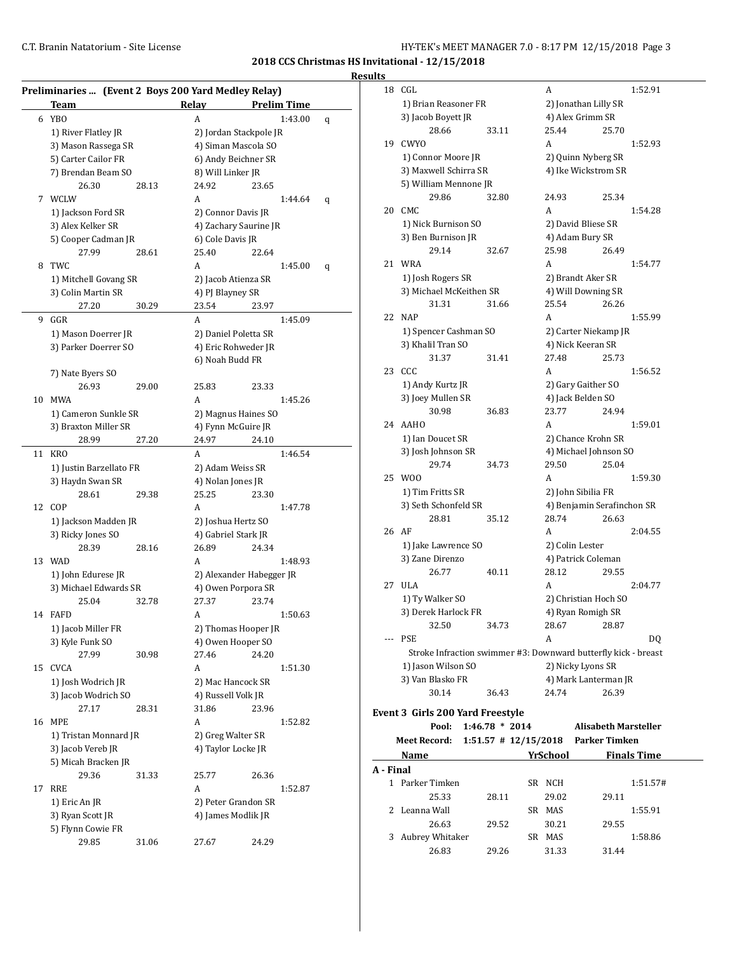| <b>Results</b> |  |
|----------------|--|
|                |  |

|    | Preliminaries  (Event 2 Boys 200 Yard Medley Relay) |       |                   |                          |   |
|----|-----------------------------------------------------|-------|-------------------|--------------------------|---|
|    | <b>Team</b>                                         |       | Relay             | <b>Prelim Time</b>       |   |
|    | 6 YBO                                               |       | A                 | 1:43.00                  | q |
|    | 1) River Flatley JR                                 |       |                   | 2) Jordan Stackpole JR   |   |
|    | 3) Mason Rassega SR                                 |       |                   | 4) Siman Mascola SO      |   |
|    | 5) Carter Cailor FR                                 |       |                   | 6) Andy Beichner SR      |   |
|    | 7) Brendan Beam SO                                  |       | 8) Will Linker JR |                          |   |
|    | 26.30                                               | 28.13 | 24.92             | 23.65                    |   |
| 7  | WCLW                                                |       | A                 | 1:44.64                  | q |
|    | 1) Jackson Ford SR                                  |       |                   | 2) Connor Davis JR       |   |
|    | 3) Alex Kelker SR                                   |       |                   | 4) Zachary Saurine JR    |   |
|    | 5) Cooper Cadman JR                                 |       | 6) Cole Davis JR  |                          |   |
|    | 27.99                                               | 28.61 | 25.40             | 22.64                    |   |
| 8  | TWC                                                 |       | A                 | 1:45.00                  | q |
|    | 1) Mitchell Govang SR                               |       |                   | 2) Jacob Atienza SR      |   |
|    | 3) Colin Martin SR                                  |       | 4) PJ Blayney SR  |                          |   |
|    | 27.20                                               | 30.29 | 23.54             | 23.97                    |   |
| 9  | GGR                                                 |       | A                 | 1:45.09                  |   |
|    | 1) Mason Doerrer JR                                 |       |                   | 2) Daniel Poletta SR     |   |
|    | 3) Parker Doerrer SO                                |       |                   | 4) Eric Rohweder JR      |   |
|    |                                                     |       |                   | 6) Noah Budd FR          |   |
|    | 7) Nate Byers SO                                    |       |                   |                          |   |
|    | 26.93                                               | 29.00 | 25.83             | 23.33                    |   |
| 10 | MWA                                                 |       | A                 | 1:45.26                  |   |
|    | 1) Cameron Sunkle SR                                |       |                   | 2) Magnus Haines SO      |   |
|    | 3) Braxton Miller SR                                |       |                   | 4) Fynn McGuire JR       |   |
|    | 28.99                                               | 27.20 | 24.97             | 24.10                    |   |
| 11 | <b>KRO</b>                                          |       | A                 | 1:46.54                  |   |
|    | 1) Justin Barzellato FR                             |       |                   | 2) Adam Weiss SR         |   |
|    | 3) Haydn Swan SR                                    |       |                   | 4) Nolan Jones JR        |   |
|    | 28.61                                               | 29.38 | 25.25             | 23.30                    |   |
| 12 | COP                                                 |       | A                 | 1:47.78                  |   |
|    | 1) Jackson Madden JR                                |       |                   | 2) Joshua Hertz SO       |   |
|    | 3) Ricky Jones SO                                   |       |                   | 4) Gabriel Stark JR      |   |
|    | 28.39                                               | 28.16 | 26.89             | 24.34                    |   |
| 13 | WAD                                                 |       | A                 | 1:48.93                  |   |
|    | 1) John Edurese JR                                  |       |                   | 2) Alexander Habegger JR |   |
|    | 3) Michael Edwards SR                               |       |                   | 4) Owen Porpora SR       |   |
|    | 25.04                                               | 32.78 | 27.37             | 23.74                    |   |
| 14 | <b>FAFD</b>                                         |       | A                 | 1:50.63                  |   |
|    | 1) Jacob Miller FR                                  |       |                   | 2) Thomas Hooper JR      |   |
|    | 3) Kyle Funk SO                                     |       |                   | 4) Owen Hooper SO        |   |
|    | 27.99                                               | 30.98 | 27.46             | 24.20                    |   |
| 15 | <b>CVCA</b>                                         |       | A                 | 1:51.30                  |   |
|    | 1) Josh Wodrich JR                                  |       |                   | 2) Mac Hancock SR        |   |
|    | 3) Jacob Wodrich SO                                 |       |                   | 4) Russell Volk JR       |   |
|    | 27.17                                               | 28.31 | 31.86             | 23.96                    |   |
| 16 | <b>MPE</b>                                          |       | Α                 | 1:52.82                  |   |
|    | 1) Tristan Monnard JR                               |       |                   | 2) Greg Walter SR        |   |
|    | 3) Jacob Vereb JR                                   |       |                   | 4) Taylor Locke JR       |   |
|    | 5) Micah Bracken JR                                 |       |                   |                          |   |
|    | 29.36                                               | 31.33 | 25.77             | 26.36                    |   |
| 17 | <b>RRE</b>                                          |       | A                 | 1:52.87                  |   |
|    | 1) Eric An JR                                       |       |                   | 2) Peter Grandon SR      |   |
|    | 3) Ryan Scott JR                                    |       |                   | 4) James Modlik JR       |   |
|    | 5) Flynn Cowie FR                                   |       |                   |                          |   |
|    | 29.85                                               | 31.06 | 27.67             | 24.29                    |   |
|    |                                                     |       |                   |                          |   |

| uns       |                                  |                  |  |                 |                                                                |  |
|-----------|----------------------------------|------------------|--|-----------------|----------------------------------------------------------------|--|
| 18        | CGL                              |                  |  | А               | 1:52.91                                                        |  |
|           | 1) Brian Reasoner FR             |                  |  |                 | 2) Jonathan Lilly SR                                           |  |
|           | 3) Jacob Boyett JR               |                  |  |                 | 4) Alex Grimm SR                                               |  |
|           | 28.66                            | 33.11            |  | 25.44           | 25.70                                                          |  |
|           | 19 CWYO                          |                  |  | A               | 1:52.93                                                        |  |
|           | 1) Connor Moore JR               |                  |  |                 | 2) Quinn Nyberg SR                                             |  |
|           | 3) Maxwell Schirra SR            |                  |  |                 | 4) Ike Wickstrom SR                                            |  |
|           | 5) William Mennone JR            |                  |  |                 |                                                                |  |
|           | 29.86                            | 32.80            |  | 24.93           | 25.34                                                          |  |
| 20        | CMC                              |                  |  | A               | 1:54.28                                                        |  |
|           | 1) Nick Burnison SO              |                  |  |                 | 2) David Bliese SR                                             |  |
|           | 3) Ben Burnison JR               |                  |  |                 | 4) Adam Bury SR                                                |  |
|           | 29.14                            | 32.67            |  | 25.98           | 26.49                                                          |  |
|           | 21 WRA                           |                  |  | A               | 1:54.77                                                        |  |
|           | 1) Josh Rogers SR                |                  |  |                 | 2) Brandt Aker SR                                              |  |
|           | 3) Michael McKeithen SR          |                  |  |                 | 4) Will Downing SR                                             |  |
|           | 31.31                            | 31.66            |  | 25.54           | 26.26                                                          |  |
| 22        | <b>NAP</b>                       |                  |  | A               | 1:55.99                                                        |  |
|           | 1) Spencer Cashman SO            |                  |  |                 | 2) Carter Niekamp JR                                           |  |
|           | 3) Khalil Tran SO                |                  |  |                 | 4) Nick Keeran SR                                              |  |
|           | 31.37                            | 31.41            |  | 27.48           | 25.73                                                          |  |
| 23        | CCC                              |                  |  | A               | 1:56.52                                                        |  |
|           | 1) Andy Kurtz JR                 |                  |  |                 | 2) Gary Gaither SO                                             |  |
|           | 3) Joey Mullen SR                |                  |  |                 | 4) Jack Belden SO                                              |  |
|           |                                  |                  |  |                 | 24.94                                                          |  |
|           | 30.98<br>24 AAHO                 | 36.83            |  | 23.77<br>A      | 1:59.01                                                        |  |
|           |                                  |                  |  |                 |                                                                |  |
|           | 1) Ian Doucet SR                 |                  |  |                 | 2) Chance Krohn SR                                             |  |
|           | 3) Josh Johnson SR               |                  |  |                 | 4) Michael Johnson SO                                          |  |
|           | 29.74                            | 34.73            |  | 29.50           | 25.04                                                          |  |
| 25        | W <sub>0</sub>                   |                  |  | A               | 1:59.30                                                        |  |
|           | 1) Tim Fritts SR                 |                  |  |                 | 2) John Sibilia FR                                             |  |
|           | 3) Seth Schonfeld SR             |                  |  |                 | 4) Benjamin Serafinchon SR                                     |  |
|           | 28.81                            | 35.12            |  | 28.74           | 26.63                                                          |  |
| 26        | AF                               |                  |  | A               | 2:04.55                                                        |  |
|           | 1) Jake Lawrence SO              |                  |  |                 | 2) Colin Lester                                                |  |
|           | 3) Zane Direnzo                  |                  |  |                 | 4) Patrick Coleman                                             |  |
|           | 26.77                            | 40.11            |  | 28.12           | 29.55                                                          |  |
| 27        | <b>ULA</b>                       |                  |  | A               | 2:04.77                                                        |  |
|           | 1) Ty Walker SO                  |                  |  |                 | 2) Christian Hoch SO                                           |  |
|           | 3) Derek Harlock FR              |                  |  |                 | 4) Ryan Romigh SR                                              |  |
|           | 32.50                            | 34.73            |  | 28.67           | 28.87                                                          |  |
|           | --- PSE                          |                  |  | A               | DQ                                                             |  |
|           |                                  |                  |  |                 | Stroke Infraction swimmer #3: Downward butterfly kick - breast |  |
|           | 1) Jason Wilson SO               |                  |  |                 | 2) Nicky Lyons SR                                              |  |
|           | 3) Van Blasko FR                 |                  |  |                 | 4) Mark Lanterman JR                                           |  |
|           | 30.14                            | 36.43            |  | 24.74           | 26.39                                                          |  |
|           | Event 3 Girls 200 Yard Freestyle |                  |  |                 |                                                                |  |
|           | Pool:                            | $1:46.78 * 2014$ |  |                 | <b>Alisabeth Marsteller</b>                                    |  |
|           | <b>Meet Record:</b>              |                  |  |                 | 1:51.57 # 12/15/2018 Parker Timken                             |  |
|           | Name                             |                  |  | <b>YrSchool</b> | <b>Finals Time</b>                                             |  |
| A - Final |                                  |                  |  |                 |                                                                |  |
|           | 1 Parker Timken                  |                  |  | SR NCH          | 1:51.57#                                                       |  |
|           | 25.33                            | 28.11            |  | 29.02           | 29.11                                                          |  |
|           | 2 Leanna Wall                    |                  |  | SR MAS          | 1:55.91                                                        |  |
|           | 26.63                            | 29.52            |  | 30.21           | 29.55                                                          |  |
|           |                                  |                  |  | SR MAS          | 1:58.86                                                        |  |

26.83 29.26 31.33 31.44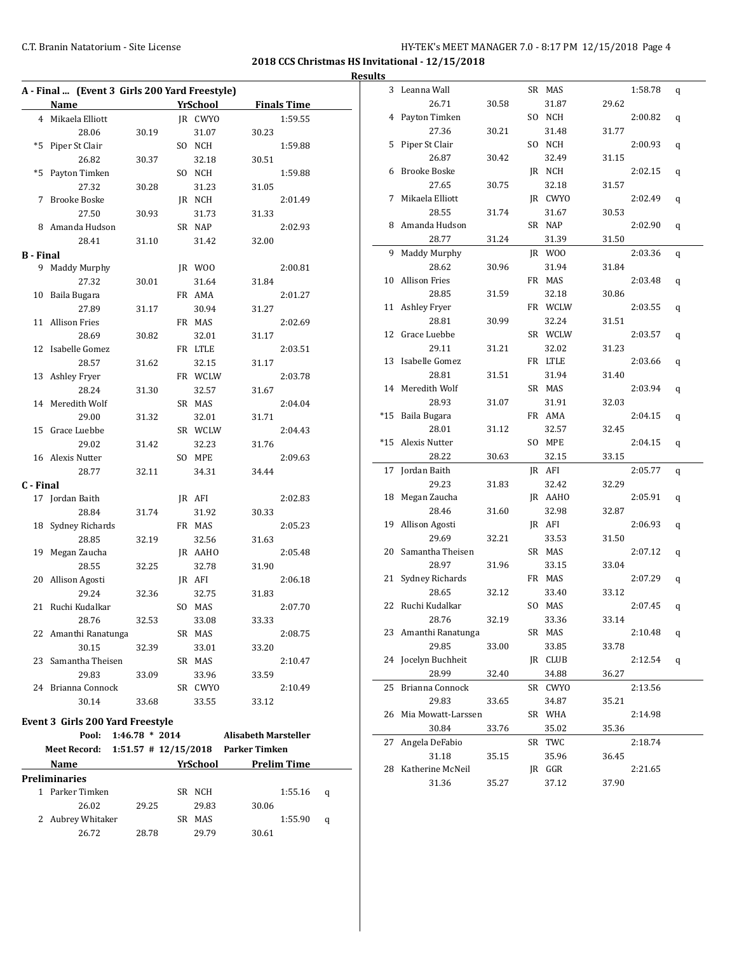**2018 CCS Christmas HS Invitational - 12/15/2018 Results** 

|      | A - Final  (Event 3 Girls 200 Yard Freestyle)   |       |    |                 |                             |                    |   |
|------|-------------------------------------------------|-------|----|-----------------|-----------------------------|--------------------|---|
|      | Name                                            |       |    | <b>YrSchool</b> |                             | <b>Finals Time</b> |   |
| 4    | Mikaela Elliott                                 |       |    | <b>IR CWYO</b>  |                             | 1:59.55            |   |
|      | 28.06                                           | 30.19 |    | 31.07           | 30.23                       |                    |   |
| *5   | Piper St Clair                                  |       | SO | NCH             |                             | 1:59.88            |   |
|      | 26.82                                           | 30.37 |    | 32.18           | 30.51                       |                    |   |
| $*5$ | Payton Timken                                   |       |    | SO NCH          |                             | 1:59.88            |   |
|      | 27.32                                           | 30.28 |    | 31.23           | 31.05                       |                    |   |
| 7    | <b>Brooke Boske</b>                             |       |    | JR NCH          |                             | 2:01.49            |   |
|      | 27.50                                           | 30.93 |    | 31.73           | 31.33                       |                    |   |
| 8    | Amanda Hudson                                   |       |    | SR NAP          |                             | 2:02.93            |   |
|      | 28.41                                           | 31.10 |    | 31.42           | 32.00                       |                    |   |
|      | <b>B</b> - Final                                |       |    |                 |                             |                    |   |
| 9    | <b>Maddy Murphy</b>                             |       |    | JR WOO          |                             | 2:00.81            |   |
|      | 27.32                                           | 30.01 |    | 31.64           | 31.84                       |                    |   |
| 10   | Baila Bugara                                    |       |    | FR AMA          |                             | 2:01.27            |   |
|      | 27.89                                           | 31.17 |    | 30.94           | 31.27                       |                    |   |
| 11   | <b>Allison Fries</b>                            |       |    | FR MAS          |                             | 2:02.69            |   |
|      | 28.69                                           | 30.82 |    | 32.01           | 31.17                       |                    |   |
| 12   | Isabelle Gomez                                  |       |    | FR LTLE         |                             | 2:03.51            |   |
|      | 28.57                                           | 31.62 |    | 32.15           | 31.17                       |                    |   |
| 13   | Ashley Fryer                                    |       |    | FR WCLW         |                             | 2:03.78            |   |
|      | 28.24                                           | 31.30 |    | 32.57           | 31.67                       |                    |   |
| 14   | Meredith Wolf                                   |       |    | SR MAS          |                             | 2:04.04            |   |
|      | 29.00                                           | 31.32 |    | 32.01           | 31.71                       |                    |   |
| 15   | Grace Luebbe                                    |       |    | SR WCLW         |                             | 2:04.43            |   |
|      | 29.02                                           | 31.42 |    | 32.23           | 31.76                       |                    |   |
| 16   | Alexis Nutter                                   |       |    | SO MPE          |                             | 2:09.63            |   |
|      | 28.77                                           | 32.11 |    | 34.31           | 34.44                       |                    |   |
|      | C - Final                                       |       |    |                 |                             |                    |   |
| 17   | Jordan Baith                                    |       |    | JR AFI          |                             | 2:02.83            |   |
|      | 28.84                                           | 31.74 |    | 31.92           | 30.33                       |                    |   |
| 18   | Sydney Richards                                 |       |    | FR MAS          |                             | 2:05.23            |   |
|      | 28.85                                           | 32.19 |    | 32.56           | 31.63                       |                    |   |
| 19   | Megan Zaucha                                    |       |    | JR AAHO         |                             | 2:05.48            |   |
|      | 28.55                                           | 32.25 |    | 32.78           | 31.90                       |                    |   |
| 20   | Allison Agosti                                  |       |    | IR AFI          |                             | 2:06.18            |   |
|      | 29.24                                           | 32.36 |    | 32.75           | 31.83                       |                    |   |
| 21   | Ruchi Kudalkar                                  |       |    | SO MAS          |                             | 2:07.70            |   |
|      | 28.76                                           | 32.53 |    | 33.08           | 33.33                       |                    |   |
|      | 22 Amanthi Ranatunga                            |       |    | SR MAS          |                             | 2:08.75            |   |
|      | 30.15                                           | 32.39 |    | 33.01           | 33.20                       |                    |   |
| 23   | Samantha Theisen                                |       |    | SR MAS          |                             | 2:10.47            |   |
|      | 29.83                                           | 33.09 |    | 33.96           | 33.59                       |                    |   |
|      | 24 Brianna Connock                              |       |    | SR CWYO         |                             | 2:10.49            |   |
|      | 30.14                                           | 33.68 |    | 33.55           | 33.12                       |                    |   |
|      | Event 3 Girls 200 Yard Freestyle                |       |    |                 |                             |                    |   |
|      | Pool: 1:46.78 * 2014                            |       |    |                 | <b>Alisabeth Marsteller</b> |                    |   |
|      | Meet Record: 1:51.57 # 12/15/2018 Parker Timken |       |    |                 |                             |                    |   |
|      | <b>Name</b>                                     |       |    | YrSchool        | Prelim Time                 |                    |   |
|      | Preliminaries                                   |       |    |                 |                             |                    |   |
|      | 1 Parker Timken                                 |       |    | SR NCH          |                             | 1:55.16            | q |
|      | 26.02                                           | 29.25 |    | 29.83           | 30.06                       |                    |   |
|      | 2 Aubrey Whitaker                               |       |    | SR MAS          |                             | 1:55.90            | q |
|      | 26.72                                           | 28.78 |    | 29.79           | 30.61                       |                    |   |
|      |                                                 |       |    |                 |                             |                    |   |

| 3     | Leanna Wall          |       | SR MAS  |       | 1:58.78 | q |
|-------|----------------------|-------|---------|-------|---------|---|
|       | 26.71                | 30.58 | 31.87   | 29.62 |         |   |
| 4     | Payton Timken        |       | SO NCH  |       | 2:00.82 | q |
|       | 27.36                | 30.21 | 31.48   | 31.77 |         |   |
| 5     | Piper St Clair       |       | SO NCH  |       | 2:00.93 | q |
|       | 26.87                | 30.42 | 32.49   | 31.15 |         |   |
| 6     | <b>Brooke Boske</b>  |       | JR NCH  |       | 2:02.15 | q |
|       | 27.65                | 30.75 | 32.18   | 31.57 |         |   |
| 7     | Mikaela Elliott      |       | JR CWYO |       | 2:02.49 | q |
|       | 28.55                | 31.74 | 31.67   | 30.53 |         |   |
| 8     | Amanda Hudson        |       | SR NAP  |       | 2:02.90 | q |
|       | 28.77                | 31.24 | 31.39   | 31.50 |         |   |
| 9     | <b>Maddy Murphy</b>  |       | JR WOO  |       | 2:03.36 | q |
|       | 28.62                | 30.96 | 31.94   | 31.84 |         |   |
| 10    | <b>Allison Fries</b> |       | FR MAS  |       | 2:03.48 | q |
|       | 28.85                | 31.59 | 32.18   | 30.86 |         |   |
| 11    | Ashley Fryer         |       | FR WCLW |       | 2:03.55 | q |
|       | 28.81                | 30.99 | 32.24   | 31.51 |         |   |
| 12    | Grace Luebbe         |       | SR WCLW |       | 2:03.57 | q |
|       | 29.11                | 31.21 | 32.02   | 31.23 |         |   |
| 13    | Isabelle Gomez       |       | FR LTLE |       | 2:03.66 | q |
|       | 28.81                | 31.51 | 31.94   | 31.40 |         |   |
| 14    | Meredith Wolf        |       | SR MAS  |       | 2:03.94 | q |
|       | 28.93                | 31.07 | 31.91   | 32.03 |         |   |
| $*15$ | Baila Bugara         |       | FR AMA  |       | 2:04.15 | q |
|       | 28.01                | 31.12 | 32.57   | 32.45 |         |   |
| $*15$ | Alexis Nutter        |       | SO MPE  |       | 2:04.15 | q |
|       | 28.22                | 30.63 | 32.15   | 33.15 |         |   |
| 17    | Jordan Baith         |       | JR AFI  |       | 2:05.77 | q |
|       | 29.23                | 31.83 | 32.42   | 32.29 |         |   |
| 18    | Megan Zaucha         |       | JR AAHO |       | 2:05.91 | q |
|       | 28.46                | 31.60 | 32.98   | 32.87 |         |   |
| 19    | Allison Agosti       |       | JR AFI  |       | 2:06.93 | q |
|       | 29.69                | 32.21 | 33.53   | 31.50 |         |   |
| 20    | Samantha Theisen     |       | SR MAS  |       | 2:07.12 | q |
|       | 28.97                | 31.96 | 33.15   | 33.04 |         |   |
| 21    | Sydney Richards      |       | FR MAS  |       | 2:07.29 | q |
|       | 28.65                | 32.12 | 33.40   | 33.12 |         |   |
| 22    | Ruchi Kudalkar       |       | SO MAS  |       | 2:07.45 | q |
|       | 28.76                | 32.19 | 33.36   | 33.14 |         |   |
|       | 23 Amanthi Ranatunga |       | SR MAS  |       | 2:10.48 | q |
|       | 29.85                | 33.00 | 33.85   | 33.78 |         |   |
| 24    | Jocelyn Buchheit     |       | JR CLUB |       | 2:12.54 | q |
|       | 28.99                | 32.40 | 34.88   | 36.27 |         |   |
| 25    | Brianna Connock      |       | SR CWYO |       | 2:13.56 |   |
|       | 29.83                | 33.65 | 34.87   | 35.21 |         |   |
| 26    | Mia Mowatt-Larssen   |       | SR WHA  |       | 2:14.98 |   |
|       | 30.84                | 33.76 | 35.02   | 35.36 |         |   |
| 27    | Angela DeFabio       |       | SR TWC  |       | 2:18.74 |   |
|       | 31.18                | 35.15 | 35.96   | 36.45 |         |   |
| 28    | Katherine McNeil     |       | JR GGR  |       | 2:21.65 |   |
|       | 31.36                | 35.27 | 37.12   | 37.90 |         |   |
|       |                      |       |         |       |         |   |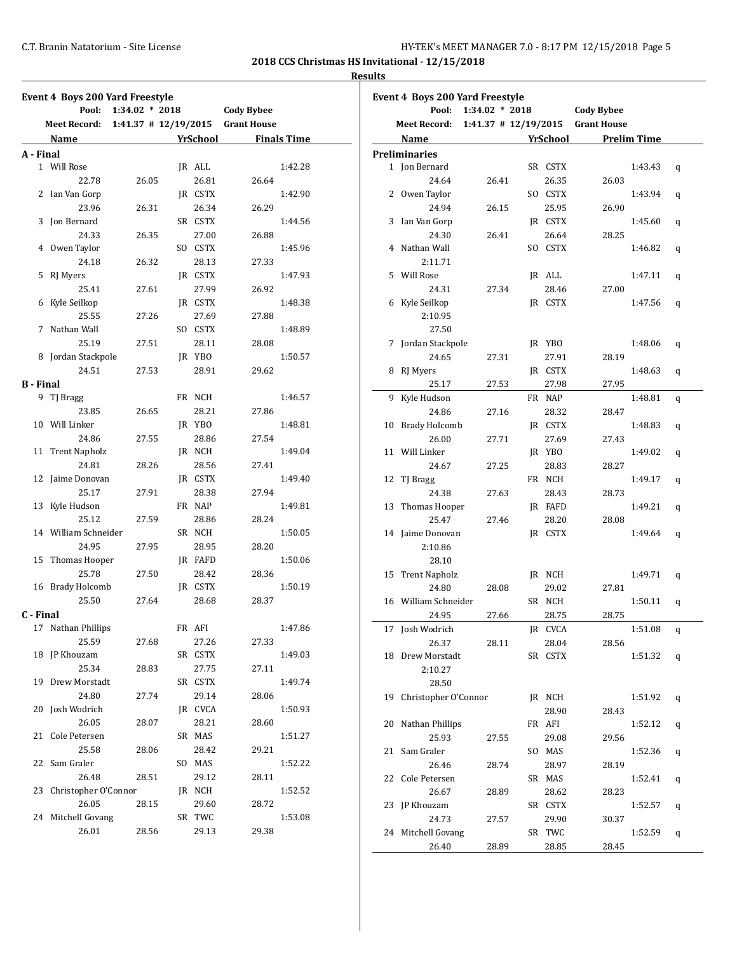#### **Results**

|                  | <b>Event 4 Boys 200 Yard Freestyle</b>        |                  |          |                   |                    |
|------------------|-----------------------------------------------|------------------|----------|-------------------|--------------------|
|                  | Pool:                                         | $1:34.02 * 2018$ |          | <b>Cody Bybee</b> |                    |
|                  | Meet Record: 1:41.37 # 12/19/2015 Grant House |                  |          |                   |                    |
|                  | Name                                          |                  | YrSchool |                   | <b>Finals Time</b> |
| A - Final        |                                               |                  |          |                   |                    |
|                  | 1 Will Rose                                   |                  | JR ALL   |                   | 1:42.28            |
|                  | 22.78                                         | 26.05            | 26.81    | 26.64             |                    |
|                  | 2 Ian Van Gorp                                |                  | JR CSTX  |                   | 1:42.90            |
|                  | 23.96                                         | 26.31            | 26.34    | 26.29             |                    |
|                  | 3 Jon Bernard                                 |                  | SR CSTX  |                   | 1:44.56            |
|                  | 24.33                                         | 26.35            | 27.00    | 26.88             |                    |
|                  | 4 Owen Taylor                                 |                  | SO CSTX  |                   | 1:45.96            |
|                  | 24.18                                         | 26.32            | 28.13    | 27.33             |                    |
|                  | 5 RJ Myers                                    |                  | JR CSTX  |                   | 1:47.93            |
|                  | 25.41                                         | 27.61            | 27.99    | 26.92             |                    |
|                  | 6 Kyle Seilkop                                |                  | JR CSTX  |                   | 1:48.38            |
|                  | 25.55                                         | 27.26            | 27.69    | 27.88             |                    |
|                  | 7 Nathan Wall                                 |                  | SO CSTX  |                   | 1:48.89            |
|                  | 25.19                                         | 27.51            | 28.11    | 28.08             |                    |
|                  | 8 Jordan Stackpole                            |                  | JR YBO   |                   | 1:50.57            |
|                  | 24.51                                         | 27.53            | 28.91    | 29.62             |                    |
| <b>B</b> - Final |                                               |                  |          |                   |                    |
|                  | 9 TJ Bragg                                    |                  | FR NCH   |                   | 1:46.57            |
|                  | 23.85                                         | 26.65            | 28.21    | 27.86             |                    |
|                  | 10 Will Linker                                |                  | JR YBO   |                   | 1:48.81            |
|                  | 24.86                                         | 27.55            | 28.86    | 27.54             |                    |
|                  | 11 Trent Napholz                              |                  | JR NCH   |                   | 1:49.04            |
|                  |                                               |                  |          |                   |                    |
|                  | 24.81                                         | 28.26            | 28.56    | 27.41             |                    |
|                  | 12 Jaime Donovan                              |                  | JR CSTX  |                   | 1:49.40            |
|                  | 25.17                                         | 27.91            | 28.38    | 27.94             |                    |
|                  | 13 Kyle Hudson                                |                  | FR NAP   |                   | 1:49.81            |
|                  | 25.12                                         | 27.59            | 28.86    | 28.24             |                    |
|                  | 14 William Schneider                          |                  | SR NCH   |                   | 1:50.05            |
|                  | 24.95                                         | 27.95            | 28.95    | 28.20             |                    |
|                  | 15 Thomas Hooper                              |                  | JR FAFD  |                   | 1:50.06            |
|                  | 25.78                                         | 27.50            | 28.42    | 28.36             |                    |
|                  | 16 Brady Holcomb                              |                  | JR CSTX  |                   | 1:50.19            |
|                  | 25.50                                         | 27.64            | 28.68    | 28.37             |                    |
| C - Final        |                                               |                  |          |                   |                    |
|                  | 17 Nathan Phillips                            |                  | FR AFI   |                   | 1:47.86            |
|                  | 25.59                                         | 27.68            | 27.26    | 27.33             |                    |
| 18               | JP Khouzam                                    |                  | SR CSTX  |                   | 1:49.03            |
|                  | 25.34                                         | 28.83            | 27.75    | 27.11             |                    |
| 19               | Drew Morstadt                                 |                  | SR CSTX  |                   | 1:49.74            |
|                  | 24.80                                         | 27.74            | 29.14    | 28.06             |                    |
| 20               | Josh Wodrich                                  |                  | JR CVCA  |                   | 1:50.93            |
|                  | 26.05                                         | 28.07            | 28.21    | 28.60             |                    |
| 21               | Cole Petersen                                 |                  | SR MAS   |                   | 1:51.27            |
|                  | 25.58                                         | 28.06            | 28.42    | 29.21             |                    |
| 22               | Sam Graler                                    |                  | SO MAS   |                   | 1:52.22            |
|                  | 26.48                                         | 28.51            | 29.12    | 28.11             |                    |
| 23               | Christopher O'Connor                          |                  | JR NCH   |                   | 1:52.52            |
|                  | 26.05                                         | 28.15            | 29.60    | 28.72             |                    |
| 24               | Mitchell Govang                               |                  | SR TWC   |                   | 1:53.08            |
|                  | 26.01                                         | 28.56            | 29.13    | 29.38             |                    |
|                  |                                               |                  |          |                   |                    |

|    | Event 4 Boys 200 Yard Freestyle |                          |                 |                    |                    |   |
|----|---------------------------------|--------------------------|-----------------|--------------------|--------------------|---|
|    | Pool:                           | $1:34.02 * 2018$         |                 | <b>Cody Bybee</b>  |                    |   |
|    | <b>Meet Record:</b>             | $1:41.37$ # $12/19/2015$ |                 | <b>Grant House</b> |                    |   |
|    | Name                            |                          | <b>YrSchool</b> |                    | <b>Prelim Time</b> |   |
|    | <b>Preliminaries</b>            |                          |                 |                    |                    |   |
|    | 1 Jon Bernard                   |                          | SR CSTX         |                    | 1:43.43            | q |
|    | 24.64                           | 26.41                    | 26.35           | 26.03              |                    |   |
|    | 2 Owen Taylor                   |                          | SO CSTX         |                    | 1:43.94            | q |
|    | 24.94                           | 26.15                    | 25.95           | 26.90              |                    |   |
|    | 3 Ian Van Gorp                  |                          | JR CSTX         |                    | 1:45.60            | q |
|    | 24.30                           | 26.41                    | 26.64           | 28.25              |                    |   |
| 4  | Nathan Wall                     |                          | SO CSTX         |                    | 1:46.82            | q |
|    | 2:11.71                         |                          |                 |                    |                    |   |
| 5  | Will Rose                       |                          | JR ALL          |                    | 1:47.11            | q |
|    | 24.31                           | 27.34                    | 28.46           | 27.00              |                    |   |
| 6  | Kyle Seilkop                    |                          | JR CSTX         |                    | 1:47.56            | q |
|    | 2:10.95                         |                          |                 |                    |                    |   |
|    | 27.50                           |                          |                 |                    |                    |   |
| 7  | Jordan Stackpole                |                          | JR YBO          |                    | 1:48.06            | q |
|    | 24.65                           | 27.31                    | 27.91           | 28.19              |                    |   |
| 8  | RJ Myers                        |                          | JR CSTX         |                    | 1:48.63            |   |
|    | 25.17                           |                          |                 |                    |                    | q |
|    |                                 | 27.53                    | 27.98           | 27.95              |                    |   |
| 9  | Kyle Hudson                     |                          | FR NAP          |                    | 1:48.81            | q |
|    | 24.86                           | 27.16                    | 28.32           | 28.47              |                    |   |
| 10 | <b>Brady Holcomb</b>            |                          | IR CSTX         |                    | 1:48.83            | q |
|    | 26.00                           | 27.71                    | 27.69           | 27.43              |                    |   |
| 11 | Will Linker                     |                          | JR YBO          |                    | 1:49.02            | q |
|    | 24.67                           | 27.25                    | 28.83           | 28.27              |                    |   |
| 12 | TJ Bragg                        |                          | FR NCH          |                    | 1:49.17            | q |
|    | 24.38                           | 27.63                    | 28.43           | 28.73              |                    |   |
|    | 13 Thomas Hooper                |                          | JR FAFD         |                    | 1:49.21            | q |
|    | 25.47                           | 27.46                    | 28.20           | 28.08              |                    |   |
|    | 14 Jaime Donovan                |                          | JR CSTX         |                    | 1:49.64            | q |
|    | 2:10.86                         |                          |                 |                    |                    |   |
|    | 28.10                           |                          |                 |                    |                    |   |
|    | 15 Trent Napholz                |                          | JR NCH          |                    | 1:49.71            | q |
|    | 24.80                           | 28.08                    | 29.02           | 27.81              |                    |   |
|    | 16 William Schneider            |                          | SR NCH          |                    | 1:50.11            | q |
|    | 24.95                           | 27.66                    | 28.75           | 28.75              |                    |   |
|    | 17 Josh Wodrich                 |                          | JR CVCA         |                    | 1:51.08            | q |
|    | 26.37                           | 28.11                    | 28.04           | 28.56              |                    |   |
| 18 | Drew Morstadt                   |                          | SR CSTX         |                    | 1:51.32            | q |
|    | 2:10.27                         |                          |                 |                    |                    |   |
|    | 28.50                           |                          |                 |                    |                    |   |
| 19 | Christopher O'Connor            |                          | JR NCH          |                    | 1:51.92            |   |
|    |                                 |                          | 28.90           | 28.43              |                    | q |
| 20 | Nathan Phillips                 |                          |                 |                    |                    |   |
|    |                                 |                          | FR AFI          |                    | 1:52.12            | q |
|    | 25.93                           | 27.55                    | 29.08           | 29.56              |                    |   |
| 21 | Sam Graler                      |                          | SO MAS          |                    | 1:52.36            | q |
|    | 26.46                           | 28.74                    | 28.97           | 28.19              |                    |   |
| 22 | Cole Petersen                   |                          | SR MAS          |                    | 1:52.41            | q |
|    | 26.67                           | 28.89                    | 28.62           | 28.23              |                    |   |
|    | 23 JP Khouzam                   |                          | SR CSTX         |                    | 1:52.57            | q |
|    | 24.73                           | 27.57                    | 29.90           | 30.37              |                    |   |
|    | 24 Mitchell Govang              |                          | SR TWC          |                    | 1:52.59            | q |
|    | 26.40                           | 28.89                    | 28.85           | 28.45              |                    |   |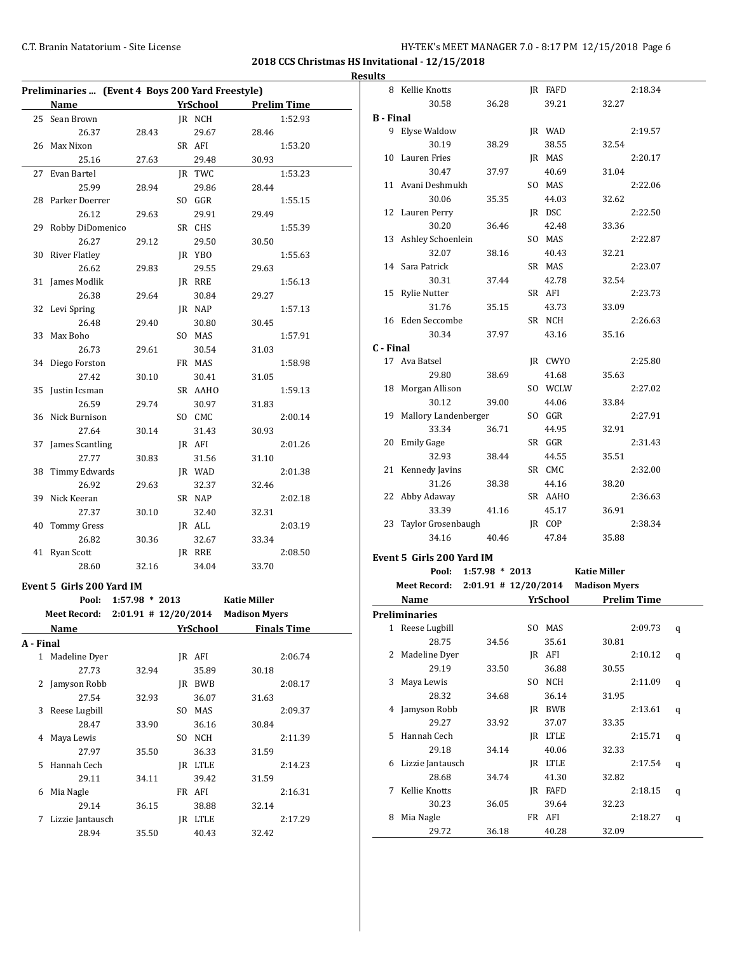# C.T. Branin Natatorium - Site License **Exercise 1998** C.T. Branin Natatorium - Site License 6

8 Kellie Knotts **JR FAFD** 2:18.34

**2018 CCS Christmas HS Invitational - 12/15/2018 Results**

|              | Preliminaries  (Event 4 Boys 200 Yard Freestyle) |                          |     |                 |                      |
|--------------|--------------------------------------------------|--------------------------|-----|-----------------|----------------------|
|              | <b>Name</b>                                      |                          |     | <b>YrSchool</b> | <b>Prelim Time</b>   |
| 25           | Sean Brown                                       |                          |     | JR NCH          | 1:52.93              |
|              | 26.37                                            | 28.43                    |     | 29.67           | 28.46                |
| 26           | Max Nixon                                        |                          |     | SR AFI          | 1:53.20              |
|              | 25.16                                            | 27.63                    |     | 29.48           | 30.93                |
| 27           | Evan Bartel                                      |                          |     | JR TWC          | 1:53.23              |
|              | 25.99                                            | 28.94                    |     | 29.86           | 28.44                |
|              | 28 Parker Doerrer                                |                          |     | SO GGR          | 1:55.15              |
|              | 26.12                                            | 29.63                    |     | 29.91           | 29.49                |
|              | 29 Robby DiDomenico                              |                          |     | SR CHS          | 1:55.39              |
|              | 26.27                                            | 29.12                    |     | 29.50           | 30.50                |
| 30           | <b>River Flatley</b>                             |                          |     | JR YBO          | 1:55.63              |
|              | 26.62                                            | 29.83                    |     | 29.55           | 29.63                |
| 31           | James Modlik                                     |                          |     | JR RRE          | 1:56.13              |
|              | 26.38                                            | 29.64                    |     | 30.84           | 29.27                |
| 32           | Levi Spring                                      |                          |     | JR NAP          | 1:57.13              |
|              | 26.48                                            | 29.40                    |     | 30.80           | 30.45                |
| 33           | Max Boho                                         |                          |     | SO MAS          | 1:57.91              |
|              |                                                  | 29.61                    |     | 30.54           |                      |
| 34           | 26.73<br>Diego Forston                           |                          |     | FR MAS          | 31.03<br>1:58.98     |
|              |                                                  |                          |     |                 |                      |
|              | 27.42                                            | 30.10                    |     | 30.41           | 31.05                |
| 35           | Justin Icsman                                    |                          |     | SR AAHO         | 1:59.13              |
|              | 26.59                                            | 29.74                    |     | 30.97           | 31.83                |
|              | 36 Nick Burnison                                 |                          |     | SO CMC          | 2:00.14              |
|              | 27.64                                            | 30.14                    |     | 31.43           | 30.93                |
| 37           | James Scantling                                  |                          |     | JR AFI          | 2:01.26              |
|              | 27.77                                            | 30.83                    |     | 31.56           | 31.10                |
| 38           | Timmy Edwards                                    |                          |     | JR WAD          | 2:01.38              |
|              | 26.92                                            | 29.63                    |     | 32.37           | 32.46                |
| 39           | Nick Keeran                                      |                          |     | SR NAP          | 2:02.18              |
|              | 27.37                                            | 30.10                    |     | 32.40           | 32.31                |
| 40           | <b>Tommy Gress</b>                               |                          |     | JR ALL          | 2:03.19              |
|              | 26.82                                            | 30.36                    |     | 32.67           | 33.34                |
|              | 41 Ryan Scott                                    |                          |     | IR RRE          | 2:08.50              |
|              | 28.60                                            | 32.16                    |     | 34.04           | 33.70                |
|              | Event 5 Girls 200 Yard IM                        |                          |     |                 |                      |
|              | Pool:                                            | $1:57.98 * 2013$         |     |                 | <b>Katie Miller</b>  |
|              | <b>Meet Record:</b>                              | $2:01.91$ # $12/20/2014$ |     |                 | <b>Madison Myers</b> |
|              | <u>Name</u>                                      |                          |     | <b>YrSchool</b> | <b>Finals Time</b>   |
| A - Final    |                                                  |                          |     |                 |                      |
| $\mathbf{1}$ | Madeline Dyer                                    |                          |     | JR AFI          | 2:06.74              |
|              | 27.73                                            | 32.94                    |     | 35.89           | 30.18                |
| 2            | Jamyson Robb                                     |                          |     | JR BWB          | 2:08.17              |
|              | 27.54                                            |                          |     |                 | 31.63                |
| 3            | Reese Lugbill                                    | 32.93                    | SO. | 36.07<br>MAS    |                      |
|              | 28.47                                            |                          |     |                 | 2:09.37<br>30.84     |
|              |                                                  | 33.90                    | SO. | 36.16           |                      |
| 4            | Maya Lewis<br>27.97                              |                          |     | NCH             | 2:11.39              |
|              |                                                  | 35.50                    |     | 36.33           | 31.59                |
| 5            | Hannah Cech                                      |                          |     | JR LTLE         | 2:14.23              |
|              | 29.11                                            | 34.11                    |     | 39.42           | 31.59                |
| 6            | Mia Nagle                                        |                          |     | FR AFI          | 2:16.31              |
|              | 29.14                                            | 36.15                    |     | 38.88           | 32.14                |
| 7            | Lizzie Jantausch                                 |                          |     | JR LTLE         | 2:17.29              |
|              | 28.94                                            | 35.50                    |     | 40.43           | 32.42                |

|                  | 30.58                                           | 36.28                | 39.21    | 32.27               |                    |   |
|------------------|-------------------------------------------------|----------------------|----------|---------------------|--------------------|---|
| <b>B</b> - Final |                                                 |                      |          |                     |                    |   |
|                  | 9 Elyse Waldow                                  |                      | JR WAD   |                     | 2:19.57            |   |
|                  | 30.19                                           | 38.29                | 38.55    | 32.54               |                    |   |
| 10               | Lauren Fries                                    |                      | JR MAS   |                     | 2:20.17            |   |
|                  | 30.47                                           | 37.97                | 40.69    | 31.04               |                    |   |
|                  | 11 Avani Deshmukh                               |                      | SO MAS   |                     | 2:22.06            |   |
|                  | 30.06                                           | 35.35                | 44.03    | 32.62               |                    |   |
|                  | 12 Lauren Perry                                 |                      | JR DSC   |                     | 2:22.50            |   |
|                  | 30.20                                           | 36.46                | 42.48    | 33.36               |                    |   |
|                  | 13 Ashley Schoenlein                            |                      | SO MAS   |                     | 2:22.87            |   |
|                  | 32.07                                           | 38.16                | 40.43    | 32.21               |                    |   |
|                  | 14 Sara Patrick                                 |                      | SR MAS   |                     | 2:23.07            |   |
|                  | 30.31                                           | 37.44                | 42.78    | 32.54               |                    |   |
| 15               | Rylie Nutter                                    |                      | SR AFI   |                     | 2:23.73            |   |
|                  | 31.76                                           | 35.15                | 43.73    | 33.09               |                    |   |
|                  | 16 Eden Seccombe                                |                      | SR NCH   |                     | 2:26.63            |   |
|                  | 30.34                                           | 37.97                | 43.16    | 35.16               |                    |   |
| C - Final        |                                                 |                      |          |                     |                    |   |
|                  | 17 Ava Batsel                                   |                      | JR CWYO  |                     | 2:25.80            |   |
|                  | 29.80                                           | 38.69                | 41.68    | 35.63               |                    |   |
|                  | 18 Morgan Allison                               |                      | SO WCLW  |                     | 2:27.02            |   |
|                  | 30.12                                           | 39.00                | 44.06    | 33.84               |                    |   |
|                  | 19 Mallory Landenberger                         |                      | SO GGR   |                     | 2:27.91            |   |
|                  | 33.34                                           | 36.71                | 44.95    | 32.91               |                    |   |
| 20               | <b>Emily Gage</b>                               |                      | SR GGR   |                     | 2:31.43            |   |
|                  | 32.93                                           | 38.44                | 44.55    | 35.51               |                    |   |
|                  | 21 Kennedy Javins                               |                      | SR CMC   |                     | 2:32.00            |   |
|                  | 31.26                                           | 38.38                | 44.16    | 38.20               |                    |   |
|                  | 22 Abby Adaway                                  |                      | SR AAHO  |                     | 2:36.63            |   |
|                  | 33.39                                           | 41.16                | 45.17    | 36.91               |                    |   |
| 23               | Taylor Grosenbaugh                              |                      | JR COP   |                     | 2:38.34            |   |
|                  | 34.16                                           | 40.46                | 47.84    | 35.88               |                    |   |
|                  |                                                 |                      |          |                     |                    |   |
|                  | Event 5 Girls 200 Yard IM                       |                      |          |                     |                    |   |
|                  |                                                 | Pool: 1:57.98 * 2013 |          | <b>Katie Miller</b> |                    |   |
|                  | Meet Record: 2:01.91 # 12/20/2014 Madison Myers |                      |          |                     |                    |   |
|                  | Name                                            |                      | YrSchool |                     | <b>Prelim Time</b> |   |
|                  | <b>Preliminaries</b>                            |                      |          |                     |                    |   |
|                  | 1 Reese Lugbill                                 |                      | SO MAS   |                     | 2:09.73            | q |
|                  | 28.75                                           | 34.56                | 35.61    | 30.81               |                    |   |
| 2                | Madeline Dyer                                   |                      | JR AFI   |                     | 2:10.12            | q |
|                  | 29.19                                           | 33.50                | 36.88    | 30.55               |                    |   |
| 3                | Maya Lewis                                      |                      | SO NCH   |                     | 2:11.09            | q |
|                  | 28.32                                           | 34.68                | 36.14    | 31.95               |                    |   |
| 4                | Jamyson Robb                                    |                      | JR BWB   |                     | 2:13.61            | q |
|                  | 29.27                                           | 33.92                | 37.07    | 33.35               |                    |   |
| 5                | Hannah Cech                                     |                      | JR LTLE  |                     | 2:15.71            | q |
|                  | 29.18                                           | 34.14                | 40.06    | 32.33               |                    |   |
| 6                | Lizzie Jantausch                                |                      | JR LTLE  |                     | 2:17.54            | q |
|                  | 28.68                                           | 34.74                | 41.30    | 32.82               |                    |   |
| 7                | Kellie Knotts                                   |                      | JR FAFD  |                     | 2:18.15            | q |
|                  | 30.23                                           | 36.05                | 39.64    | 32.23               |                    |   |
| 8                | Mia Nagle                                       |                      | FR AFI   |                     | 2:18.27            | q |
|                  | 29.72                                           | 36.18                | 40.28    | 32.09               |                    |   |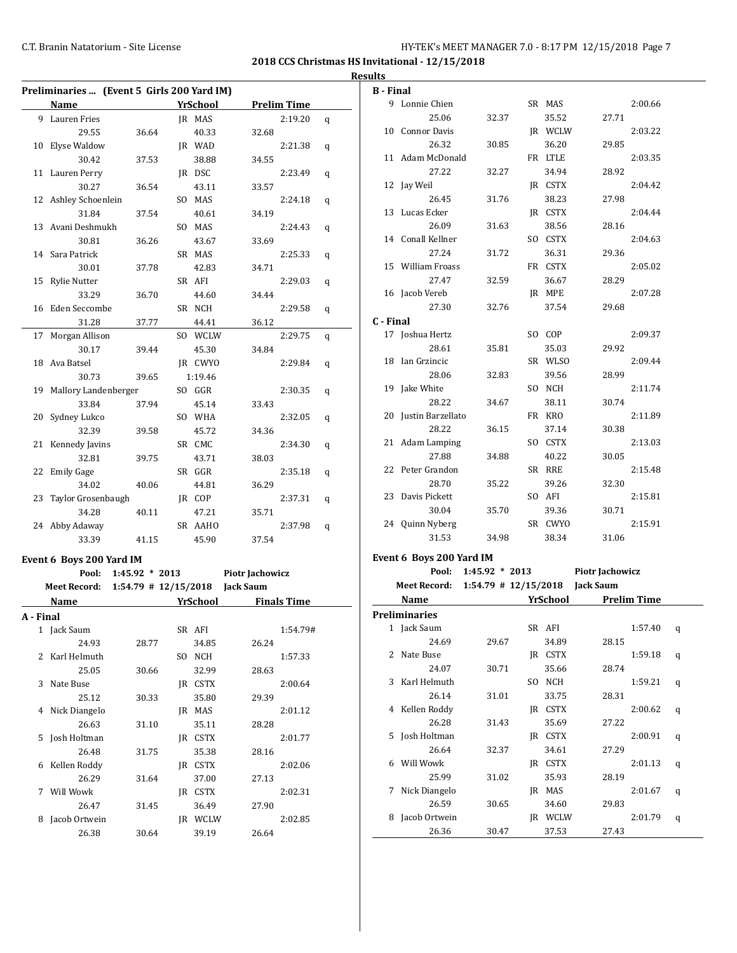**2018 CCS Christmas HS Invitational - 12/15/2018 Results**

**B - Final**

|           | Preliminaries  (Event 5 Girls 200 Yard IM)  |                  |                 |                 |                    |   |
|-----------|---------------------------------------------|------------------|-----------------|-----------------|--------------------|---|
|           | Name                                        |                  | <b>YrSchool</b> |                 | <b>Prelim Time</b> |   |
|           | 9 Lauren Fries                              |                  | IR MAS          |                 | 2:19.20            | q |
|           | 29.55                                       | 36.64            | 40.33           | 32.68           |                    |   |
| 10        | Elyse Waldow                                |                  | JR WAD          |                 | 2:21.38            | q |
|           | 30.42                                       | 37.53            | 38.88           | 34.55           |                    |   |
|           | 11 Lauren Perry                             |                  | IR DSC          |                 | 2:23.49            | q |
|           | 30.27                                       | 36.54            | 43.11           | 33.57           |                    |   |
|           | 12 Ashley Schoenlein                        |                  | SO MAS          |                 | 2:24.18            | q |
|           | 31.84                                       | 37.54            | 40.61           | 34.19           |                    |   |
|           | 13 Avani Deshmukh                           |                  | SO MAS          |                 | 2:24.43            | q |
|           | 30.81                                       | 36.26            | 43.67           | 33.69           |                    |   |
| 14        | Sara Patrick                                |                  | SR MAS          |                 | 2:25.33            | q |
|           | 30.01                                       | 37.78            | 42.83           | 34.71           |                    |   |
| 15        | <b>Rylie Nutter</b>                         |                  | SR AFI          |                 | 2:29.03            | q |
|           | 33.29                                       | 36.70            | 44.60           | 34.44           |                    |   |
| 16        | Eden Seccombe                               |                  | SR NCH          |                 | 2:29.58            | q |
|           | 31.28                                       | 37.77            | 44.41           | 36.12           |                    |   |
| 17        | Morgan Allison                              |                  | SO WCLW         |                 | 2:29.75            | q |
|           | 30.17                                       | 39.44            | 45.30           | 34.84           |                    |   |
| 18        | Ava Batsel                                  |                  | JR CWYO         |                 | 2:29.84            | q |
|           | 30.73                                       | 39.65            | 1:19.46         |                 |                    |   |
| 19        | Mallory Landenberger                        |                  | SO GGR          |                 | 2:30.35            | q |
|           | 33.84                                       | 37.94            | 45.14           | 33.43           |                    |   |
| 20        | Sydney Lukco                                |                  | SO WHA          |                 | 2:32.05            | q |
|           | 32.39                                       | 39.58            | 45.72           | 34.36           |                    |   |
| 21        | Kennedy Javins                              |                  | SR CMC          |                 | 2:34.30            | q |
|           | 32.81                                       | 39.75            | 43.71           | 38.03           |                    |   |
| 22        | <b>Emily Gage</b>                           |                  | SR GGR          |                 | 2:35.18            | q |
|           | 34.02                                       | 40.06            | 44.81           | 36.29           |                    |   |
| 23        | Taylor Grosenbaugh                          |                  | JR COP          |                 | 2:37.31            | q |
|           | 34.28                                       | 40.11            | 47.21           | 35.71           |                    |   |
|           | 24 Abby Adaway                              |                  | SR AAHO         |                 | 2:37.98            | q |
|           | 33.39                                       | 41.15            | 45.90           | 37.54           |                    |   |
|           | Event 6 Boys 200 Yard IM                    |                  |                 |                 |                    |   |
|           | Pool:                                       | $1:45.92 * 2013$ |                 | Piotr Jachowicz |                    |   |
|           | Meet Record: 1:54.79 # 12/15/2018 Jack Saum |                  |                 |                 |                    |   |
|           | Name                                        |                  | <b>YrSchool</b> |                 | <b>Finals Time</b> |   |
| A - Final |                                             |                  |                 |                 |                    |   |
|           | 1 Jack Saum                                 |                  | SR AFI          |                 | 1:54.79#           |   |
|           | 24.93                                       | 28.77            | 34.85           | 26.24           |                    |   |
| 2         | Karl Helmuth                                |                  | SO NCH          |                 | 1:57.33            |   |
|           | 25.05                                       | 30.66            | 32.99           | 28.63           |                    |   |
| 3         | Nate Buse                                   |                  | JR CSTX         |                 | 2:00.64            |   |
|           | 25.12                                       | 30.33            | 35.80           | 29.39           |                    |   |
| 4         | Nick Diangelo                               |                  | JR MAS          |                 | 2:01.12            |   |
|           | 26.63                                       | 31.10            | 35.11           | 28.28           |                    |   |
| 5         | Josh Holtman                                |                  | JR CSTX         |                 | 2:01.77            |   |
|           | 26.48                                       | 31.75            | 35.38           | 28.16           |                    |   |
| 6         | Kellen Roddy                                |                  | JR CSTX         |                 | 2:02.06            |   |
|           | 26.29                                       | 31.64            | 37.00           | 27.13           |                    |   |
| 7         | Will Wowk                                   |                  | JR CSTX         |                 | 2:02.31            |   |
|           | 26.47                                       | 31.45            | 36.49           | 27.90           |                    |   |
| 8         | Jacob Ortwein                               |                  | JR WCLW         |                 | 2:02.85            |   |
|           | 26.38                                       | 30.64            | 39.19           | 26.64           |                    |   |
|           |                                             |                  |                 |                 |                    |   |

|           | 9 Lonnie Chien                              |                  | SR MAS           |                 | 2:00.66            |   |
|-----------|---------------------------------------------|------------------|------------------|-----------------|--------------------|---|
|           | 25.06                                       | 32.37            | 35.52            | 27.71           |                    |   |
|           | 10 Connor Davis                             |                  | JR WCLW          |                 | 2:03.22            |   |
|           | 26.32                                       | 30.85            | 36.20            | 29.85           |                    |   |
|           | 11 Adam McDonald                            |                  | FR LTLE          |                 | 2:03.35            |   |
|           | 27.22                                       | 32.27            | 34.94            | 28.92           |                    |   |
|           | 12 Jay Weil                                 |                  | JR CSTX          |                 | 2:04.42            |   |
|           | 26.45                                       | 31.76            | 38.23            | 27.98           |                    |   |
| 13        | Lucas Ecker                                 |                  | JR CSTX          |                 | 2:04.44            |   |
|           | 26.09                                       | 31.63            | 38.56            | 28.16           |                    |   |
|           | 14 Conall Kellner                           |                  | SO CSTX          |                 | 2:04.63            |   |
|           | 27.24                                       | 31.72            | 36.31            | 29.36           |                    |   |
| 15        | William Froass                              |                  | FR CSTX          |                 | 2:05.02            |   |
|           | 27.47                                       | 32.59            | 36.67            | 28.29           |                    |   |
|           | 16 Jacob Vereb                              |                  | JR MPE           |                 | 2:07.28            |   |
|           | 27.30                                       | 32.76            | 37.54            | 29.68           |                    |   |
| C - Final |                                             |                  |                  |                 |                    |   |
|           | 17 Joshua Hertz                             |                  | SO COP           |                 | 2:09.37            |   |
|           | 28.61                                       | 35.81            | 35.03            | 29.92           |                    |   |
|           | 18 Ian Grzincic                             |                  | SR WLSO          |                 | 2:09.44            |   |
|           | 28.06                                       | 32.83            | 39.56            | 28.99           |                    |   |
|           | 19 Jake White                               |                  | SO NCH           |                 | 2:11.74            |   |
|           | 28.22                                       |                  | 38.11            | 30.74           |                    |   |
|           | 20 Justin Barzellato                        | 34.67            | FR KRO           |                 | 2:11.89            |   |
|           | 28.22                                       |                  |                  |                 |                    |   |
|           | 21 Adam Lamping                             | 36.15            | 37.14            | 30.38           |                    |   |
|           |                                             |                  | SO CSTX          |                 | 2:13.03            |   |
|           | 27.88                                       | 34.88            | 40.22            | 30.05           |                    |   |
|           | 22 Peter Grandon                            |                  | SR RRE           |                 | 2:15.48            |   |
| 23        | 28.70                                       | 35.22            | 39.26            | 32.30           |                    |   |
|           | Davis Pickett                               |                  | SO AFI           |                 | 2:15.81            |   |
|           |                                             |                  |                  |                 |                    |   |
|           | 30.04                                       | 35.70            | 39.36            | 30.71           |                    |   |
|           | 24 Quinn Nyberg                             |                  | SR CWYO          |                 | 2:15.91            |   |
|           | 31.53                                       | 34.98            | 38.34            | 31.06           |                    |   |
|           | Event 6 Boys 200 Yard IM                    |                  |                  |                 |                    |   |
|           | Pool:                                       | $1:45.92 * 2013$ |                  | Piotr Jachowicz |                    |   |
|           | Meet Record: 1:54.79 # 12/15/2018 Jack Saum |                  |                  |                 |                    |   |
|           | Name                                        |                  | <b>YrSchool</b>  |                 | <b>Prelim Time</b> |   |
|           | <b>Preliminaries</b>                        |                  |                  |                 |                    |   |
|           | 1 Jack Saum                                 |                  | SR AFI           |                 | 1:57.40            | q |
|           | 24.69                                       | 29.67            | 34.89            | 28.15           |                    |   |
| 2         | Nate Buse                                   |                  | JR CSTX          |                 | 1:59.18            | q |
|           | 24.07                                       | 30.71            | 35.66            | 28.74           |                    |   |
| 3         | Karl Helmuth                                |                  | SO NCH           |                 | 1:59.21            |   |
|           | 26.14                                       | 31.01            |                  | 28.31           |                    | q |
| 4         |                                             |                  | 33.75            |                 |                    |   |
|           | Kellen Roddy<br>26.28                       | 31.43            | JR CSTX<br>35.69 | 27.22           | 2:00.62            | q |
| 5         | Josh Holtman                                |                  | JR CSTX          |                 | 2:00.91            |   |
|           | 26.64                                       | 32.37            | 34.61            | 27.29           |                    | q |
| 6         | Will Wowk                                   |                  |                  |                 | 2:01.13            |   |
|           | 25.99                                       |                  | JR CSTX          | 28.19           |                    | q |
| 7         |                                             | 31.02            | 35.93            |                 |                    |   |
|           | Nick Diangelo                               |                  | JR MAS           |                 | 2:01.67            | q |
|           | 26.59                                       | 30.65            | 34.60            | 29.83           |                    |   |
| 8         | Jacob Ortwein<br>26.36                      | 30.47            | JR WCLW<br>37.53 | 27.43           | 2:01.79            | q |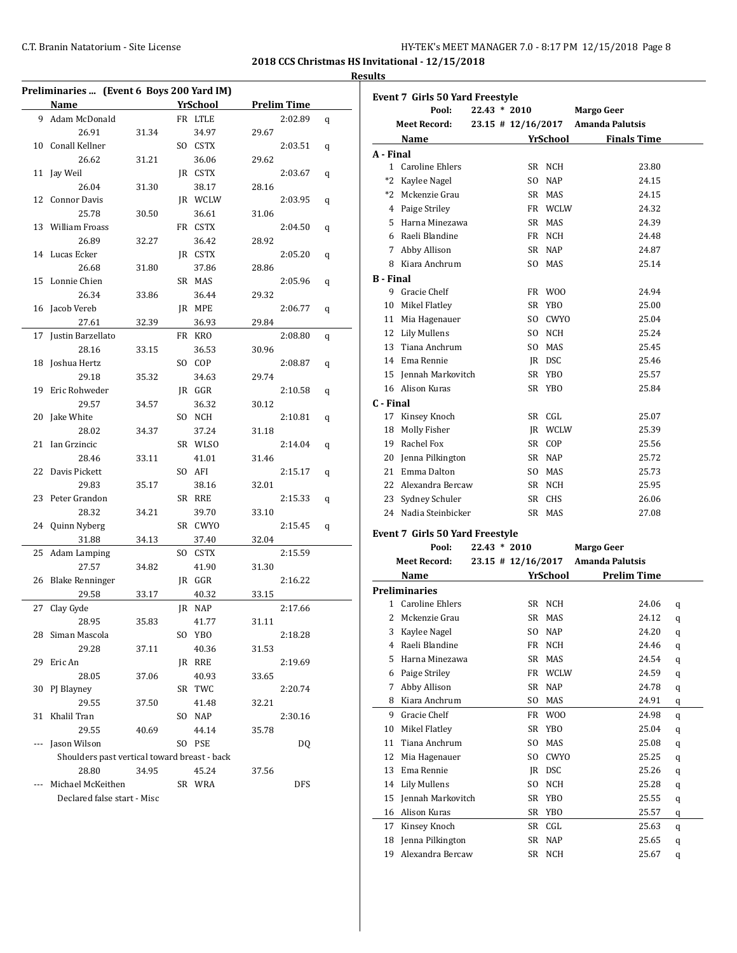| HY-TEK's MEET MANAGER 7.0 - 8:17 PM 12/15/2018 Page 8 |  |  |
|-------------------------------------------------------|--|--|
|-------------------------------------------------------|--|--|

#### **Results**

| YrSchool<br><b>Prelim Time</b><br><b>Name</b><br>9 Adam McDonald<br>FR LTLE<br>2:02.89<br>q<br>26.91<br>34.97<br>31.34<br>29.67<br>Conall Kellner<br>SO CSTX<br>2:03.51<br>10<br>q<br>36.06<br>26.62<br>31.21<br>29.62<br>Jay Weil<br>JR CSTX<br>2:03.67<br>11<br>q<br>26.04<br>31.30<br>38.17<br>28.16<br>JR WCLW<br>12<br>Connor Davis<br>2:03.95<br>q<br>25.78<br>30.50<br>36.61<br>31.06<br>William Froass<br>FR CSTX<br>13<br>2:04.50<br>q<br>26.89<br>36.42<br>32.27<br>28.92<br>Lucas Ecker<br>JR CSTX<br>14<br>2:05.20<br>q<br>26.68<br>37.86<br>31.80<br>28.86<br>Lonnie Chien<br>SR MAS<br>15<br>2:05.96<br>q<br>26.34<br>36.44<br>33.86<br>29.32<br>Jacob Vereb<br>JR MPE<br>16<br>2:06.77<br>q<br>27.61<br>32.39<br>36.93<br>29.84<br>Justin Barzellato<br>FR KRO<br>17<br>2:08.80<br>q<br>28.16<br>36.53<br>33.15<br>30.96<br>Joshua Hertz<br>SO COP<br>18<br>2:08.87<br>q<br>29.18<br>34.63<br>35.32<br>29.74<br>Eric Rohweder<br>JR GGR<br>2:10.58<br>19<br>q<br>36.32<br>29.57<br>30.12<br>34.57<br>Jake White<br>SO NCH<br>2:10.81<br>20<br>q<br>28.02<br>37.24<br>31.18<br>34.37<br>21<br>Ian Grzincic<br>SR WLSO<br>2:14.04<br>q<br>28.46<br>33.11<br>41.01<br>31.46<br>22<br>Davis Pickett<br>SO AFI<br>2:15.17<br>q<br>29.83<br>35.17<br>38.16<br>32.01<br>Peter Grandon<br>SR RRE<br>23<br>2:15.33<br>q<br>28.32<br>39.70<br>34.21<br>33.10<br>Quinn Nyberg<br>SR CWYO<br>2:15.45<br>24<br>q<br>31.88<br>34.13<br>37.40<br>32.04<br>Adam Lamping<br>SO CSTX<br>2:15.59<br>25<br>27.57<br>41.90<br>34.82<br>31.30<br><b>Blake Renninger</b><br>JR GGR<br>2:16.22<br>26<br>29.58<br>33.17<br>40.32<br>33.15<br>Clay Gyde<br>JR NAP<br>2:17.66<br>27<br>28.95<br>35.83<br>41.77<br>31.11<br>Siman Mascola<br>SO YBO<br>28<br>2:18.28<br>29.28<br>40.36<br>37.11<br>31.53<br>29<br>Eric An<br>JR RRE<br>2:19.69<br>28.05<br>40.93<br>37.06<br>33.65<br>30<br>PJ Blayney<br>SR TWC<br>2:20.74<br>29.55<br>41.48<br>37.50<br>32.21<br>31<br>Khalil Tran<br>SO NAP<br>2:30.16<br>29.55<br>44.14<br>35.78<br>40.69<br>Jason Wilson<br>SO PSE<br>DQ<br>---<br>Shoulders past vertical toward breast - back<br>28.80<br>45.24<br>34.95<br>37.56<br>Michael McKeithen<br>SR WRA<br>DFS<br>Declared false start - Misc | Preliminaries  (Event 6 Boys 200 Yard IM) |  |  |  |
|----------------------------------------------------------------------------------------------------------------------------------------------------------------------------------------------------------------------------------------------------------------------------------------------------------------------------------------------------------------------------------------------------------------------------------------------------------------------------------------------------------------------------------------------------------------------------------------------------------------------------------------------------------------------------------------------------------------------------------------------------------------------------------------------------------------------------------------------------------------------------------------------------------------------------------------------------------------------------------------------------------------------------------------------------------------------------------------------------------------------------------------------------------------------------------------------------------------------------------------------------------------------------------------------------------------------------------------------------------------------------------------------------------------------------------------------------------------------------------------------------------------------------------------------------------------------------------------------------------------------------------------------------------------------------------------------------------------------------------------------------------------------------------------------------------------------------------------------------------------------------------------------------------------------------------------------------------------------------------------------------------------------------------------------------------------------------------------------------------------------------------------------------------------------------------------------------------------------------------|-------------------------------------------|--|--|--|
|                                                                                                                                                                                                                                                                                                                                                                                                                                                                                                                                                                                                                                                                                                                                                                                                                                                                                                                                                                                                                                                                                                                                                                                                                                                                                                                                                                                                                                                                                                                                                                                                                                                                                                                                                                                                                                                                                                                                                                                                                                                                                                                                                                                                                                  |                                           |  |  |  |
|                                                                                                                                                                                                                                                                                                                                                                                                                                                                                                                                                                                                                                                                                                                                                                                                                                                                                                                                                                                                                                                                                                                                                                                                                                                                                                                                                                                                                                                                                                                                                                                                                                                                                                                                                                                                                                                                                                                                                                                                                                                                                                                                                                                                                                  |                                           |  |  |  |
|                                                                                                                                                                                                                                                                                                                                                                                                                                                                                                                                                                                                                                                                                                                                                                                                                                                                                                                                                                                                                                                                                                                                                                                                                                                                                                                                                                                                                                                                                                                                                                                                                                                                                                                                                                                                                                                                                                                                                                                                                                                                                                                                                                                                                                  |                                           |  |  |  |
|                                                                                                                                                                                                                                                                                                                                                                                                                                                                                                                                                                                                                                                                                                                                                                                                                                                                                                                                                                                                                                                                                                                                                                                                                                                                                                                                                                                                                                                                                                                                                                                                                                                                                                                                                                                                                                                                                                                                                                                                                                                                                                                                                                                                                                  |                                           |  |  |  |
|                                                                                                                                                                                                                                                                                                                                                                                                                                                                                                                                                                                                                                                                                                                                                                                                                                                                                                                                                                                                                                                                                                                                                                                                                                                                                                                                                                                                                                                                                                                                                                                                                                                                                                                                                                                                                                                                                                                                                                                                                                                                                                                                                                                                                                  |                                           |  |  |  |
|                                                                                                                                                                                                                                                                                                                                                                                                                                                                                                                                                                                                                                                                                                                                                                                                                                                                                                                                                                                                                                                                                                                                                                                                                                                                                                                                                                                                                                                                                                                                                                                                                                                                                                                                                                                                                                                                                                                                                                                                                                                                                                                                                                                                                                  |                                           |  |  |  |
|                                                                                                                                                                                                                                                                                                                                                                                                                                                                                                                                                                                                                                                                                                                                                                                                                                                                                                                                                                                                                                                                                                                                                                                                                                                                                                                                                                                                                                                                                                                                                                                                                                                                                                                                                                                                                                                                                                                                                                                                                                                                                                                                                                                                                                  |                                           |  |  |  |
|                                                                                                                                                                                                                                                                                                                                                                                                                                                                                                                                                                                                                                                                                                                                                                                                                                                                                                                                                                                                                                                                                                                                                                                                                                                                                                                                                                                                                                                                                                                                                                                                                                                                                                                                                                                                                                                                                                                                                                                                                                                                                                                                                                                                                                  |                                           |  |  |  |
|                                                                                                                                                                                                                                                                                                                                                                                                                                                                                                                                                                                                                                                                                                                                                                                                                                                                                                                                                                                                                                                                                                                                                                                                                                                                                                                                                                                                                                                                                                                                                                                                                                                                                                                                                                                                                                                                                                                                                                                                                                                                                                                                                                                                                                  |                                           |  |  |  |
|                                                                                                                                                                                                                                                                                                                                                                                                                                                                                                                                                                                                                                                                                                                                                                                                                                                                                                                                                                                                                                                                                                                                                                                                                                                                                                                                                                                                                                                                                                                                                                                                                                                                                                                                                                                                                                                                                                                                                                                                                                                                                                                                                                                                                                  |                                           |  |  |  |
|                                                                                                                                                                                                                                                                                                                                                                                                                                                                                                                                                                                                                                                                                                                                                                                                                                                                                                                                                                                                                                                                                                                                                                                                                                                                                                                                                                                                                                                                                                                                                                                                                                                                                                                                                                                                                                                                                                                                                                                                                                                                                                                                                                                                                                  |                                           |  |  |  |
|                                                                                                                                                                                                                                                                                                                                                                                                                                                                                                                                                                                                                                                                                                                                                                                                                                                                                                                                                                                                                                                                                                                                                                                                                                                                                                                                                                                                                                                                                                                                                                                                                                                                                                                                                                                                                                                                                                                                                                                                                                                                                                                                                                                                                                  |                                           |  |  |  |
|                                                                                                                                                                                                                                                                                                                                                                                                                                                                                                                                                                                                                                                                                                                                                                                                                                                                                                                                                                                                                                                                                                                                                                                                                                                                                                                                                                                                                                                                                                                                                                                                                                                                                                                                                                                                                                                                                                                                                                                                                                                                                                                                                                                                                                  |                                           |  |  |  |
|                                                                                                                                                                                                                                                                                                                                                                                                                                                                                                                                                                                                                                                                                                                                                                                                                                                                                                                                                                                                                                                                                                                                                                                                                                                                                                                                                                                                                                                                                                                                                                                                                                                                                                                                                                                                                                                                                                                                                                                                                                                                                                                                                                                                                                  |                                           |  |  |  |
|                                                                                                                                                                                                                                                                                                                                                                                                                                                                                                                                                                                                                                                                                                                                                                                                                                                                                                                                                                                                                                                                                                                                                                                                                                                                                                                                                                                                                                                                                                                                                                                                                                                                                                                                                                                                                                                                                                                                                                                                                                                                                                                                                                                                                                  |                                           |  |  |  |
|                                                                                                                                                                                                                                                                                                                                                                                                                                                                                                                                                                                                                                                                                                                                                                                                                                                                                                                                                                                                                                                                                                                                                                                                                                                                                                                                                                                                                                                                                                                                                                                                                                                                                                                                                                                                                                                                                                                                                                                                                                                                                                                                                                                                                                  |                                           |  |  |  |
|                                                                                                                                                                                                                                                                                                                                                                                                                                                                                                                                                                                                                                                                                                                                                                                                                                                                                                                                                                                                                                                                                                                                                                                                                                                                                                                                                                                                                                                                                                                                                                                                                                                                                                                                                                                                                                                                                                                                                                                                                                                                                                                                                                                                                                  |                                           |  |  |  |
|                                                                                                                                                                                                                                                                                                                                                                                                                                                                                                                                                                                                                                                                                                                                                                                                                                                                                                                                                                                                                                                                                                                                                                                                                                                                                                                                                                                                                                                                                                                                                                                                                                                                                                                                                                                                                                                                                                                                                                                                                                                                                                                                                                                                                                  |                                           |  |  |  |
|                                                                                                                                                                                                                                                                                                                                                                                                                                                                                                                                                                                                                                                                                                                                                                                                                                                                                                                                                                                                                                                                                                                                                                                                                                                                                                                                                                                                                                                                                                                                                                                                                                                                                                                                                                                                                                                                                                                                                                                                                                                                                                                                                                                                                                  |                                           |  |  |  |
|                                                                                                                                                                                                                                                                                                                                                                                                                                                                                                                                                                                                                                                                                                                                                                                                                                                                                                                                                                                                                                                                                                                                                                                                                                                                                                                                                                                                                                                                                                                                                                                                                                                                                                                                                                                                                                                                                                                                                                                                                                                                                                                                                                                                                                  |                                           |  |  |  |
|                                                                                                                                                                                                                                                                                                                                                                                                                                                                                                                                                                                                                                                                                                                                                                                                                                                                                                                                                                                                                                                                                                                                                                                                                                                                                                                                                                                                                                                                                                                                                                                                                                                                                                                                                                                                                                                                                                                                                                                                                                                                                                                                                                                                                                  |                                           |  |  |  |
|                                                                                                                                                                                                                                                                                                                                                                                                                                                                                                                                                                                                                                                                                                                                                                                                                                                                                                                                                                                                                                                                                                                                                                                                                                                                                                                                                                                                                                                                                                                                                                                                                                                                                                                                                                                                                                                                                                                                                                                                                                                                                                                                                                                                                                  |                                           |  |  |  |
|                                                                                                                                                                                                                                                                                                                                                                                                                                                                                                                                                                                                                                                                                                                                                                                                                                                                                                                                                                                                                                                                                                                                                                                                                                                                                                                                                                                                                                                                                                                                                                                                                                                                                                                                                                                                                                                                                                                                                                                                                                                                                                                                                                                                                                  |                                           |  |  |  |
|                                                                                                                                                                                                                                                                                                                                                                                                                                                                                                                                                                                                                                                                                                                                                                                                                                                                                                                                                                                                                                                                                                                                                                                                                                                                                                                                                                                                                                                                                                                                                                                                                                                                                                                                                                                                                                                                                                                                                                                                                                                                                                                                                                                                                                  |                                           |  |  |  |
|                                                                                                                                                                                                                                                                                                                                                                                                                                                                                                                                                                                                                                                                                                                                                                                                                                                                                                                                                                                                                                                                                                                                                                                                                                                                                                                                                                                                                                                                                                                                                                                                                                                                                                                                                                                                                                                                                                                                                                                                                                                                                                                                                                                                                                  |                                           |  |  |  |
|                                                                                                                                                                                                                                                                                                                                                                                                                                                                                                                                                                                                                                                                                                                                                                                                                                                                                                                                                                                                                                                                                                                                                                                                                                                                                                                                                                                                                                                                                                                                                                                                                                                                                                                                                                                                                                                                                                                                                                                                                                                                                                                                                                                                                                  |                                           |  |  |  |
|                                                                                                                                                                                                                                                                                                                                                                                                                                                                                                                                                                                                                                                                                                                                                                                                                                                                                                                                                                                                                                                                                                                                                                                                                                                                                                                                                                                                                                                                                                                                                                                                                                                                                                                                                                                                                                                                                                                                                                                                                                                                                                                                                                                                                                  |                                           |  |  |  |
|                                                                                                                                                                                                                                                                                                                                                                                                                                                                                                                                                                                                                                                                                                                                                                                                                                                                                                                                                                                                                                                                                                                                                                                                                                                                                                                                                                                                                                                                                                                                                                                                                                                                                                                                                                                                                                                                                                                                                                                                                                                                                                                                                                                                                                  |                                           |  |  |  |
|                                                                                                                                                                                                                                                                                                                                                                                                                                                                                                                                                                                                                                                                                                                                                                                                                                                                                                                                                                                                                                                                                                                                                                                                                                                                                                                                                                                                                                                                                                                                                                                                                                                                                                                                                                                                                                                                                                                                                                                                                                                                                                                                                                                                                                  |                                           |  |  |  |
|                                                                                                                                                                                                                                                                                                                                                                                                                                                                                                                                                                                                                                                                                                                                                                                                                                                                                                                                                                                                                                                                                                                                                                                                                                                                                                                                                                                                                                                                                                                                                                                                                                                                                                                                                                                                                                                                                                                                                                                                                                                                                                                                                                                                                                  |                                           |  |  |  |
|                                                                                                                                                                                                                                                                                                                                                                                                                                                                                                                                                                                                                                                                                                                                                                                                                                                                                                                                                                                                                                                                                                                                                                                                                                                                                                                                                                                                                                                                                                                                                                                                                                                                                                                                                                                                                                                                                                                                                                                                                                                                                                                                                                                                                                  |                                           |  |  |  |
|                                                                                                                                                                                                                                                                                                                                                                                                                                                                                                                                                                                                                                                                                                                                                                                                                                                                                                                                                                                                                                                                                                                                                                                                                                                                                                                                                                                                                                                                                                                                                                                                                                                                                                                                                                                                                                                                                                                                                                                                                                                                                                                                                                                                                                  |                                           |  |  |  |
|                                                                                                                                                                                                                                                                                                                                                                                                                                                                                                                                                                                                                                                                                                                                                                                                                                                                                                                                                                                                                                                                                                                                                                                                                                                                                                                                                                                                                                                                                                                                                                                                                                                                                                                                                                                                                                                                                                                                                                                                                                                                                                                                                                                                                                  |                                           |  |  |  |
|                                                                                                                                                                                                                                                                                                                                                                                                                                                                                                                                                                                                                                                                                                                                                                                                                                                                                                                                                                                                                                                                                                                                                                                                                                                                                                                                                                                                                                                                                                                                                                                                                                                                                                                                                                                                                                                                                                                                                                                                                                                                                                                                                                                                                                  |                                           |  |  |  |
|                                                                                                                                                                                                                                                                                                                                                                                                                                                                                                                                                                                                                                                                                                                                                                                                                                                                                                                                                                                                                                                                                                                                                                                                                                                                                                                                                                                                                                                                                                                                                                                                                                                                                                                                                                                                                                                                                                                                                                                                                                                                                                                                                                                                                                  |                                           |  |  |  |
|                                                                                                                                                                                                                                                                                                                                                                                                                                                                                                                                                                                                                                                                                                                                                                                                                                                                                                                                                                                                                                                                                                                                                                                                                                                                                                                                                                                                                                                                                                                                                                                                                                                                                                                                                                                                                                                                                                                                                                                                                                                                                                                                                                                                                                  |                                           |  |  |  |
|                                                                                                                                                                                                                                                                                                                                                                                                                                                                                                                                                                                                                                                                                                                                                                                                                                                                                                                                                                                                                                                                                                                                                                                                                                                                                                                                                                                                                                                                                                                                                                                                                                                                                                                                                                                                                                                                                                                                                                                                                                                                                                                                                                                                                                  |                                           |  |  |  |
|                                                                                                                                                                                                                                                                                                                                                                                                                                                                                                                                                                                                                                                                                                                                                                                                                                                                                                                                                                                                                                                                                                                                                                                                                                                                                                                                                                                                                                                                                                                                                                                                                                                                                                                                                                                                                                                                                                                                                                                                                                                                                                                                                                                                                                  |                                           |  |  |  |
|                                                                                                                                                                                                                                                                                                                                                                                                                                                                                                                                                                                                                                                                                                                                                                                                                                                                                                                                                                                                                                                                                                                                                                                                                                                                                                                                                                                                                                                                                                                                                                                                                                                                                                                                                                                                                                                                                                                                                                                                                                                                                                                                                                                                                                  |                                           |  |  |  |
|                                                                                                                                                                                                                                                                                                                                                                                                                                                                                                                                                                                                                                                                                                                                                                                                                                                                                                                                                                                                                                                                                                                                                                                                                                                                                                                                                                                                                                                                                                                                                                                                                                                                                                                                                                                                                                                                                                                                                                                                                                                                                                                                                                                                                                  |                                           |  |  |  |
|                                                                                                                                                                                                                                                                                                                                                                                                                                                                                                                                                                                                                                                                                                                                                                                                                                                                                                                                                                                                                                                                                                                                                                                                                                                                                                                                                                                                                                                                                                                                                                                                                                                                                                                                                                                                                                                                                                                                                                                                                                                                                                                                                                                                                                  |                                           |  |  |  |
|                                                                                                                                                                                                                                                                                                                                                                                                                                                                                                                                                                                                                                                                                                                                                                                                                                                                                                                                                                                                                                                                                                                                                                                                                                                                                                                                                                                                                                                                                                                                                                                                                                                                                                                                                                                                                                                                                                                                                                                                                                                                                                                                                                                                                                  |                                           |  |  |  |
|                                                                                                                                                                                                                                                                                                                                                                                                                                                                                                                                                                                                                                                                                                                                                                                                                                                                                                                                                                                                                                                                                                                                                                                                                                                                                                                                                                                                                                                                                                                                                                                                                                                                                                                                                                                                                                                                                                                                                                                                                                                                                                                                                                                                                                  |                                           |  |  |  |
|                                                                                                                                                                                                                                                                                                                                                                                                                                                                                                                                                                                                                                                                                                                                                                                                                                                                                                                                                                                                                                                                                                                                                                                                                                                                                                                                                                                                                                                                                                                                                                                                                                                                                                                                                                                                                                                                                                                                                                                                                                                                                                                                                                                                                                  |                                           |  |  |  |
|                                                                                                                                                                                                                                                                                                                                                                                                                                                                                                                                                                                                                                                                                                                                                                                                                                                                                                                                                                                                                                                                                                                                                                                                                                                                                                                                                                                                                                                                                                                                                                                                                                                                                                                                                                                                                                                                                                                                                                                                                                                                                                                                                                                                                                  |                                           |  |  |  |
|                                                                                                                                                                                                                                                                                                                                                                                                                                                                                                                                                                                                                                                                                                                                                                                                                                                                                                                                                                                                                                                                                                                                                                                                                                                                                                                                                                                                                                                                                                                                                                                                                                                                                                                                                                                                                                                                                                                                                                                                                                                                                                                                                                                                                                  |                                           |  |  |  |
|                                                                                                                                                                                                                                                                                                                                                                                                                                                                                                                                                                                                                                                                                                                                                                                                                                                                                                                                                                                                                                                                                                                                                                                                                                                                                                                                                                                                                                                                                                                                                                                                                                                                                                                                                                                                                                                                                                                                                                                                                                                                                                                                                                                                                                  |                                           |  |  |  |
|                                                                                                                                                                                                                                                                                                                                                                                                                                                                                                                                                                                                                                                                                                                                                                                                                                                                                                                                                                                                                                                                                                                                                                                                                                                                                                                                                                                                                                                                                                                                                                                                                                                                                                                                                                                                                                                                                                                                                                                                                                                                                                                                                                                                                                  |                                           |  |  |  |
|                                                                                                                                                                                                                                                                                                                                                                                                                                                                                                                                                                                                                                                                                                                                                                                                                                                                                                                                                                                                                                                                                                                                                                                                                                                                                                                                                                                                                                                                                                                                                                                                                                                                                                                                                                                                                                                                                                                                                                                                                                                                                                                                                                                                                                  |                                           |  |  |  |
|                                                                                                                                                                                                                                                                                                                                                                                                                                                                                                                                                                                                                                                                                                                                                                                                                                                                                                                                                                                                                                                                                                                                                                                                                                                                                                                                                                                                                                                                                                                                                                                                                                                                                                                                                                                                                                                                                                                                                                                                                                                                                                                                                                                                                                  |                                           |  |  |  |
|                                                                                                                                                                                                                                                                                                                                                                                                                                                                                                                                                                                                                                                                                                                                                                                                                                                                                                                                                                                                                                                                                                                                                                                                                                                                                                                                                                                                                                                                                                                                                                                                                                                                                                                                                                                                                                                                                                                                                                                                                                                                                                                                                                                                                                  |                                           |  |  |  |
|                                                                                                                                                                                                                                                                                                                                                                                                                                                                                                                                                                                                                                                                                                                                                                                                                                                                                                                                                                                                                                                                                                                                                                                                                                                                                                                                                                                                                                                                                                                                                                                                                                                                                                                                                                                                                                                                                                                                                                                                                                                                                                                                                                                                                                  |                                           |  |  |  |

|                  | Event 7 Girls 50 Yard Freestyle                 |                |                 |                |                                    |              |
|------------------|-------------------------------------------------|----------------|-----------------|----------------|------------------------------------|--------------|
|                  | Pool:                                           | $22.43 * 2010$ |                 |                | <b>Margo Geer</b>                  |              |
|                  | <b>Meet Record:</b>                             |                |                 |                | 23.15 # 12/16/2017 Amanda Palutsis |              |
|                  | Name                                            |                |                 | YrSchool       | <b>Finals Time</b>                 |              |
| A - Final        |                                                 |                |                 |                |                                    |              |
|                  | 1 Caroline Ehlers                               |                |                 | SR NCH         | 23.80                              |              |
|                  | *2 Kaylee Nagel                                 |                |                 | SO NAP         | 24.15                              |              |
|                  | *2 Mckenzie Grau                                |                |                 | SR MAS         | 24.15                              |              |
|                  | 4 Paige Striley                                 |                |                 | FR WCLW        | 24.32                              |              |
|                  | 5 Harna Minezawa                                |                |                 | SR MAS         | 24.39                              |              |
|                  | 6 Raeli Blandine                                |                |                 | FR NCH         | 24.48                              |              |
|                  | 7 Abby Allison                                  |                |                 | SR NAP         | 24.87                              |              |
|                  | 8 Kiara Anchrum                                 |                |                 | SO MAS         | 25.14                              |              |
| <b>B</b> - Final |                                                 |                |                 |                |                                    |              |
|                  | 9 Gracie Chelf                                  |                |                 | FR WOO         | 24.94                              |              |
|                  | 10 Mikel Flatley                                |                |                 | SR YBO         | 25.00                              |              |
|                  | 11 Mia Hagenauer                                |                |                 | SO CWYO        | 25.04                              |              |
|                  | 12 Lily Mullens                                 |                |                 | SO NCH         | 25.24                              |              |
|                  | 13 Tiana Anchrum                                |                |                 | SO MAS         | 25.45                              |              |
|                  | 14 Ema Rennie                                   |                |                 | JR DSC         | 25.46                              |              |
|                  | 15 Jennah Markovitch                            |                |                 | SR YBO         | 25.57                              |              |
|                  | 16 Alison Kuras                                 |                |                 | SR YBO         | 25.84                              |              |
| C - Final        |                                                 |                |                 |                |                                    |              |
|                  | 17 Kinsey Knoch                                 |                |                 | SR CGL         | 25.07                              |              |
|                  | 18 Molly Fisher                                 |                |                 | JR WCLW        | 25.39                              |              |
|                  | 19 Rachel Fox                                   |                |                 | SR COP         | 25.56                              |              |
|                  | 20 Jenna Pilkington                             |                |                 | SR NAP         | 25.72                              |              |
|                  | 21 Emma Dalton                                  |                |                 | SO MAS         | 25.73                              |              |
|                  | 22 Alexandra Bercaw                             |                |                 | SR NCH         | 25.95                              |              |
|                  | 23 Sydney Schuler                               |                |                 | SR CHS         | 26.06                              |              |
|                  | 24 Nadia Steinbicker                            |                |                 | SR MAS         | 27.08                              |              |
|                  |                                                 |                |                 |                |                                    |              |
|                  | <b>Event 7 Girls 50 Yard Freestyle</b><br>Pool: | $22.43 * 2010$ |                 |                | <b>Margo Geer</b>                  |              |
|                  | <b>Meet Record:</b>                             |                |                 |                | 23.15 # 12/16/2017 Amanda Palutsis |              |
|                  | Name                                            |                | <b>YrSchool</b> |                | <b>Prelim Time</b>                 |              |
|                  | <b>Preliminaries</b>                            |                |                 |                |                                    |              |
|                  | 1 Caroline Ehlers                               |                |                 | SR NCH         | 24.06                              |              |
|                  | 2 Mckenzie Grau                                 |                |                 | SR MAS         | 24.12                              | q            |
|                  | 3 Kaylee Nagel                                  |                |                 | SO NAP         | 24.20                              | q            |
|                  | 4 Raeli Blandine                                |                |                 |                |                                    | $\mathbf{q}$ |
|                  |                                                 |                |                 | FR NCH<br>MAS  | 24.46                              | q            |
| 5                | Harna Minezawa                                  |                | SR              |                | 24.54                              | q            |
| 6                | Paige Striley                                   |                | FR              | WCLW           | 24.59                              | q            |
| 7                | Abby Allison<br>Kiara Anchrum                   |                | SR              | <b>NAP</b>     | 24.78                              | q            |
| 8                |                                                 |                | SO              | MAS            | 24.91                              | q            |
| 9                | Gracie Chelf                                    |                | FR              | W <sub>0</sub> | 24.98                              | q            |
| 10               | Mikel Flatley                                   |                |                 | SR YBO         | 25.04                              | q            |

 Tiana Anchrum SO MAS 25.08 q Mia Hagenauer SO CWYO 25.25 q Ema Rennie JR DSC 25.26 q Lily Mullens SO NCH 25.28 q Jennah Markovitch SR YBO 25.55 q Alison Kuras SR YBO 25.57 q Kinsey Knoch SR CGL 25.63 q Jenna Pilkington SR NAP 25.65 q Alexandra Bercaw SR NCH 25.67 q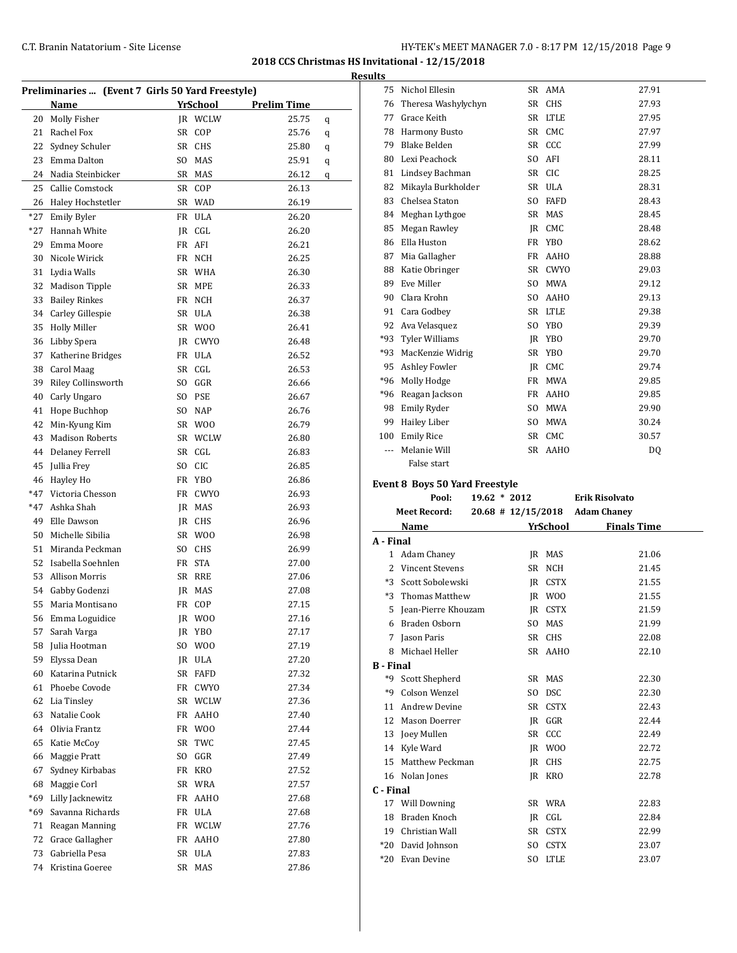|          | Preliminaries  (Event 7 Girls 50 Yard Freestyle) |     |                  |                    |   |
|----------|--------------------------------------------------|-----|------------------|--------------------|---|
|          | Name                                             |     | YrSchool         | <b>Prelim Time</b> |   |
| 20       | Molly Fisher                                     |     | JR WCLW          | 25.75              | q |
| 21       | Rachel Fox                                       | SR  | COP              | 25.76              | q |
| 22       | Sydney Schuler                                   |     | SR CHS           | 25.80              | q |
| 23       | Emma Dalton                                      | SO. | MAS              | 25.91              | q |
| 24       | Nadia Steinbicker                                | SR  | MAS              | 26.12              | q |
| 25       | Callie Comstock                                  | SR  | COP              | 26.13              |   |
| 26       | Haley Hochstetler                                | SR  | WAD              | 26.19              |   |
| *27      | <b>Emily Byler</b>                               | FR  | <b>ULA</b>       | 26.20              |   |
| $*27$    | Hannah White                                     |     | JR CGL           | 26.20              |   |
| 29       | Emma Moore                                       | FR  | AFI              | 26.21              |   |
| 30       | Nicole Wirick                                    |     | FR NCH           | 26.25              |   |
| 31       | Lydia Walls                                      |     | SR WHA           | 26.30              |   |
| 32       | <b>Madison Tipple</b>                            |     | SR MPE           | 26.33              |   |
| 33       | <b>Bailey Rinkes</b>                             |     | FR NCH           | 26.37              |   |
| 34       | Carley Gillespie                                 |     | SR ULA           | 26.38              |   |
| 35       | <b>Holly Miller</b>                              |     | SR WOO           | 26.41              |   |
| 36       | Libby Spera                                      |     | JR CWYO          | 26.48              |   |
| 37       | Katherine Bridges                                |     | FR ULA           | 26.52              |   |
|          | 38 Carol Maag                                    |     | SR CGL           | 26.53              |   |
| 39       | <b>Riley Collinsworth</b>                        |     | SO GGR           | 26.66              |   |
| 40       | Carly Ungaro                                     |     | SO PSE           | 26.67              |   |
| 41       | Hope Buchhop                                     |     | SO NAP           | 26.76              |   |
| 42       | Min-Kyung Kim                                    |     | SR WOO           | 26.79              |   |
| 43       | <b>Madison Roberts</b>                           |     | SR WCLW          | 26.80              |   |
| 44       | <b>Delaney Ferrell</b>                           |     | SR CGL           | 26.83              |   |
| 45       | Jullia Frey                                      |     | SO CIC           | 26.85              |   |
| 46       | Hayley Ho                                        | FR  | YBO              | 26.86              |   |
| *47      | Victoria Chesson                                 | FR  | <b>CWYO</b>      | 26.93              |   |
| *47      | Ashka Shah                                       |     | JR MAS           | 26.93              |   |
| 49       | Elle Dawson                                      |     | JR CHS           | 26.96              |   |
| 50       | Michelle Sibilia                                 |     | SR WOO           | 26.98              |   |
| 51       | Miranda Peckman                                  |     | SO CHS           | 26.99              |   |
| 52       | Isabella Soehnlen                                |     | FR STA           | 27.00              |   |
| 53       | <b>Allison Morris</b>                            |     | SR RRE           | 27.06              |   |
|          | 54 Gabby Godenzi                                 | JR  | MAS              | 27.08              |   |
| 55       | Maria Montisano                                  |     | FR COP           | 27.15              |   |
|          | 56 Emma Loguidice                                |     | JR WOO           | 27.16              |   |
| 57       | Sarah Varga                                      |     | JR YBO           | 27.17              |   |
| 58       | Julia Hootman                                    | SO  | W <sub>0</sub>   | 27.19              |   |
| 59       | Elyssa Dean                                      |     | JR ULA           | 27.20              |   |
| 60       | Katarina Putnick                                 |     | SR FAFD          | 27.32              |   |
| 61       | Phoebe Covode                                    |     | FR CWYO          | 27.34              |   |
| 62       | Lia Tinsley                                      |     | SR WCLW          | 27.36              |   |
| 63       | Natalie Cook                                     |     | FR AAHO          | 27.40              |   |
| 64       | Olivia Frantz                                    |     | FR WOO           | 27.44              |   |
| 65       | Katie McCoy                                      | SR  | TWC              | 27.45              |   |
| 66       | Maggie Pratt                                     | SO  | GGR              | 27.49              |   |
| 67       | Sydney Kirbabas                                  |     | FR KRO           | 27.52              |   |
| 68       | Maggie Corl                                      |     | SR WRA           | 27.57              |   |
| *69      | Lilly Jacknewitz                                 |     | FR AAHO          | 27.68              |   |
| *69      | Savanna Richards                                 |     | FR ULA           | 27.68              |   |
|          | 71 Reagan Manning                                |     | FR WCLW          | 27.76              |   |
|          | 72 Grace Gallagher                               |     | FR AAHO          | 27.80              |   |
| 73<br>74 | Gabriella Pesa<br>Kristina Goeree                |     | SR ULA<br>SR MAS | 27.83              |   |
|          |                                                  |     |                  | 27.86              |   |

| <b>Results</b>   |                                          |                   |                                |  |
|------------------|------------------------------------------|-------------------|--------------------------------|--|
|                  | 75 Nichol Ellesin                        | SR AMA            | 27.91                          |  |
|                  | 76 Theresa Washylychyn                   | SR CHS            | 27.93                          |  |
|                  | 77 Grace Keith                           | SR LTLE           | 27.95                          |  |
|                  | 78 Harmony Busto                         | SR CMC            | 27.97                          |  |
|                  | 79 Blake Belden                          | SR CCC            | 27.99                          |  |
|                  | 80 Lexi Peachock                         | SO AFI            | 28.11                          |  |
|                  | 81 Lindsey Bachman                       | SR CIC            | 28.25                          |  |
|                  | 82 Mikayla Burkholder                    | SR ULA            | 28.31                          |  |
|                  | 83 Chelsea Staton                        | SO FAFD           | 28.43                          |  |
|                  | 84 Meghan Lythgoe                        | SR MAS            | 28.45                          |  |
|                  | 85 Megan Rawley                          | IR CMC            | 28.48                          |  |
|                  | 86 Ella Huston                           | FR YBO            | 28.62                          |  |
|                  | 87 Mia Gallagher                         | FR AAHO           | 28.88                          |  |
|                  | 88 Katie Obringer                        | SR CWYO           | 29.03                          |  |
|                  | 89 Eve Miller                            | SO MWA            | 29.12                          |  |
|                  | 90 Clara Krohn                           | SO AAHO           | 29.13                          |  |
|                  | 91 Cara Godbey                           | SR LTLE           | 29.38                          |  |
|                  | 92 Ava Velasquez                         | SO YBO            | 29.39                          |  |
|                  | *93 Tyler Williams                       | JR YBO            | 29.70                          |  |
|                  | *93 MacKenzie Widrig                     | SR YBO            | 29.70                          |  |
|                  | 95 Ashley Fowler                         | JR CMC            | 29.74                          |  |
|                  | *96 Molly Hodge                          | FR MWA            | 29.85                          |  |
|                  | *96 Reagan Jackson                       | FR AAHO           | 29.85                          |  |
|                  | 98 Emily Ryder                           | SO MWA            | 29.90                          |  |
|                  | 99 Hailey Liber                          | SO MWA            | 30.24                          |  |
|                  | 100 Emily Rice                           | SR CMC            | 30.57                          |  |
|                  | --- Melanie Will                         | SR AAHO           | DQ                             |  |
|                  | False start                              |                   |                                |  |
|                  |                                          |                   |                                |  |
|                  |                                          |                   |                                |  |
|                  | <b>Event 8 Boys 50 Yard Freestyle</b>    |                   |                                |  |
|                  | Pool:<br>$19.62 * 2012$                  |                   | <b>Erik Risolvato</b>          |  |
|                  | <b>Meet Record:</b>                      |                   | 20.68 # 12/15/2018 Adam Chaney |  |
|                  | Name                                     | YrSchool          | <b>Finals Time</b>             |  |
| A - Final        |                                          |                   |                                |  |
|                  | 1 Adam Chaney                            | IR MAS            | 21.06                          |  |
|                  | 2 Vincent Stevens<br>*3 Scott Sobolewski | SR NCH<br>IR CSTX | 21.45<br>21.55                 |  |
|                  |                                          |                   |                                |  |
|                  | *3 Thomas Matthew                        | JR WOO            | 21.55                          |  |
|                  | 5 Jean-Pierre Khouzam                    | JR CSTX           | 21.59                          |  |
|                  | 6 Braden Osborn                          | SO MAS            | 21.99                          |  |
|                  | 7 Jason Paris                            | SR CHS<br>SR AAHO | 22.08<br>22.10                 |  |
|                  | 8 Michael Heller                         |                   |                                |  |
| <b>B</b> - Final |                                          |                   | 22.30                          |  |
|                  | *9 Scott Shepherd                        | SR MAS            |                                |  |
|                  | *9 Colson Wenzel<br>11 Andrew Devine     | SO DSC            | 22.30<br>22.43                 |  |
|                  | 12 Mason Doerrer                         | SR CSTX           |                                |  |
|                  | 13 Joey Mullen                           | JR GGR<br>SR CCC  | 22.44<br>22.49                 |  |
|                  |                                          | JR WOO            | 22.72                          |  |
|                  | 14 Kyle Ward<br>15 Matthew Peckman       |                   | 22.75                          |  |
|                  | 16 Nolan Jones                           | JR CHS<br>JR KRO  | 22.78                          |  |
|                  |                                          |                   |                                |  |
| C - Final        |                                          | SR WRA            | 22.83                          |  |
|                  | 17 Will Downing<br>18 Braden Knoch       | JR CGL            | 22.84                          |  |
|                  | 19 Christian Wall                        | SR CSTX           | 22.99                          |  |
|                  | *20 David Johnson                        | SO CSTX           | 23.07                          |  |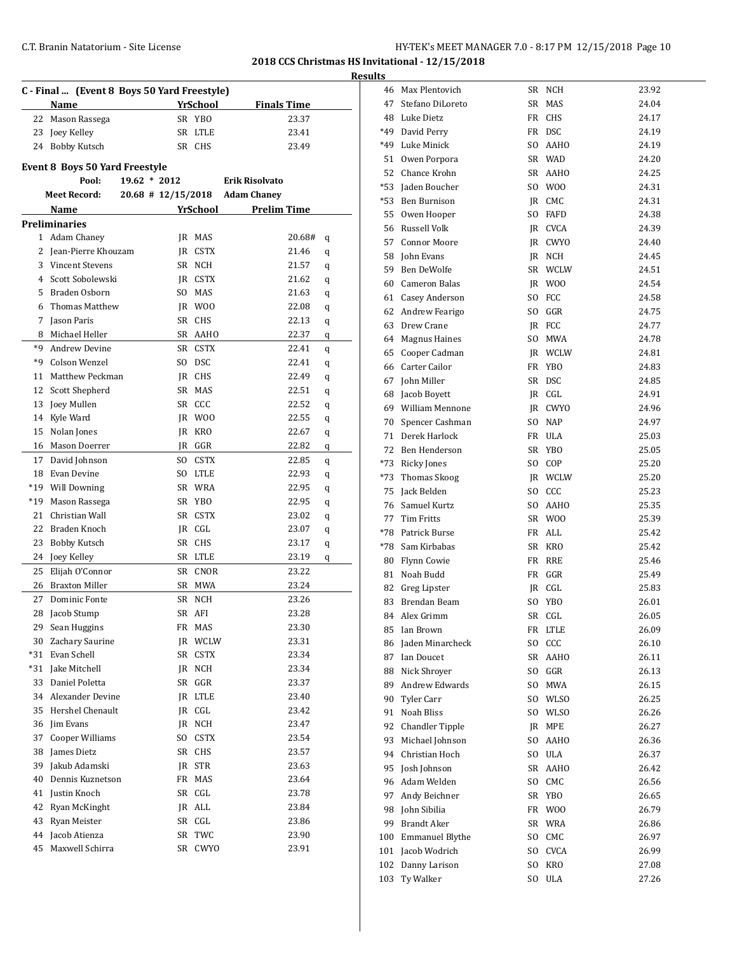|                | C - Final  (Event 8 Boys 50 Yard Freestyle) |           |             |                                |   |
|----------------|---------------------------------------------|-----------|-------------|--------------------------------|---|
|                | Name                                        |           | YrSchool    | <b>Finals Time</b>             |   |
| 22             | Mason Rassega                               |           | SR YBO      | 23.37                          |   |
| 23             | Joey Kelley                                 |           | SR LTLE     | 23.41                          |   |
| 24             | Bobby Kutsch                                |           | SR CHS      | 23.49                          |   |
|                | <b>Event 8 Boys 50 Yard Freestyle</b>       |           |             |                                |   |
|                | Pool:<br>$19.62 * 2012$                     |           |             | <b>Erik Risolvato</b>          |   |
|                | <b>Meet Record:</b>                         |           |             | 20.68 # 12/15/2018 Adam Chaney |   |
|                | Name                                        |           | YrSchool    | <b>Prelim Time</b>             |   |
|                | <b>Preliminaries</b>                        |           |             |                                |   |
| $\mathbf{1}$   | Adam Chaney                                 |           | JR MAS      | 20.68#                         | q |
| 2              | Jean-Pierre Khouzam                         |           | IR CSTX     | 21.46                          | q |
| 3              | <b>Vincent Stevens</b>                      |           | SR NCH      | 21.57                          | q |
| $\overline{4}$ | Scott Sobolewski                            |           | IR CSTX     | 21.62                          | q |
| 5              | Braden Osborn                               | SO.       | MAS         | 21.63                          | q |
| 6              | Thomas Matthew                              | IR        | W00         | 22.08                          | q |
| 7              | Jason Paris                                 | SR        | CHS         | 22.13                          | q |
| 8              | Michael Heller                              | SR        | AAHO        | 22.37                          | q |
| *9             | <b>Andrew Devine</b>                        | <b>SR</b> | <b>CSTX</b> | 22.41                          | q |
| *9             | Colson Wenzel                               | SO.       | <b>DSC</b>  | 22.41                          | q |
| 11             | Matthew Peckman                             | JR.       | CHS         | 22.49                          | q |
| 12             | Scott Shepherd                              | SR        | <b>MAS</b>  | 22.51                          | q |
| 13             | Joey Mullen                                 | SR        | CCC         | 22.52                          | q |
| 14             | Kyle Ward                                   |           | JR WOO      | 22.55                          | q |
| 15             | Nolan Jones                                 | IR        | KRO         | 22.67                          | q |
| 16             | Mason Doerrer                               | IR        | GGR         | 22.82                          | q |
| 17             | David Johnson                               | SO.       | CSTX        | 22.85                          | q |
| 18             | Evan Devine                                 | SO.       | <b>LTLE</b> | 22.93                          | q |
| *19            | <b>Will Downing</b>                         |           | SR WRA      | 22.95                          | q |
| $*19$          | Mason Rassega                               | SR        | YBO         | 22.95                          | q |
| 21             | Christian Wall                              | <b>SR</b> | CSTX        | 23.02                          | q |
| 22             | Braden Knoch                                | JR        | CGL         | 23.07                          | q |
| 23             | Bobby Kutsch                                | SR        | <b>CHS</b>  | 23.17                          | q |
| 24             | Joey Kelley                                 | SR        | <b>LTLE</b> | 23.19                          | q |
| 25             | Elijah O'Connor                             | <b>SR</b> | CNOR        | 23.22                          |   |
| 26             | <b>Braxton Miller</b>                       | SR        | <b>MWA</b>  | 23.24                          |   |
| 27             | Dominic Fonte                               |           | SR NCH      | 23.26                          |   |
| 28             | Jacob Stump                                 |           | SR AFI      | 23.28                          |   |
| 29             | Sean Huggins                                |           | FR MAS      | 23.30                          |   |
| 30             | Zachary Saurine                             |           | JR WCLW     | 23.31                          |   |
|                | *31 Evan Schell                             |           | SR CSTX     | 23.34                          |   |
| *31            | Jake Mitchell                               |           | JR NCH      | 23.34                          |   |
| 33             | Daniel Poletta                              | SR        | GGR         | 23.37                          |   |
|                | 34 Alexander Devine                         | JR        | LTLE        | 23.40                          |   |
| 35             | Hershel Chenault                            | JR        | CGL         | 23.42                          |   |
|                | 36 Jim Evans                                | JR        | NCH         | 23.47                          |   |
| 37             | Cooper Williams                             | SO.       | <b>CSTX</b> | 23.54                          |   |
| 38             | James Dietz                                 | SR        | CHS         | 23.57                          |   |
| 39             | Jakub Adamski                               | JR        | STR         | 23.63                          |   |
| 40             | Dennis Kuznetson                            | FR        | MAS         | 23.64                          |   |
| 41             | Justin Knoch                                | SR        | CGL         | 23.78                          |   |
| 42             | Ryan McKinght                               |           | JR ALL      | 23.84                          |   |
| 43             | Ryan Meister                                |           | SR CGL      | 23.86                          |   |
|                | 44 Jacob Atienza                            | SR        | TWC         | 23.90                          |   |
|                | Maxwell Schirra                             |           |             |                                |   |
| 45             |                                             | SR        | <b>CWYO</b> | 23.91                          |   |

| esults |                     |     |                |       |
|--------|---------------------|-----|----------------|-------|
|        | 46 Max Plentovich   |     | SR NCH         | 23.92 |
| 47     | Stefano DiLoreto    |     | SR MAS         | 24.04 |
|        | 48 Luke Dietz       |     | FR CHS         | 24.17 |
|        | *49 David Perry     |     | FR DSC         | 24.19 |
|        | *49 Luke Minick     | SO. | AAHO           | 24.19 |
|        | 51 Owen Porpora     |     | SR WAD         | 24.20 |
|        | 52 Chance Krohn     |     | SR AAHO        | 24.25 |
|        | *53 Jaden Boucher   |     | SO WOO         | 24.31 |
|        | *53 Ben Burnison    |     | IR CMC         | 24.31 |
|        | 55 Owen Hooper      | SO. | <b>FAFD</b>    | 24.38 |
|        | 56 Russell Volk     |     | JR CVCA        | 24.39 |
|        | 57 Connor Moore     |     | JR CWYO        | 24.40 |
|        | 58 John Evans       |     | IR NCH         | 24.45 |
|        | 59 Ben DeWolfe      |     | SR WCLW        | 24.51 |
|        | 60 Cameron Balas    |     | JR WOO         | 24.54 |
|        | 61 Casey Anderson   | SO. | FCC            | 24.58 |
|        | 62 Andrew Fearigo   |     | SO GGR         | 24.75 |
|        | 63 Drew Crane       |     | IR FCC         | 24.77 |
|        | 64 Magnus Haines    | SO. | MWA            | 24.78 |
|        | 65 Cooper Cadman    |     | <b>IR WCLW</b> | 24.81 |
|        | 66 Carter Cailor    | FR  | YBO            | 24.83 |
|        | 67 John Miller      |     | SR DSC         | 24.85 |
|        | 68 Jacob Boyett     |     | IR CGL         | 24.91 |
|        | 69 William Mennone  |     | IR CWYO        | 24.96 |
|        | 70 Spencer Cashman  |     | SO NAP         | 24.97 |
|        | 71 Derek Harlock    |     | FR ULA         | 25.03 |
|        | 72 Ben Henderson    |     | SR YBO         | 25.05 |
|        | *73 Ricky Jones     |     | SO COP         | 25.20 |
|        | *73 Thomas Skoog    |     | IR WCLW        | 25.20 |
|        | 75 Jack Belden      |     | SO CCC         | 25.23 |
|        | 76 Samuel Kurtz     | SO. | <b>AAHO</b>    | 25.35 |
|        | 77 Tim Fritts       |     | SR WOO         | 25.39 |
|        | *78 Patrick Burse   |     | FR ALL         | 25.42 |
|        | *78 Sam Kirbabas    |     | SR KRO         | 25.42 |
|        | 80 Flynn Cowie      |     | FR RRE         | 25.46 |
|        | 81 Noah Budd        |     | FR GGR         | 25.49 |
|        | 82 Greg Lipster     |     | IR CGL         | 25.83 |
| 83     | Brendan Beam        | SO. | YBO            | 26.01 |
| 84     | Alex Grimm          |     | SR CGL         | 26.05 |
| 85     | Ian Brown           |     | FR LTLE        | 26.09 |
| 86     | Jaden Minarcheck    |     | SO CCC         | 26.10 |
|        | 87 Ian Doucet       |     | SR AAHO        | 26.11 |
|        | 88 Nick Shrover     |     | SO GGR         | 26.13 |
|        | 89 Andrew Edwards   | SO. | MWA            | 26.15 |
|        | 90 Tyler Carr       |     | SO WLSO        | 26.25 |
|        | 91 Noah Bliss       | SO. | WLSO           | 26.26 |
|        | 92 Chandler Tipple  |     | JR MPE         | 26.27 |
|        | 93 Michael Johnson  | SO. | AAHO           | 26.36 |
|        | 94 Christian Hoch   |     | SO ULA         | 26.37 |
|        | 95 Josh Johnson     |     | SR AAHO        | 26.42 |
|        | 96 Adam Welden      | SO  | CMC            | 26.56 |
|        | 97 Andy Beichner    |     | SR YBO         | 26.65 |
|        | 98 John Sibilia     |     | FR WOO         | 26.79 |
|        | 99 Brandt Aker      |     | SR WRA         | 26.86 |
|        | 100 Emmanuel Blythe | SO. | CMC            | 26.97 |
|        | 101 Jacob Wodrich   | SO. | <b>CVCA</b>    | 26.99 |
| 102    | Danny Larison       | SO. | <b>KRO</b>     | 27.08 |
| 103    | Ty Walker           |     | SO ULA         | 27.26 |
|        |                     |     |                |       |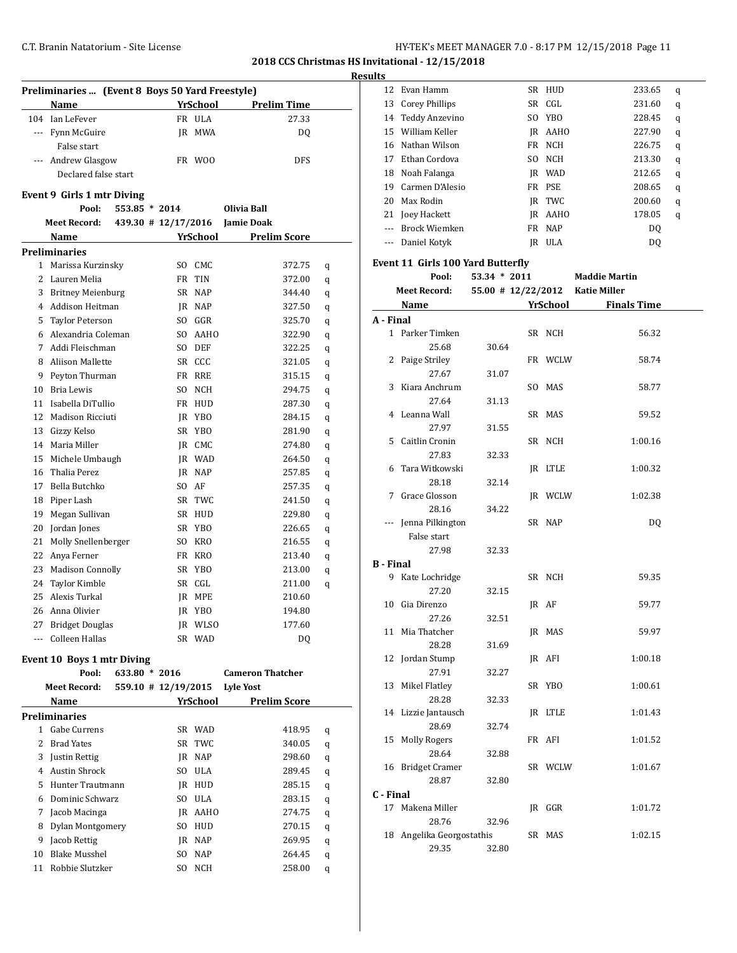| HY-TEK's MEET MANAGER 7.0 - 8:17 PM 12/15/2018 Page 11 |  |  |  |
|--------------------------------------------------------|--|--|--|
|--------------------------------------------------------|--|--|--|

 Evan Hamm SR HUD 233.65 q 13 Corey Phillips SR CGL 231.60 q Teddy Anzevino SO YBO 228.45 q William Keller JR AAHO 227.90 q Nathan Wilson FR NCH 226.75 q 17 Ethan Cordova SO NCH 213.30 q

**2018 CCS Christmas HS Invitational - 12/15/2018**

|    |                                                           |                     |                         | <b>Results</b> |
|----|-----------------------------------------------------------|---------------------|-------------------------|----------------|
|    | Preliminaries  (Event 8 Boys 50 Yard Freestyle)           |                     |                         |                |
|    | Name                                                      |                     | YrSchool Prelim Time    |                |
|    | 104 Ian LeFever                                           | FR ULA              | 27.33                   |                |
|    | --- Fynn McGuire                                          | IR MWA              | DQ                      |                |
|    | False start                                               |                     |                         |                |
|    | --- Andrew Glasgow                                        | FR WOO              | <b>DFS</b>              |                |
|    | Declared false start                                      |                     |                         |                |
|    | Event 9 Girls 1 mtr Diving                                |                     |                         |                |
|    | Pool:<br>$553.85 * 2014$                                  |                     | Olivia Ball             |                |
|    | Meet Record: 439.30 # 12/17/2016 Jamie Doak               |                     |                         |                |
|    | <b>Name Signal Science Pressure Pressure Prelim Score</b> |                     |                         |                |
|    | <b>Preliminaries</b>                                      |                     |                         |                |
|    | 1 Marissa Kurzinsky                                       | SO CMC              | 372.75                  | q              |
|    | 2 Lauren Melia                                            | FR TIN              | 372.00                  | q              |
|    | 3 Britney Meienburg                                       | SR NAP              | 344.40                  | q              |
|    | 4 Addison Heitman                                         | JR NAP              | 327.50                  | q              |
|    | 5 Taylor Peterson                                         | SO GGR              | 325.70                  | q              |
|    | 6 Alexandria Coleman                                      | SO AAHO             | 322.90                  | q              |
|    | 7 Addi Fleischman                                         | SO DEF              | 322.25                  | q              |
|    | 8 Aliison Mallette                                        | SR CCC              | 321.05                  | q              |
| 9  | Peyton Thurman                                            | FR RRE              | 315.15                  | q              |
|    | 10 Bria Lewis                                             | SO NCH              | 294.75                  | q              |
|    | 11 Isabella DiTullio                                      | FR HUD              | 287.30                  | q              |
|    | 12 Madison Ricciuti                                       | JR YBO              | 284.15                  | q              |
|    | 13 Gizzy Kelso                                            | SR YBO              | 281.90                  | q              |
|    | 14 Maria Miller                                           | JR CMC              | 274.80                  | q              |
|    | 15 Michele Umbaugh                                        | JR WAD              | 264.50                  | q              |
|    | 16 Thalia Perez                                           | IR NAP              | 257.85                  | q              |
|    | 17 Bella Butchko                                          | SO AF               | 257.35                  | q              |
|    | 18 Piper Lash                                             | SR TWC              | 241.50                  | q              |
| 19 | Megan Sullivan                                            | SR HUD              | 229.80                  | q              |
| 20 | Jordan Jones                                              | SR YBO              | 226.65                  | q              |
|    | 21 Molly Snellenberger                                    | SO KRO              | 216.55                  | q              |
|    | 22 Anya Ferner                                            | FR KRO              | 213.40                  | q              |
|    | 23 Madison Connolly                                       | SR YBO              | 213.00                  | q              |
|    | 24 Taylor Kimble                                          | SR CGL              | 211.00                  | q              |
|    | 25 Alexis Turkal                                          | JR MPE              | 210.60                  |                |
|    | 26 Anna Olivier                                           | JR YBO              | 194.80                  |                |
|    | 27 Bridget Douglas                                        | JR WLSO             | 177.60                  |                |
|    | --- Colleen Hallas                                        | SR WAD              | <b>DQ</b>               |                |
|    |                                                           |                     |                         |                |
|    | Event 10 Boys 1 mtr Diving<br>Pool:<br>633.80 * 2016      |                     | <b>Cameron Thatcher</b> |                |
|    | <b>Meet Record:</b>                                       | 559.10 # 12/19/2015 | <b>Lyle Yost</b>        |                |
|    | Name                                                      | YrSchool            | <b>Prelim Score</b>     |                |

1 Gabe Currens SR WAD 418.95 q 2 Brad Yates SR TWC 340.05 q Justin Rettig JR NAP 298.60 q Austin Shrock SO ULA 289.45 q Hunter Trautmann JR HUD 285.15 q Dominic Schwarz SO ULA 283.15 q 7 Jacob Macinga **JR** AAHO 274.75 q Dylan Montgomery SO HUD 270.15 q 9 Jacob Rettig MB JR NAP 269.95 q Blake Musshel SO NAP 264.45 q Robbie Slutzker SO NCH 258.00 q

|                  | 18 Noah Falanga                   |              | JR WAD  | 212.65                           | q |
|------------------|-----------------------------------|--------------|---------|----------------------------------|---|
|                  | 19 Carmen D'Alesio                |              | FR PSE  | 208.65                           | q |
|                  | 20 Max Rodin                      |              | JR TWC  | 200.60                           | q |
|                  | 21 Joey Hackett                   |              | JR AAHO | 178.05                           | q |
|                  | --- Brock Wiemken                 |              | FR NAP  | DQ                               |   |
|                  | --- Daniel Kotyk                  |              | IR ULA  | <b>DQ</b>                        |   |
|                  |                                   |              |         |                                  |   |
|                  | Event 11 Girls 100 Yard Butterfly |              |         |                                  |   |
|                  | Pool:                             | 53.34 * 2011 |         | <b>Maddie Martin</b>             |   |
|                  | <b>Meet Record:</b>               |              |         | 55.00 # 12/22/2012 Katie Miller  |   |
|                  |                                   |              |         | Name <b>YrSchool</b> Finals Time |   |
| A - Final        |                                   |              |         |                                  |   |
|                  | 1 Parker Timken                   |              | SR NCH  | 56.32                            |   |
|                  | 25.68                             | 30.64        |         |                                  |   |
|                  | 2 Paige Striley                   |              | FR WCLW | 58.74                            |   |
|                  | 27.67                             | 31.07        |         |                                  |   |
| 3                | Kiara Anchrum                     |              | SO MAS  | 58.77                            |   |
|                  | 27.64                             | 31.13        |         |                                  |   |
|                  | 4 Leanna Wall                     |              | SR MAS  | 59.52                            |   |
|                  | 27.97                             | 31.55        |         |                                  |   |
|                  | 5 Caitlin Cronin                  |              | SR NCH  | 1:00.16                          |   |
|                  | 27.83                             | 32.33        |         |                                  |   |
| 6                | Tara Witkowski                    |              | IR LTLE | 1:00.32                          |   |
|                  | 28.18                             | 32.14        |         |                                  |   |
| 7                | Grace Glosson                     |              | JR WCLW | 1:02.38                          |   |
|                  | 28.16                             | 34.22        |         |                                  |   |
|                  | --- Jenna Pilkington              |              | SR NAP  | DQ                               |   |
|                  | False start                       |              |         |                                  |   |
|                  | 27.98                             | 32.33        |         |                                  |   |
| <b>B</b> - Final | 9 Kate Lochridge                  |              | SR NCH  | 59.35                            |   |
|                  | 27.20                             | 32.15        |         |                                  |   |
|                  | 10 Gia Direnzo                    |              | JR AF   | 59.77                            |   |
|                  | 27.26                             | 32.51        |         |                                  |   |
|                  | 11 Mia Thatcher                   |              | JR MAS  | 59.97                            |   |
|                  | 28.28                             | 31.69        |         |                                  |   |
|                  | 12 Jordan Stump                   |              | JR AFI  | 1:00.18                          |   |
|                  | 27.91                             | 32.27        |         |                                  |   |
|                  | 13 Mikel Flatley                  |              | SR YBO  | 1:00.61                          |   |
|                  | 28.28                             | 32.33        |         |                                  |   |
|                  | 14 Lizzie Jantausch               |              | JR LTLE | 1:01.43                          |   |
|                  | 28.69                             | 32.74        |         |                                  |   |
| 15               | <b>Molly Rogers</b>               |              | FR AFI  | 1:01.52                          |   |
|                  | 28.64                             | 32.88        |         |                                  |   |
| 16               | <b>Bridget Cramer</b>             |              | SR WCLW | 1:01.67                          |   |
|                  | 28.87                             | 32.80        |         |                                  |   |
| C - Final        |                                   |              |         |                                  |   |
| 17               | Makena Miller                     |              | IR GGR  | 1:01.72                          |   |
|                  | 28.76                             | 32.96        |         |                                  |   |
|                  | 18 Angelika Georgostathis         |              | SR MAS  | 1:02.15                          |   |
|                  | 29.35                             | 32.80        |         |                                  |   |
|                  |                                   |              |         |                                  |   |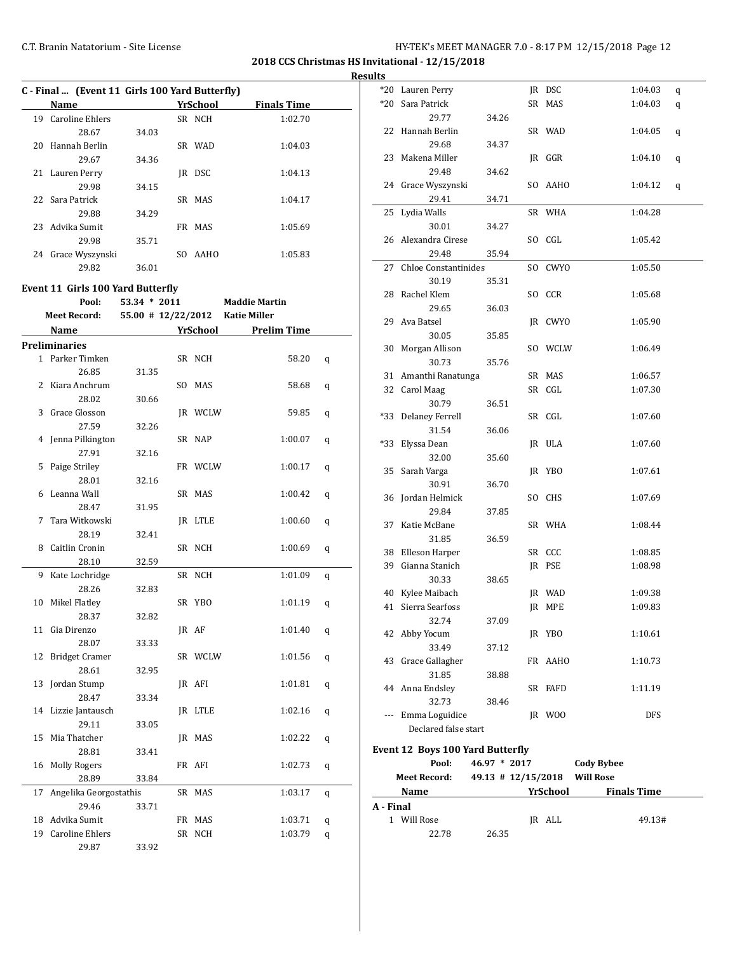**2018 CCS Christmas HS Invitational - 12/15/2018 Results**

|    | <b>Name</b>            |       |     | YrSchool   | <b>Finals Time</b> |
|----|------------------------|-------|-----|------------|--------------------|
| 19 | <b>Caroline Ehlers</b> |       |     | SR NCH     | 1:02.70            |
|    | 28.67                  | 34.03 |     |            |                    |
| 20 | Hannah Berlin          |       |     | SR WAD     | 1:04.03            |
|    | 29.67                  | 34.36 |     |            |                    |
|    | 21 Lauren Perry        |       | IR  | <b>DSC</b> | 1:04.13            |
|    | 29.98                  | 34.15 |     |            |                    |
|    | 22 Sara Patrick        |       |     | SR MAS     | 1:04.17            |
|    | 29.88                  | 34.29 |     |            |                    |
| 23 | Advika Sumit           |       |     | FR MAS     | 1:05.69            |
|    | 29.98                  | 35.71 |     |            |                    |
| 24 | Grace Wyszynski        |       | SO. | AAHO       | 1:05.83            |
|    | 29.82                  | 36.01 |     |            |                    |

#### **Event 11 Girls 100 Yard Butterfly**

|               | Pool:                  | $53.34 * 2011$     |    |          | <b>Maddie Martin</b> |   |
|---------------|------------------------|--------------------|----|----------|----------------------|---|
|               | <b>Meet Record:</b>    | 55.00 # 12/22/2012 |    |          | <b>Katie Miller</b>  |   |
|               | Name                   |                    |    | YrSchool | <b>Prelim Time</b>   |   |
|               | <b>Preliminaries</b>   |                    |    |          |                      |   |
| $\mathbf{1}$  | Parker Timken          |                    |    | SR NCH   | 58.20                | q |
|               | 26.85                  | 31.35              |    |          |                      |   |
| $\mathcal{L}$ | Kiara Anchrum          |                    |    | SO MAS   | 58.68                | q |
|               | 28.02                  | 30.66              |    |          |                      |   |
| 3             | Grace Glosson          |                    |    | IR WCLW  | 59.85                | q |
|               | 27.59                  | 32.26              |    |          |                      |   |
| 4             | Jenna Pilkington       |                    |    | SR NAP   | 1:00.07              | q |
|               | 27.91                  | 32.16              |    |          |                      |   |
| 5             | Paige Striley          |                    |    | FR WCLW  | 1:00.17              | q |
|               | 28.01                  | 32.16              |    |          |                      |   |
| 6             | Leanna Wall            |                    |    | SR MAS   | 1:00.42              | q |
|               | 28.47                  | 31.95              |    |          |                      |   |
| 7             | Tara Witkowski         |                    |    | IR LTLE  | 1:00.60              | q |
|               | 28.19                  | 32.41              |    |          |                      |   |
| 8             | Caitlin Cronin         |                    |    | SR NCH   | 1:00.69              | q |
|               | 28.10                  | 32.59              |    |          |                      |   |
| 9             | Kate Lochridge         |                    |    | SR NCH   | 1:01.09              | q |
|               | 28.26                  | 32.83              |    |          |                      |   |
| 10            | Mikel Flatley          |                    |    | SR YBO   | 1:01.19              | q |
|               | 28.37                  | 32.82              |    |          |                      |   |
| 11            | Gia Direnzo            |                    |    | IR AF    | 1:01.40              | q |
|               | 28.07                  | 33.33              |    |          |                      |   |
| 12            | <b>Bridget Cramer</b>  |                    |    | SR WCLW  | 1:01.56              | q |
|               | 28.61                  | 32.95              |    |          |                      |   |
| 13            | Jordan Stump           |                    |    | IR AFI   | 1:01.81              | q |
|               | 28.47                  | 33.34              |    |          |                      |   |
| 14            | Lizzie Jantausch       |                    |    | IR LTLE  | 1:02.16              | q |
|               | 29.11                  | 33.05              |    |          |                      |   |
| 15            | Mia Thatcher           |                    |    | IR MAS   | 1:02.22              | q |
|               | 28.81                  | 33.41              |    |          |                      |   |
| 16            | <b>Molly Rogers</b>    |                    |    | FR AFI   | 1:02.73              | q |
|               | 28.89                  | 33.84              |    |          |                      |   |
| 17            | Angelika Georgostathis |                    |    | SR MAS   | 1:03.17              | q |
|               | 29.46                  | 33.71              |    |          |                      |   |
| 18            | Advika Sumit           |                    |    | FR MAS   | 1:03.71              | q |
| 19            | <b>Caroline Ehlers</b> |                    | SR | NCH      | 1:03.79              | q |
|               | 29.87                  | 33.92              |    |          |                      |   |

| *20       | Lauren Perry                     |                        |     | JR DSC          | 1:04.03            | q |
|-----------|----------------------------------|------------------------|-----|-----------------|--------------------|---|
| *20       | Sara Patrick                     |                        |     | SR MAS          | 1:04.03            | q |
|           | 29.77                            | 34.26                  |     |                 |                    |   |
| 22        | Hannah Berlin                    |                        |     | SR WAD          | 1:04.05            | q |
|           | 29.68                            | 34.37                  |     |                 |                    |   |
| 23        | Makena Miller                    |                        |     | IR GGR          | 1:04.10            | q |
|           | 29.48                            | 34.62                  |     |                 |                    |   |
|           | 24 Grace Wyszynski               |                        |     | SO AAHO         | 1:04.12            | q |
|           | 29.41                            | 34.71                  |     |                 |                    |   |
| 25        | Lydia Walls                      |                        |     | SR WHA          | 1:04.28            |   |
|           | 30.01                            | 34.27                  |     |                 |                    |   |
|           | 26 Alexandra Cirese              |                        |     | SO CGL          | 1:05.42            |   |
|           | 29.48                            | 35.94                  |     |                 |                    |   |
| 27        | <b>Chloe Constantinides</b>      |                        | SO. | CWYO            | 1:05.50            |   |
|           | 30.19                            | 35.31                  |     |                 |                    |   |
|           | 28 Rachel Klem                   |                        |     | SO CCR          | 1:05.68            |   |
|           | 29.65                            | 36.03                  |     |                 |                    |   |
| 29        | Ava Batsel                       |                        |     | JR CWYO         | 1:05.90            |   |
|           | 30.05                            | 35.85                  |     |                 |                    |   |
| 30        | Morgan Allison                   |                        |     | SO WCLW         | 1:06.49            |   |
|           | 30.73                            | 35.76                  |     |                 |                    |   |
| 31        | Amanthi Ranatunga                |                        |     | SR MAS          | 1:06.57            |   |
| 32        | Carol Maag                       |                        |     | SR CGL          | 1:07.30            |   |
|           | 30.79                            | 36.51                  |     |                 |                    |   |
| *33       | <b>Delaney Ferrell</b>           |                        |     | SR CGL          | 1:07.60            |   |
|           | 31.54                            | 36.06                  |     |                 |                    |   |
| *33       | Elyssa Dean                      |                        |     | JR ULA          | 1:07.60            |   |
|           | 32.00                            | 35.60                  |     |                 |                    |   |
| 35        | Sarah Varga                      |                        |     | JR YBO          | 1:07.61            |   |
|           | 30.91                            | 36.70                  |     |                 |                    |   |
| 36        | Jordan Helmick                   |                        |     | SO CHS          | 1:07.69            |   |
|           | 29.84                            | 37.85                  |     |                 |                    |   |
| 37        | Katie McBane                     |                        |     | SR WHA          | 1:08.44            |   |
|           | 31.85                            | 36.59                  |     |                 |                    |   |
|           | 38 Elleson Harper                |                        |     | SR CCC          | 1:08.85            |   |
| 39        | Gianna Stanich                   |                        |     | JR PSE          | 1:08.98            |   |
|           | 30.33                            | 38.65                  |     |                 |                    |   |
| 40        | Kylee Maibach                    |                        |     | IR WAD          | 1:09.38            |   |
| 41        | Sierra Searfoss                  |                        |     | JR MPE          | 1:09.83            |   |
|           | 32.74                            | 37.09                  |     |                 |                    |   |
|           | 42 Abby Yocum                    |                        |     | JR YBO          | 1:10.61            |   |
|           | 33.49                            | 37.12                  |     |                 |                    |   |
| 43        | Grace Gallagher                  |                        |     | FR AAHO         | 1:10.73            |   |
|           | 31.85                            | 38.88                  |     |                 |                    |   |
|           | 44 Anna Endsley                  |                        |     | SR FAFD         | 1:11.19            |   |
|           | 32.73                            | 38.46                  |     |                 |                    |   |
|           | --- Emma Loguidice               |                        |     | JR WOO          | DFS                |   |
|           | Declared false start             |                        |     |                 |                    |   |
|           | Event 12 Boys 100 Yard Butterfly |                        |     |                 |                    |   |
|           | Pool:                            | 46.97 * 2017           |     |                 | <b>Cody Bybee</b>  |   |
|           | <b>Meet Record:</b>              | $49.13 \pm 12/15/2018$ |     |                 | <b>Will Rose</b>   |   |
|           |                                  |                        |     | <b>TrSchool</b> | <b>Finals Time</b> |   |
| A - Final | <u>Name</u>                      |                        |     |                 |                    |   |
|           | 1 Will Rose                      |                        |     | JR ALL          | 49.13#             |   |
|           |                                  |                        |     |                 |                    |   |

22.78 26.35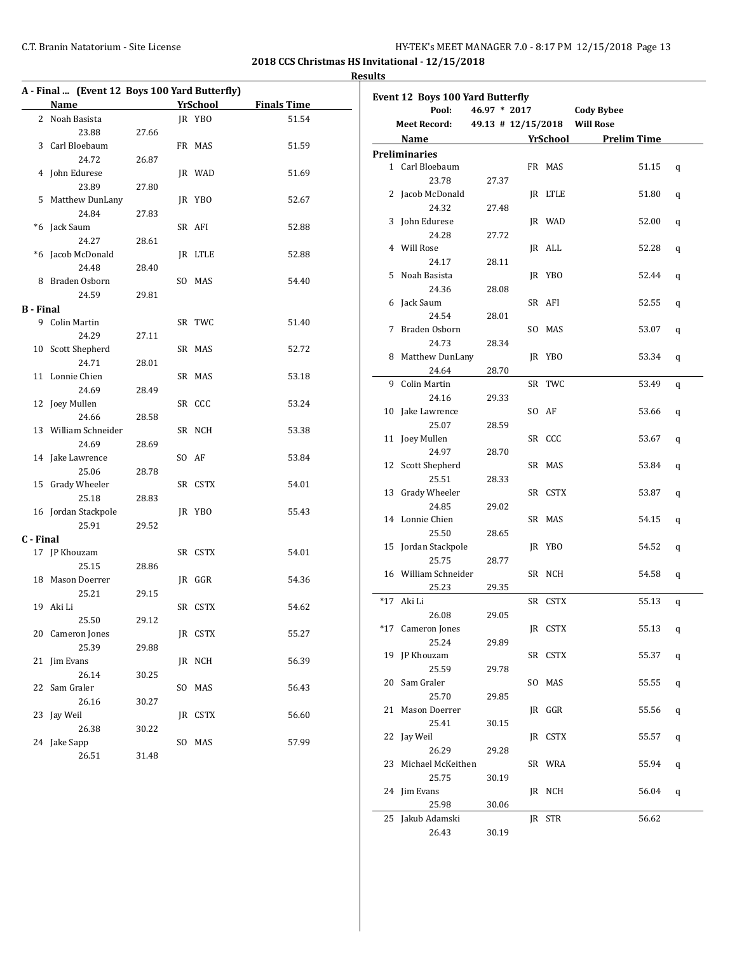**2018 CCS Christmas HS Invitational - 12/15/2018 Results**

|                  | Name                      |       | <b>YrSchool</b> | <b>Finals Time</b> | <b>Event 12 Boys 100 \</b> |
|------------------|---------------------------|-------|-----------------|--------------------|----------------------------|
|                  | 2 Noah Basista            |       | JR YBO          | 51.54              | Pool:                      |
|                  | 23.88                     | 27.66 |                 |                    | <b>Meet Record:</b>        |
|                  | 3 Carl Bloebaum           |       | FR MAS          | 51.59              | Name                       |
|                  | 24.72                     | 26.87 |                 |                    | <b>Preliminaries</b>       |
|                  | 4 John Edurese            |       | JR WAD          | 51.69              | 1 Carl Bloebaum            |
|                  | 23.89                     | 27.80 |                 |                    | 23.78                      |
|                  | 5 Matthew DunLany         |       | JR YBO          | 52.67              | 2 Jacob McDonald           |
|                  | 24.84                     | 27.83 |                 |                    | 24.32                      |
|                  | *6 Jack Saum              |       | SR AFI          | 52.88              | 3 John Edurese             |
|                  | 24.27                     | 28.61 |                 |                    | 24.28                      |
|                  | *6 Jacob McDonald         |       | IR LTLE         | 52.88              | 4 Will Rose                |
|                  | 24.48                     | 28.40 |                 |                    | 24.17                      |
|                  | 8 Braden Osborn           |       | SO MAS          | 54.40              | 5 Noah Basista             |
|                  | 24.59                     | 29.81 |                 |                    | 24.36                      |
| <b>B</b> - Final |                           |       |                 |                    | 6 Jack Saum                |
|                  | 9 Colin Martin            |       | SR TWC          | 51.40              | 24.54                      |
|                  | 24.29                     | 27.11 |                 |                    | 7 Braden Osborn            |
|                  | 10 Scott Shepherd         |       | SR MAS          | 52.72              | 24.73                      |
|                  | 24.71                     | 28.01 |                 |                    | 8 Matthew DunLa            |
|                  | 11 Lonnie Chien           |       | SR MAS          | 53.18              | 24.64                      |
|                  | 24.69                     | 28.49 |                 |                    | 9 Colin Martin             |
|                  | 12 Joey Mullen            |       | SR CCC          | 53.24              | 24.16                      |
|                  | 24.66                     | 28.58 |                 |                    | 10 Jake Lawrence           |
|                  | 13 William Schneider      |       | SR NCH          | 53.38              | 25.07                      |
|                  | 24.69                     | 28.69 |                 |                    | 11 Joey Mullen             |
|                  | 14 Jake Lawrence          |       | SO AF           | 53.84              | 24.97                      |
|                  | 25.06                     | 28.78 |                 |                    | 12 Scott Shepherd          |
|                  | 15 Grady Wheeler          |       | SR CSTX         | 54.01              | 25.51                      |
|                  | 25.18                     | 28.83 |                 |                    | 13 Grady Wheeler           |
|                  | 16 Jordan Stackpole       |       | JR YBO          | 55.43              | 24.85                      |
|                  | 25.91                     | 29.52 |                 |                    | 14 Lonnie Chien            |
| C - Final        |                           |       |                 |                    | 25.50                      |
|                  | 17 JP Khouzam             |       | SR CSTX         | 54.01              | 15 Jordan Stackpole        |
|                  | 25.15                     | 28.86 |                 |                    | 25.75                      |
|                  | 18 Mason Doerrer          |       | JR GGR          | 54.36              | 16 William Schneid         |
|                  | 25.21                     | 29.15 |                 |                    | 25.23                      |
|                  | 19 Aki Li                 |       | SR CSTX         | 54.62              | *17 Aki Li                 |
|                  |                           |       |                 |                    | 26.08                      |
|                  | 25.50                     | 29.12 |                 |                    | *17 Cameron Jones          |
|                  | 20 Cameron Jones<br>25.39 |       | JR CSTX         | 55.27              | 25.24                      |
|                  |                           | 29.88 |                 |                    | 19 JP Khouzam              |
|                  | 21 Jim Evans              |       | JR NCH          | 56.39              | 25.59                      |
|                  | 26.14                     | 30.25 |                 |                    | 20 Sam Graler              |
|                  | 22 Sam Graler             |       | SO MAS          | 56.43              | 25.70                      |
|                  | 26.16                     | 30.27 |                 |                    | 21 Mason Doerrer           |
|                  | 23 Jay Weil               |       | JR CSTX         | 56.60              | 25.41                      |
|                  | 26.38                     | 30.22 |                 |                    | 22 Jay Weil                |
|                  | 24 Jake Sapp              |       | SO MAS          | 57.99              | 26.29                      |
|                  | 26.51                     | 31.48 |                 |                    |                            |

|    | Event 12 Boys 100 Yard Butterfly<br>Pool:                                                                                                                                                                                     | $46.97 * 2017$ |         | <b>Cody Bybee</b>            |   |
|----|-------------------------------------------------------------------------------------------------------------------------------------------------------------------------------------------------------------------------------|----------------|---------|------------------------------|---|
|    | <b>Meet Record:</b>                                                                                                                                                                                                           |                |         | 49.13 # 12/15/2018 Will Rose |   |
|    |                                                                                                                                                                                                                               |                |         |                              |   |
|    | Name and the same state of the state of the state of the state of the state of the state of the state of the state of the state of the state of the state of the state of the state of the state of the state of the state of |                |         | YrSchool Prelim Time         |   |
|    | <b>Preliminaries</b>                                                                                                                                                                                                          |                |         |                              |   |
|    | 1 Carl Bloebaum                                                                                                                                                                                                               |                | FR MAS  | 51.15                        | q |
|    | 23.78                                                                                                                                                                                                                         | 27.37          |         |                              |   |
|    | 2 Jacob McDonald                                                                                                                                                                                                              |                | JR LTLE | 51.80                        | q |
|    | 24.32                                                                                                                                                                                                                         | 27.48          |         |                              |   |
|    | 3 John Edurese                                                                                                                                                                                                                |                | JR WAD  | 52.00                        | q |
|    | 24.28                                                                                                                                                                                                                         | 27.72          |         |                              |   |
|    | 4 Will Rose                                                                                                                                                                                                                   |                | IR ALL  | 52.28                        | q |
|    | 24.17                                                                                                                                                                                                                         | 28.11          |         |                              |   |
|    | 5 Noah Basista                                                                                                                                                                                                                |                | JR YBO  | 52.44                        | q |
|    | 24.36                                                                                                                                                                                                                         | 28.08          |         |                              |   |
|    | 6 Jack Saum                                                                                                                                                                                                                   |                | SR AFI  | 52.55                        | q |
|    | 24.54                                                                                                                                                                                                                         | 28.01          |         |                              |   |
| 7  | Braden Osborn                                                                                                                                                                                                                 |                | SO MAS  | 53.07                        | q |
|    | 24.73                                                                                                                                                                                                                         | 28.34          |         |                              |   |
|    | 8 Matthew DunLany                                                                                                                                                                                                             |                | JR YBO  | 53.34                        | q |
|    | 24.64                                                                                                                                                                                                                         | 28.70          |         |                              |   |
| 9  | Colin Martin                                                                                                                                                                                                                  |                | SR TWC  | 53.49                        | q |
|    | 24.16                                                                                                                                                                                                                         | 29.33          |         |                              |   |
|    | 10 Jake Lawrence                                                                                                                                                                                                              |                | SO AF   | 53.66                        | q |
|    | 25.07                                                                                                                                                                                                                         | 28.59          |         |                              |   |
|    | 11 Joey Mullen                                                                                                                                                                                                                |                | SR CCC  | 53.67                        | q |
|    | 24.97                                                                                                                                                                                                                         | 28.70          |         |                              |   |
|    | 12 Scott Shepherd                                                                                                                                                                                                             |                | SR MAS  | 53.84                        | q |
|    | 25.51                                                                                                                                                                                                                         | 28.33          |         |                              |   |
|    | 13 Grady Wheeler                                                                                                                                                                                                              |                | SR CSTX | 53.87                        | q |
|    | 24.85                                                                                                                                                                                                                         | 29.02          |         |                              |   |
|    | 14 Lonnie Chien                                                                                                                                                                                                               |                | SR MAS  | 54.15                        | q |
|    | 25.50                                                                                                                                                                                                                         | 28.65          |         |                              |   |
|    | 15 Jordan Stackpole                                                                                                                                                                                                           |                | JR YBO  | 54.52                        | q |
|    | 25.75                                                                                                                                                                                                                         | 28.77          |         |                              |   |
|    | 16 William Schneider                                                                                                                                                                                                          |                | SR NCH  | 54.58                        | q |
|    | 25.23                                                                                                                                                                                                                         | 29.35          |         |                              |   |
|    | *17 Aki Li                                                                                                                                                                                                                    |                | SR CSTX | 55.13                        | q |
|    | 26.08                                                                                                                                                                                                                         | 29.05          |         |                              |   |
|    | *17 Cameron Jones                                                                                                                                                                                                             |                | JR CSTX | 55.13                        | q |
|    | 25.24                                                                                                                                                                                                                         | 29.89          |         |                              |   |
|    | 19 JP Khouzam                                                                                                                                                                                                                 |                | SR CSTX | 55.37                        | q |
|    | 25.59                                                                                                                                                                                                                         | 29.78          |         |                              |   |
| 20 | Sam Graler                                                                                                                                                                                                                    |                | SO MAS  | 55.55                        | q |
|    | 25.70                                                                                                                                                                                                                         | 29.85          |         |                              |   |
| 21 | Mason Doerrer                                                                                                                                                                                                                 |                | JR GGR  | 55.56                        | q |
|    | 25.41                                                                                                                                                                                                                         | 30.15          |         |                              |   |
| 22 | Jay Weil                                                                                                                                                                                                                      |                | JR CSTX | 55.57                        | q |
|    | 26.29                                                                                                                                                                                                                         | 29.28          |         |                              |   |
|    | 23 Michael McKeithen                                                                                                                                                                                                          |                | SR WRA  | 55.94                        | q |
|    | 25.75                                                                                                                                                                                                                         | 30.19          |         |                              |   |
|    | 24 Jim Evans                                                                                                                                                                                                                  |                | JR NCH  | 56.04                        | q |
|    | 25.98                                                                                                                                                                                                                         | 30.06          |         |                              |   |
|    | 25 Jakub Adamski                                                                                                                                                                                                              |                | JR STR  | 56.62                        |   |
|    | 26.43                                                                                                                                                                                                                         | 30.19          |         |                              |   |
|    |                                                                                                                                                                                                                               |                |         |                              |   |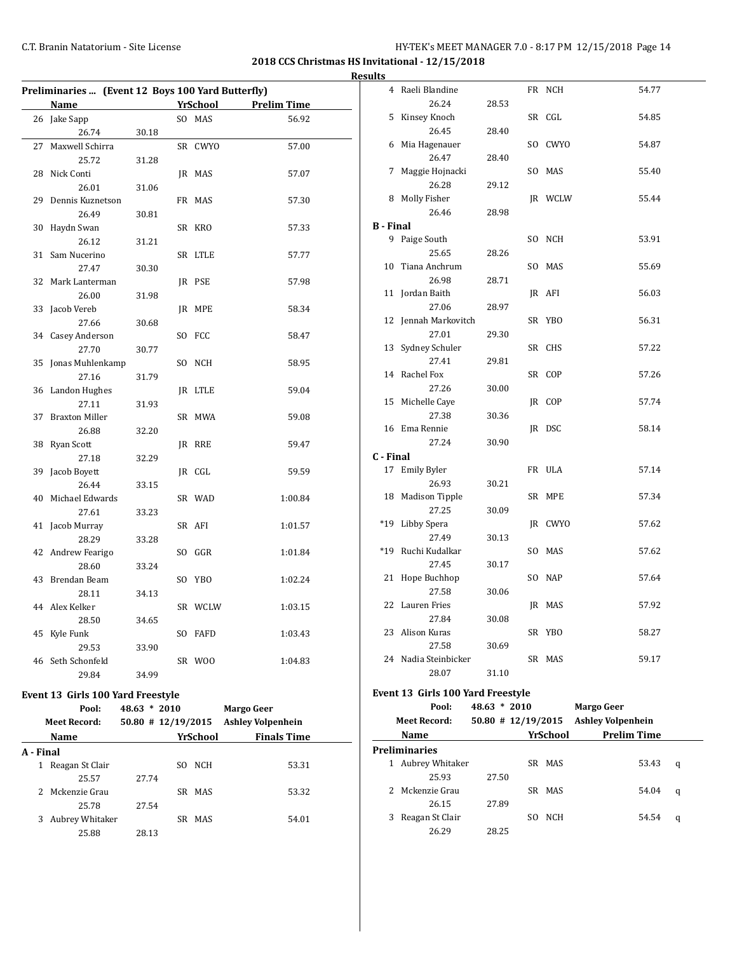# C.T. Branin Natatorium - Site License **HY-TEK's MEET MANAGER 7.0 - 8:17 PM 12/15/2018** Page 14

**2018 CCS Christmas HS Invitational - 12/15/2018 Results**

| Preliminaries  (Event 12 Boys 100 Yard Butterfly) |                       |       |  |          |                    |  |
|---------------------------------------------------|-----------------------|-------|--|----------|--------------------|--|
|                                                   | <b>Name</b>           |       |  | YrSchool | <b>Prelim Time</b> |  |
|                                                   | 26 Jake Sapp          |       |  | SO MAS   | 56.92              |  |
|                                                   | 26.74                 | 30.18 |  |          |                    |  |
| 27                                                | Maxwell Schirra       |       |  | SR CWYO  | 57.00              |  |
|                                                   | 25.72                 | 31.28 |  |          |                    |  |
| 28                                                | Nick Conti            |       |  | IR MAS   | 57.07              |  |
|                                                   | 26.01                 | 31.06 |  |          |                    |  |
| 29                                                | Dennis Kuznetson      |       |  | FR MAS   | 57.30              |  |
|                                                   | 26.49                 | 30.81 |  |          |                    |  |
| 30                                                | Haydn Swan            |       |  | SR KRO   | 57.33              |  |
|                                                   | 26.12                 | 31.21 |  |          |                    |  |
| 31                                                | Sam Nucerino          |       |  | SR LTLE  | 57.77              |  |
|                                                   | 27.47                 | 30.30 |  |          |                    |  |
| 32                                                | Mark Lanterman        |       |  | JR PSE   | 57.98              |  |
|                                                   | 26.00                 | 31.98 |  |          |                    |  |
| 33                                                | Jacob Vereb           |       |  | JR MPE   | 58.34              |  |
|                                                   | 27.66                 | 30.68 |  |          |                    |  |
|                                                   | 34 Casey Anderson     |       |  | SO FCC   | 58.47              |  |
|                                                   | 27.70                 | 30.77 |  |          |                    |  |
| 35                                                | Jonas Muhlenkamp      |       |  | SO NCH   | 58.95              |  |
|                                                   | 27.16                 | 31.79 |  |          |                    |  |
|                                                   | 36 Landon Hughes      |       |  | JR LTLE  | 59.04              |  |
|                                                   | 27.11                 | 31.93 |  |          |                    |  |
| 37                                                | <b>Braxton Miller</b> |       |  | SR MWA   | 59.08              |  |
|                                                   | 26.88                 | 32.20 |  |          |                    |  |
| 38                                                | Ryan Scott            |       |  | IR RRE   | 59.47              |  |
|                                                   | 27.18                 | 32.29 |  |          |                    |  |
| 39                                                | Jacob Boyett          |       |  | JR CGL   | 59.59              |  |
|                                                   | 26.44                 | 33.15 |  |          |                    |  |
| 40                                                | Michael Edwards       |       |  | SR WAD   | 1:00.84            |  |
|                                                   | 27.61                 | 33.23 |  |          |                    |  |
| 41                                                | Jacob Murray          |       |  | SR AFI   | 1:01.57            |  |
|                                                   | 28.29                 | 33.28 |  |          |                    |  |
|                                                   | 42 Andrew Fearigo     |       |  | SO GGR   | 1:01.84            |  |
|                                                   | 28.60                 | 33.24 |  |          |                    |  |
| 43                                                | Brendan Beam          |       |  | SO YBO   | 1:02.24            |  |
|                                                   | 28.11                 | 34.13 |  |          |                    |  |
|                                                   | 44 Alex Kelker        |       |  | SR WCLW  | 1:03.15            |  |
|                                                   | 28.50                 | 34.65 |  |          |                    |  |
| 45                                                | Kyle Funk             |       |  | SO FAFD  | 1:03.43            |  |
|                                                   | 29.53                 | 33.90 |  |          |                    |  |
|                                                   | 46 Seth Schonfeld     |       |  | SR WOO   | 1:04.83            |  |
|                                                   | 29.84                 | 34.99 |  |          |                    |  |

# **Event 13 Girls 100 Yard Freestyle**

|                | Pool:               | $48.63 * 2010$       |            | Margo Geer               |  |
|----------------|---------------------|----------------------|------------|--------------------------|--|
|                | <b>Meet Record:</b> | $50.80$ # 12/19/2015 |            | <b>Ashley Volpenhein</b> |  |
|                | Name                |                      | YrSchool   | <b>Finals Time</b>       |  |
| A - Final      |                     |                      |            |                          |  |
| 1              | Reagan St Clair     |                      | NCH<br>SO. | 53.31                    |  |
|                | 25.57               | 27.74                |            |                          |  |
| $\overline{2}$ | Mckenzie Grau       |                      | SR MAS     | 53.32                    |  |
|                | 25.78               | 27.54                |            |                          |  |
| 3              | Aubrey Whitaker     |                      | SR MAS     | 54.01                    |  |
|                | 25.88               | 28.13                |            |                          |  |
|                |                     |                      |            |                          |  |

| $\overline{4}$   | Raeli Blandine                    |       |     | FR NCH     | 54.77 |
|------------------|-----------------------------------|-------|-----|------------|-------|
|                  | 26.24                             | 28.53 |     |            |       |
| 5                | Kinsey Knoch                      |       |     | SR CGL     | 54.85 |
|                  | 26.45                             | 28.40 |     |            |       |
|                  | 6 Mia Hagenauer                   |       |     | SO CWYO    | 54.87 |
|                  | 26.47                             | 28.40 |     |            |       |
| 7                | Maggie Hojnacki                   |       | SO. | MAS        | 55.40 |
|                  | 26.28                             | 29.12 |     |            |       |
| 8                | Molly Fisher                      |       |     | JR WCLW    | 55.44 |
|                  | 26.46                             | 28.98 |     |            |       |
| <b>B</b> - Final |                                   |       |     |            |       |
| 9                | Paige South                       |       |     | SO NCH     | 53.91 |
|                  | 25.65                             | 28.26 |     |            |       |
| 10               | Tiana Anchrum                     |       |     | SO MAS     | 55.69 |
|                  | 26.98                             | 28.71 |     |            |       |
| 11               | Jordan Baith                      |       |     | JR AFI     | 56.03 |
|                  | 27.06                             | 28.97 |     |            |       |
| 12               | Jennah Markovitch                 |       |     | SR YBO     | 56.31 |
|                  | 27.01                             | 29.30 |     |            |       |
| 13               | Sydney Schuler                    |       |     | SR CHS     | 57.22 |
|                  | 27.41                             | 29.81 |     |            |       |
| 14               | Rachel Fox                        |       |     | SR COP     | 57.26 |
|                  | 27.26                             | 30.00 |     |            |       |
| 15               | Michelle Caye                     |       |     | JR COP     | 57.74 |
|                  | 27.38                             | 30.36 |     |            |       |
|                  | 16 Ema Rennie                     |       |     | JR DSC     | 58.14 |
|                  | 27.24                             | 30.90 |     |            |       |
| C - Final        |                                   |       |     |            |       |
|                  | 17 Emily Byler                    |       |     | FR ULA     | 57.14 |
|                  | 26.93                             | 30.21 |     |            |       |
| 18               | <b>Madison Tipple</b>             |       |     | SR MPE     | 57.34 |
|                  | 27.25                             | 30.09 |     |            |       |
| $*19$            | Libby Spera                       |       |     | JR CWYO    | 57.62 |
|                  | 27.49                             | 30.13 |     |            |       |
| $*19$            | Ruchi Kudalkar                    |       |     | SO MAS     | 57.62 |
|                  | 27.45                             | 30.17 |     |            |       |
| 21               | Hope Buchhop                      |       |     | SO NAP     | 57.64 |
|                  | 27.58                             | 30.06 |     |            |       |
| 22               | Lauren Fries                      |       |     | JR MAS     | 57.92 |
|                  | 27.84                             | 30.08 |     |            |       |
| 23               | Alison Kuras                      |       |     | SR YBO     | 58.27 |
|                  | 27.58                             | 30.69 |     |            |       |
|                  | 24 Nadia Steinbicker              |       |     | SR MAS     | 59.17 |
|                  | 28.07                             | 31.10 |     |            |       |
|                  | Event 13 Girls 100 Yard Freestyle |       |     |            |       |
|                  | $D_{0.0}$ , $10.62 * 2010$        |       |     | Morgo Coor |       |

|   | Pool:                | $48.63 * 2010$ |                      | Margo Geer               |   |
|---|----------------------|----------------|----------------------|--------------------------|---|
|   | Meet Record:         |                | $50.80$ # 12/19/2015 | <b>Ashley Volpenhein</b> |   |
|   | Name                 |                | YrSchool             | <b>Prelim Time</b>       |   |
|   | <b>Preliminaries</b> |                |                      |                          |   |
| 1 | Aubrey Whitaker      |                | SR MAS               | 53.43                    | q |
|   | 25.93                | 27.50          |                      |                          |   |
| 2 | Mckenzie Grau        |                | SR MAS               | 54.04                    | q |
|   | 26.15                | 27.89          |                      |                          |   |
| 3 | Reagan St Clair      |                | <b>NCH</b><br>SO.    | 54.54                    | q |
|   | 26.29                | 28.25          |                      |                          |   |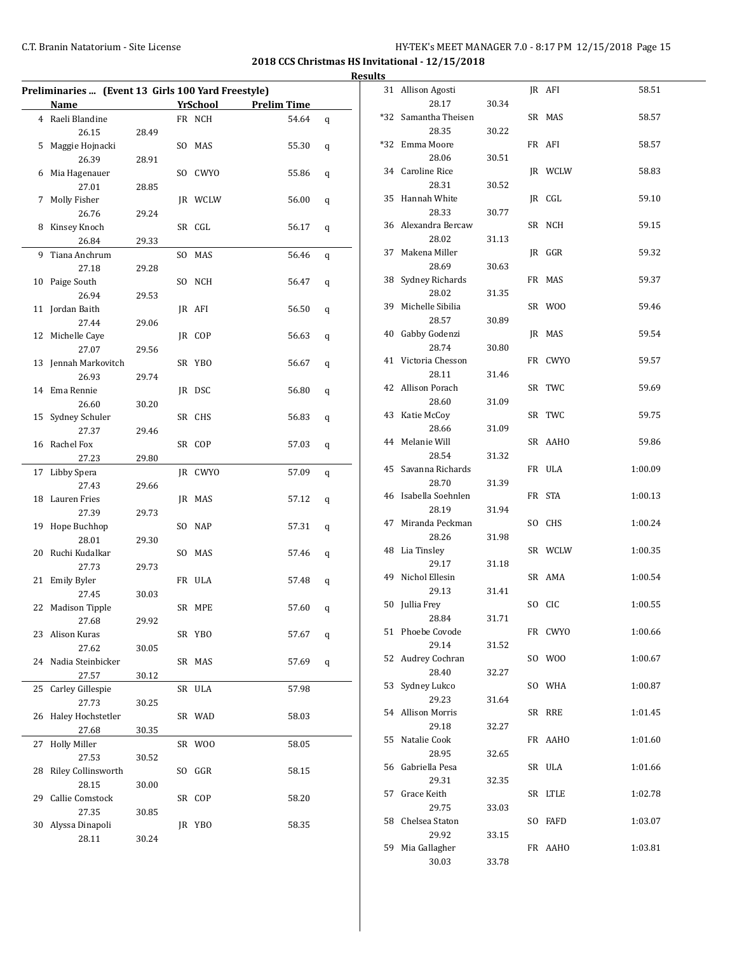**2018 CCS Christmas HS Invitational - 12/15/2018 Results**

|    | Preliminaries  (Event 13 Girls 100 Yard Freestyle) |       |     |                |                    |       |   |
|----|----------------------------------------------------|-------|-----|----------------|--------------------|-------|---|
|    | <b>Name</b>                                        |       |     | YrSchool       | <b>Prelim Time</b> |       |   |
|    | 4 Raeli Blandine                                   |       |     | FR NCH         |                    | 54.64 | q |
|    | 26.15                                              | 28.49 |     |                |                    |       |   |
| 5  | Maggie Hojnacki                                    |       |     | SO MAS         |                    | 55.30 | q |
|    | 26.39                                              | 28.91 |     |                |                    |       |   |
| 6  | Mia Hagenauer                                      |       | SO. | <b>CWYO</b>    |                    | 55.86 | q |
|    | 27.01                                              | 28.85 |     |                |                    |       |   |
| 7  | Molly Fisher                                       |       |     | <b>IR WCLW</b> |                    | 56.00 | q |
|    | 26.76                                              | 29.24 |     |                |                    |       |   |
| 8  | Kinsey Knoch                                       |       |     | SR CGL         |                    | 56.17 | q |
|    | 26.84                                              | 29.33 |     |                |                    |       |   |
| 9  | Tiana Anchrum                                      |       |     | SO MAS         |                    | 56.46 |   |
|    |                                                    |       |     |                |                    |       | q |
|    | 27.18                                              | 29.28 |     |                |                    |       |   |
| 10 | Paige South                                        |       |     | SO NCH         |                    | 56.47 | q |
|    | 26.94                                              | 29.53 |     |                |                    |       |   |
| 11 | Jordan Baith                                       |       |     | JR AFI         |                    | 56.50 | q |
|    | 27.44                                              | 29.06 |     |                |                    |       |   |
|    | 12 Michelle Caye                                   |       |     | IR COP         |                    | 56.63 | q |
|    | 27.07                                              | 29.56 |     |                |                    |       |   |
| 13 | Jennah Markovitch                                  |       |     | SR YBO         |                    | 56.67 | q |
|    | 26.93                                              | 29.74 |     |                |                    |       |   |
| 14 | Ema Rennie                                         |       |     | JR DSC         |                    | 56.80 | q |
|    | 26.60                                              | 30.20 |     |                |                    |       |   |
| 15 | Sydney Schuler                                     |       |     | SR CHS         |                    | 56.83 | q |
|    | 27.37                                              | 29.46 |     |                |                    |       |   |
| 16 | Rachel Fox                                         |       |     | SR COP         |                    | 57.03 | q |
|    | 27.23                                              | 29.80 |     |                |                    |       |   |
| 17 | Libby Spera                                        |       |     | JR CWYO        |                    | 57.09 | q |
|    | 27.43                                              | 29.66 |     |                |                    |       |   |
| 18 | Lauren Fries                                       |       |     | JR MAS         |                    | 57.12 | q |
|    | 27.39                                              | 29.73 |     |                |                    |       |   |
| 19 | Hope Buchhop                                       |       |     | SO NAP         |                    | 57.31 |   |
|    | 28.01                                              | 29.30 |     |                |                    |       | q |
| 20 | Ruchi Kudalkar                                     |       |     | SO MAS         |                    | 57.46 |   |
|    |                                                    |       |     |                |                    |       | q |
|    | 27.73                                              | 29.73 |     |                |                    |       |   |
| 21 | <b>Emily Byler</b>                                 |       |     | FR ULA         |                    | 57.48 | q |
|    | 27.45                                              | 30.03 |     |                |                    |       |   |
| 22 | <b>Madison Tipple</b>                              |       |     | SR MPE         |                    | 57.60 | q |
|    | 27.68                                              | 29.92 |     |                |                    |       |   |
| 23 | Alison Kuras                                       |       |     | SR YBO         |                    | 57.67 | q |
|    | 27.62                                              | 30.05 |     |                |                    |       |   |
| 24 | Nadia Steinbicker                                  |       |     | SR MAS         |                    | 57.69 | q |
|    | 27.57                                              | 30.12 |     |                |                    |       |   |
| 25 | Carley Gillespie                                   |       |     | SR ULA         |                    | 57.98 |   |
|    | 27.73                                              | 30.25 |     |                |                    |       |   |
| 26 | Haley Hochstetler                                  |       |     | SR WAD         |                    | 58.03 |   |
|    | 27.68                                              | 30.35 |     |                |                    |       |   |
| 27 | <b>Holly Miller</b>                                |       |     | SR WOO         |                    | 58.05 |   |
|    | 27.53                                              | 30.52 |     |                |                    |       |   |
| 28 | Riley Collinsworth                                 |       | SO  | GGR            |                    | 58.15 |   |
|    | 28.15                                              | 30.00 |     |                |                    |       |   |
| 29 | Callie Comstock                                    |       |     | SR COP         |                    | 58.20 |   |
|    | 27.35                                              | 30.85 |     |                |                    |       |   |
| 30 | Alyssa Dinapoli                                    |       |     | JR YBO         |                    | 58.35 |   |
|    |                                                    |       |     |                |                    |       |   |
|    | 28.11                                              | 30.24 |     |                |                    |       |   |

| 31  | Allison Agosti          |       |     | JR AFI  | 58.51   |
|-----|-------------------------|-------|-----|---------|---------|
|     | 28.17                   | 30.34 |     |         |         |
| *32 | Samantha Theisen        |       |     | SR MAS  | 58.57   |
|     | 28.35                   | 30.22 |     |         |         |
| *32 | Emma Moore              |       |     | FR AFI  | 58.57   |
|     | 28.06                   | 30.51 |     |         |         |
| 34  | Caroline Rice           |       |     | JR WCLW | 58.83   |
|     | 28.31                   | 30.52 |     |         |         |
| 35  | Hannah White            |       |     | JR CGL  | 59.10   |
|     | 28.33                   | 30.77 |     |         |         |
| 36  | Alexandra Bercaw        |       |     | SR NCH  | 59.15   |
|     | 28.02<br>Makena Miller  | 31.13 |     |         |         |
| 37  | 28.69                   | 30.63 |     | JR GGR  | 59.32   |
| 38  | Sydney Richards         |       |     | FR MAS  | 59.37   |
|     | 28.02                   | 31.35 |     |         |         |
| 39  | Michelle Sibilia        |       |     | SR WOO  | 59.46   |
|     | 28.57                   | 30.89 |     |         |         |
| 40  | Gabby Godenzi           |       |     | IR MAS  | 59.54   |
|     | 28.74                   | 30.80 |     |         |         |
| 41  | Victoria Chesson        |       |     | FR CWYO | 59.57   |
|     | 28.11                   | 31.46 |     |         |         |
| 42  | Allison Porach          |       |     | SR TWC  | 59.69   |
|     | 28.60                   | 31.09 |     |         |         |
| 43  | Katie McCoy             |       |     | SR TWC  | 59.75   |
|     | 28.66                   | 31.09 |     |         |         |
| 44  | Melanie Will            |       |     | SR AAHO | 59.86   |
|     | 28.54                   | 31.32 |     |         |         |
| 45  | Savanna Richards        |       |     | FR ULA  | 1:00.09 |
|     | 28.70                   | 31.39 |     |         |         |
| 46  | Isabella Soehnlen       |       |     | FR STA  | 1:00.13 |
|     | 28.19                   | 31.94 |     |         |         |
| 47  | Miranda Peckman         |       |     | SO CHS  | 1:00.24 |
|     | 28.26                   | 31.98 |     |         |         |
| 48  | Lia Tinsley<br>29.17    | 31.18 |     | SR WCLW | 1:00.35 |
| 49  | Nichol Ellesin          |       |     | SR AMA  | 1:00.54 |
|     | 29.13                   | 31.41 |     |         |         |
| 50  | Jullia Frey             |       |     | SO CIC  | 1:00.55 |
|     | 28.84                   | 31.71 |     |         |         |
| 51  | Phoebe Covode           |       |     | FR CWYO | 1:00.66 |
|     | 29.14                   | 31.52 |     |         |         |
| 52  | Audrey Cochran          |       | SO  | W00     | 1:00.67 |
|     | 28.40                   | 32.27 |     |         |         |
| 53  | Sydney Lukco            |       |     | SO WHA  | 1:00.87 |
|     | 29.23                   | 31.64 |     |         |         |
| 54  | <b>Allison Morris</b>   |       |     | SR RRE  | 1:01.45 |
|     | 29.18                   | 32.27 |     |         |         |
| 55  | Natalie Cook            |       |     | FR AAHO | 1:01.60 |
|     | 28.95                   | 32.65 |     |         |         |
| 56  | Gabriella Pesa          |       |     | SR ULA  | 1:01.66 |
|     | 29.31                   | 32.35 |     |         |         |
| 57  | Grace Keith             |       |     | SR LTLE | 1:02.78 |
|     | 29.75                   | 33.03 |     |         |         |
| 58  | Chelsea Staton<br>29.92 |       | SO. | FAFD    | 1:03.07 |
| 59  | Mia Gallagher           | 33.15 |     | FR AAHO | 1:03.81 |
|     | 30.03                   | 33.78 |     |         |         |
|     |                         |       |     |         |         |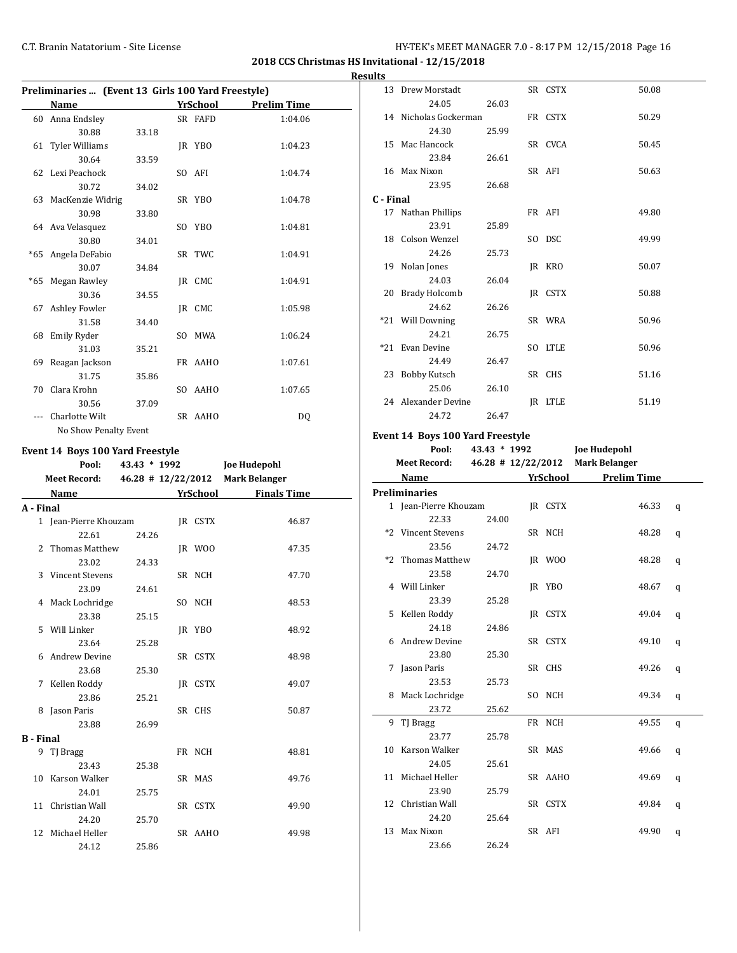**2018 CCS Christmas HS Invitational - 12/15/2018**

#### **Results**

| Preliminaries  (Event 13 Girls 100 Yard Freestyle) |                       |       |     |          |                    |  |  |  |  |
|----------------------------------------------------|-----------------------|-------|-----|----------|--------------------|--|--|--|--|
|                                                    | Name                  |       |     | YrSchool | <b>Prelim Time</b> |  |  |  |  |
| 60                                                 | Anna Endsley          |       |     | SR FAFD  | 1:04.06            |  |  |  |  |
|                                                    | 30.88                 | 33.18 |     |          |                    |  |  |  |  |
|                                                    | 61 Tyler Williams     |       |     | JR YBO   | 1:04.23            |  |  |  |  |
|                                                    | 30.64                 | 33.59 |     |          |                    |  |  |  |  |
|                                                    | 62 Lexi Peachock      |       |     | SO AFI   | 1:04.74            |  |  |  |  |
|                                                    | 30.72                 | 34.02 |     |          |                    |  |  |  |  |
|                                                    | 63 MacKenzie Widrig   |       |     | SR YBO   | 1:04.78            |  |  |  |  |
|                                                    | 30.98                 | 33.80 |     |          |                    |  |  |  |  |
|                                                    | 64 Ava Velasquez      |       |     | SO YBO   | 1:04.81            |  |  |  |  |
|                                                    | 30.80                 | 34.01 |     |          |                    |  |  |  |  |
| *65                                                | Angela DeFabio        |       |     | SR TWC   | 1:04.91            |  |  |  |  |
|                                                    | 30.07                 | 34.84 |     |          |                    |  |  |  |  |
| $*65$                                              | Megan Rawley          |       |     | IR CMC   | 1:04.91            |  |  |  |  |
|                                                    | 30.36                 | 34.55 |     |          |                    |  |  |  |  |
| 67                                                 | <b>Ashley Fowler</b>  |       |     | IR CMC   | 1:05.98            |  |  |  |  |
|                                                    | 31.58                 | 34.40 |     |          |                    |  |  |  |  |
| 68                                                 | Emily Ryder           |       | SO. | MWA      | 1:06.24            |  |  |  |  |
|                                                    | 31.03                 | 35.21 |     |          |                    |  |  |  |  |
| 69                                                 | Reagan Jackson        |       |     | FR AAHO  | 1:07.61            |  |  |  |  |
|                                                    | 31.75                 | 35.86 |     |          |                    |  |  |  |  |
| 70                                                 | Clara Krohn           |       |     | SO AAHO  | 1:07.65            |  |  |  |  |
|                                                    | 30.56                 | 37.09 |     |          |                    |  |  |  |  |
|                                                    | Charlotte Wilt        |       |     | SR AAHO  | DO.                |  |  |  |  |
|                                                    | No Show Penalty Event |       |     |          |                    |  |  |  |  |

#### **Event 14 Boys 100 Yard Freestyle**

|           | Pool:                 | 43.43 * 1992 |          |         | <b>Joe Hudepohl</b>              |  |
|-----------|-----------------------|--------------|----------|---------|----------------------------------|--|
|           | <b>Meet Record:</b>   |              |          |         | 46.28 # 12/22/2012 Mark Belanger |  |
|           | Name                  |              | YrSchool |         | <b>Finals Time</b>               |  |
| A - Final |                       |              |          |         |                                  |  |
|           | 1 Jean-Pierre Khouzam |              |          | IR CSTX | 46.87                            |  |
|           | 22.61                 | 24.26        |          |         |                                  |  |
|           | 2 Thomas Matthew      |              |          | JR WOO  | 47.35                            |  |
|           | 23.02                 | 24.33        |          |         |                                  |  |
|           | 3 Vincent Stevens     |              |          | SR NCH  | 47.70                            |  |
|           | 23.09                 | 24.61        |          |         |                                  |  |
|           | 4 Mack Lochridge      |              |          | SO NCH  | 48.53                            |  |
|           | 23.38                 | 25.15        |          |         |                                  |  |
|           | 5 Will Linker         |              |          | JR YBO  | 48.92                            |  |
|           | 23.64                 | 25.28        |          |         |                                  |  |
|           | 6 Andrew Devine       |              |          | SR CSTX | 48.98                            |  |
|           | 23.68                 | 25.30        |          |         |                                  |  |
|           | 7 Kellen Roddy        |              |          | IR CSTX | 49.07                            |  |
|           | 23.86                 | 25.21        |          |         |                                  |  |
| 8         | Jason Paris           |              |          | SR CHS  | 50.87                            |  |
|           | 23.88                 | 26.99        |          |         |                                  |  |
| B - Final |                       |              |          |         |                                  |  |
|           | 9 TJ Bragg            |              |          | FR NCH  | 48.81                            |  |
|           | 23.43                 | 25.38        |          |         |                                  |  |
|           | 10 Karson Walker      |              |          | SR MAS  | 49.76                            |  |
|           | 24.01                 | 25.75        |          |         |                                  |  |
|           | 11 Christian Wall     |              |          | SR CSTX | 49.90                            |  |
|           | 24.20                 | 25.70        |          |         |                                  |  |
|           | 12 Michael Heller     |              |          | SR AAHO | 49.98                            |  |
|           | 24.12                 | 25.86        |          |         |                                  |  |

|           | 13 Drew Morstadt      |       | SR CSTX        | 50.08 |
|-----------|-----------------------|-------|----------------|-------|
|           | 24.05                 | 26.03 |                |       |
|           | 14 Nicholas Gockerman |       | FR CSTX        | 50.29 |
|           | 24.30                 | 25.99 |                |       |
|           | 15 Mac Hancock        |       | SR CVCA        | 50.45 |
|           | 23.84                 | 26.61 |                |       |
|           | 16 Max Nixon          |       | SR AFI         | 50.63 |
|           | 23.95                 | 26.68 |                |       |
| C - Final |                       |       |                |       |
|           | 17 Nathan Phillips    |       | FR AFI         | 49.80 |
|           | 23.91                 | 25.89 |                |       |
|           | 18 Colson Wenzel      |       | SO DSC         | 49.99 |
|           | 24.26                 | 25.73 |                |       |
| 19        | Nolan Jones           |       | JR KRO         | 50.07 |
|           | 24.03                 | 26.04 |                |       |
|           | 20 Brady Holcomb      |       | IR CSTX        | 50.88 |
|           | 24.62                 | 26.26 |                |       |
|           | *21 Will Downing      |       | SR WRA         | 50.96 |
|           | 24.21                 | 26.75 |                |       |
|           | *21 Evan Devine       |       | SO LTLE        | 50.96 |
|           | 24.49                 | 26.47 |                |       |
|           | 23 Bobby Kutsch       |       | SR CHS         | 51.16 |
|           | 25.06                 | 26.10 |                |       |
|           | 24 Alexander Devine   |       | <b>IR LTLE</b> | 51.19 |
|           | 24.72                 | 26.47 |                |       |

# **Event 14 Boys 100 Yard Freestyle**

 $\overline{a}$ 

| Pool:               | $43.43 * 1992$ |                        | Joe Hudepohl       |  |
|---------------------|----------------|------------------------|--------------------|--|
| <b>Meet Record:</b> |                | $46.28 \pm 12/22/2012$ | Mark Belanger      |  |
| Name                |                | YrSchool               | <b>Prelim Time</b> |  |
|                     |                |                        |                    |  |

|   | <b>Preliminaries</b>  |       |         |       |   |
|---|-----------------------|-------|---------|-------|---|
|   | 1 Jean-Pierre Khouzam |       | IR CSTX | 46.33 | q |
|   | 22.33                 | 24.00 |         |       |   |
|   | *2 Vincent Stevens    |       | SR NCH  | 48.28 | q |
|   | 23.56                 | 24.72 |         |       |   |
|   | *2 Thomas Matthew     |       | JR WOO  | 48.28 | q |
|   | 23.58                 | 24.70 |         |       |   |
|   | 4 Will Linker         |       | JR YBO  | 48.67 | q |
|   | 23.39                 | 25.28 |         |       |   |
|   | 5 Kellen Roddy        |       | JR CSTX | 49.04 | q |
|   | 24.18                 | 24.86 |         |       |   |
|   | 6 Andrew Devine       |       | SR CSTX | 49.10 | q |
|   | 23.80                 | 25.30 |         |       |   |
| 7 | Jason Paris           |       | SR CHS  | 49.26 | q |
|   | 23.53                 | 25.73 |         |       |   |
|   | 8 Mack Lochridge      |       | SO NCH  | 49.34 | q |
|   | 23.72                 | 25.62 |         |       |   |
|   | 9 TJ Bragg            |       | FR NCH  | 49.55 | q |
|   | 23.77                 | 25.78 |         |       |   |
|   | 10 Karson Walker      |       | SR MAS  | 49.66 | q |
|   | 24.05                 | 25.61 |         |       |   |
|   | 11 Michael Heller     |       | SR AAHO | 49.69 | q |
|   | 23.90                 | 25.79 |         |       |   |
|   | 12 Christian Wall     |       | SR CSTX | 49.84 | q |
|   | 24.20                 | 25.64 |         |       |   |
|   | 13 Max Nixon          |       | SR AFI  | 49.90 | q |
|   | 23.66                 | 26.24 |         |       |   |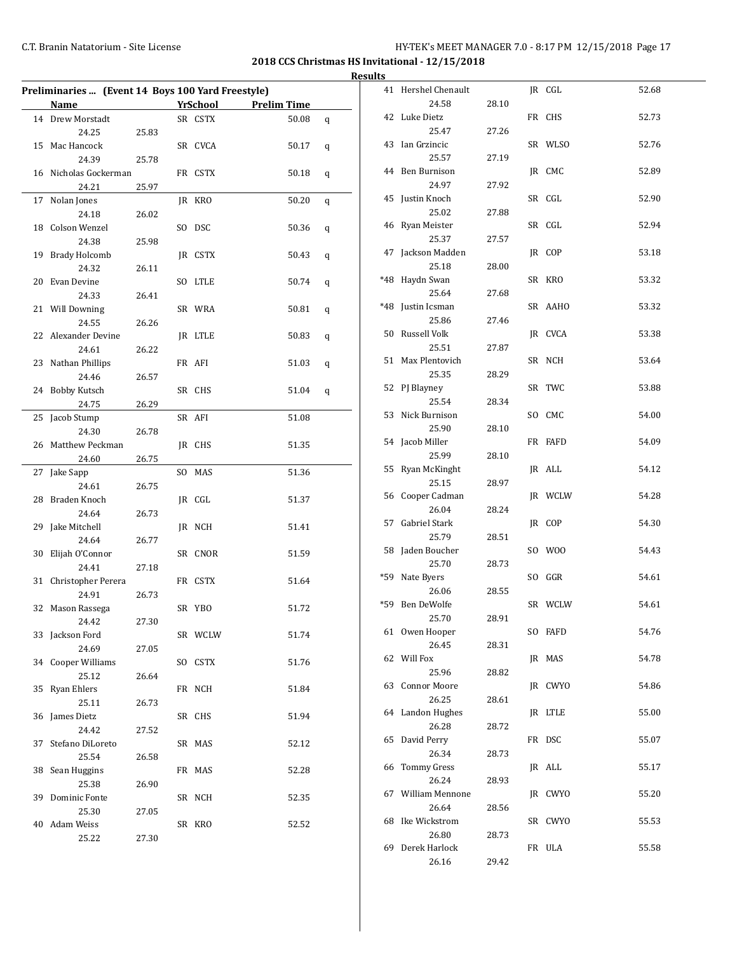|    | Preliminaries  (Event 14 Boys 100 Yard Freestyle) |       |          |                    |   |
|----|---------------------------------------------------|-------|----------|--------------------|---|
|    | Name                                              |       | YrSchool | <b>Prelim Time</b> |   |
|    | 14 Drew Morstadt                                  |       | SR CSTX  | 50.08              | q |
|    | 24.25                                             | 25.83 |          |                    |   |
| 15 | Mac Hancock                                       |       | SR CVCA  | 50.17              | q |
|    | 24.39                                             | 25.78 |          |                    |   |
|    | 16 Nicholas Gockerman                             |       | FR CSTX  | 50.18              | q |
|    | 24.21                                             | 25.97 |          |                    |   |
| 17 | Nolan Jones                                       |       | JR KRO   | 50.20              | q |
|    | 24.18                                             | 26.02 |          |                    |   |
| 18 | Colson Wenzel                                     |       | SO DSC   | 50.36              | q |
|    | 24.38                                             | 25.98 |          |                    |   |
| 19 | <b>Brady Holcomb</b>                              |       | JR CSTX  | 50.43              | q |
|    | 24.32                                             | 26.11 |          |                    |   |
| 20 | Evan Devine                                       |       | SO LTLE  | 50.74              | q |
|    | 24.33                                             | 26.41 |          |                    |   |
|    | 21 Will Downing                                   |       | SR WRA   | 50.81              | q |
|    | 24.55                                             | 26.26 |          |                    |   |
|    | 22 Alexander Devine                               |       | IR LTLE  | 50.83              | q |
|    | 24.61                                             | 26.22 |          |                    |   |
| 23 | Nathan Phillips                                   |       | FR AFI   | 51.03              | q |
|    | 24.46                                             | 26.57 |          |                    |   |
| 24 | <b>Bobby Kutsch</b>                               |       | SR CHS   | 51.04              | q |
|    | 24.75                                             | 26.29 |          |                    |   |
| 25 | Jacob Stump                                       |       | SR AFI   | 51.08              |   |
|    | 24.30                                             |       |          |                    |   |
| 26 | Matthew Peckman                                   | 26.78 |          | 51.35              |   |
|    |                                                   |       | JR CHS   |                    |   |
|    | 24.60                                             | 26.75 |          |                    |   |
| 27 | Jake Sapp                                         |       | SO MAS   | 51.36              |   |
|    | 24.61                                             | 26.75 |          |                    |   |
| 28 | Braden Knoch                                      |       | JR CGL   | 51.37              |   |
|    | 24.64                                             | 26.73 |          |                    |   |
| 29 | Jake Mitchell                                     |       | JR NCH   | 51.41              |   |
|    | 24.64                                             | 26.77 |          |                    |   |
| 30 | Elijah O'Connor                                   |       | SR CNOR  | 51.59              |   |
|    | 24.41                                             | 27.18 |          |                    |   |
| 31 | Christopher Perera                                |       | FR CSTX  | 51.64              |   |
|    | 24.91                                             | 26.73 |          |                    |   |
| 32 | Mason Rassega                                     |       | SR YBO   | 51.72              |   |
|    | 24.42                                             | 27.30 |          |                    |   |
|    | 33 Jackson Ford                                   |       | SR WCLW  | 51.74              |   |
|    | 24.69                                             | 27.05 |          |                    |   |
|    | 34 Cooper Williams                                |       | SO CSTX  | 51.76              |   |
|    | 25.12                                             | 26.64 |          |                    |   |
|    | 35 Ryan Ehlers                                    |       | FR NCH   | 51.84              |   |
|    | 25.11                                             | 26.73 |          |                    |   |
| 36 | James Dietz                                       |       | SR CHS   | 51.94              |   |
|    | 24.42                                             | 27.52 |          |                    |   |
| 37 | Stefano DiLoreto                                  |       | SR MAS   | 52.12              |   |
|    | 25.54                                             | 26.58 |          |                    |   |
| 38 | Sean Huggins                                      |       | FR MAS   | 52.28              |   |
|    | 25.38                                             | 26.90 |          |                    |   |
| 39 | Dominic Fonte                                     |       | SR NCH   | 52.35              |   |
|    | 25.30                                             | 27.05 |          |                    |   |
| 40 | Adam Weiss                                        |       | SR KRO   | 52.52              |   |
|    | 25.22                                             | 27.30 |          |                    |   |

| 41    | Hershel Chenault             |       | JR CGL  | 52.68 |
|-------|------------------------------|-------|---------|-------|
|       | 24.58                        | 28.10 |         |       |
| 42    | Luke Dietz                   |       | FR CHS  | 52.73 |
|       | 25.47                        | 27.26 |         |       |
| 43    | Ian Grzincic                 |       | SR WLSO | 52.76 |
|       | 25.57<br>44 Ben Burnison     | 27.19 | JR CMC  |       |
|       | 24.97                        | 27.92 |         | 52.89 |
| 45    | Justin Knoch                 |       | SR CGL  | 52.90 |
|       | 25.02                        | 27.88 |         |       |
|       | 46 Ryan Meister              |       | SR CGL  | 52.94 |
|       | 25.37                        | 27.57 |         |       |
| 47    | Jackson Madden               |       | JR COP  | 53.18 |
|       | 25.18                        | 28.00 |         |       |
| $*48$ | Haydn Swan                   |       | SR KRO  | 53.32 |
|       | 25.64                        | 27.68 |         |       |
| *48   | Justin Icsman                |       | SR AAHO | 53.32 |
|       | 25.86                        | 27.46 |         |       |
| 50    | Russell Volk                 |       | JR CVCA | 53.38 |
|       | 25.51                        | 27.87 |         |       |
| 51    | Max Plentovich               |       | SR NCH  | 53.64 |
|       | 25.35                        | 28.29 |         |       |
|       | 52 PJ Blayney                |       | SR TWC  | 53.88 |
|       | 25.54                        | 28.34 |         |       |
| 53    | Nick Burnison                |       | SO CMC  | 54.00 |
|       | 25.90                        | 28.10 |         |       |
|       | 54 Jacob Miller<br>25.99     |       | FR FAFD | 54.09 |
| 55    | Ryan McKinght                | 28.10 | JR ALL  | 54.12 |
|       | 25.15                        | 28.97 |         |       |
| 56    | Cooper Cadman                |       | JR WCLW | 54.28 |
|       | 26.04                        | 28.24 |         |       |
| 57    | Gabriel Stark                |       | JR COP  | 54.30 |
|       | 25.79                        | 28.51 |         |       |
| 58    | Jaden Boucher                |       | SO WOO  | 54.43 |
|       | 25.70                        | 28.73 |         |       |
| *59   | Nate Byers                   |       | SO GGR  | 54.61 |
|       | 26.06                        | 28.55 |         |       |
| *59   | Ben DeWolfe                  |       | SR WCLW | 54.61 |
|       | 25.70                        | 28.91 |         |       |
|       | 61 Owen Hooper               |       | SO FAFD | 54.76 |
|       | 26.45                        | 28.31 |         |       |
| 62    | Will Fox                     |       | JR MAS  | 54.78 |
|       | 25.96<br><b>Connor Moore</b> | 28.82 |         |       |
| 63    | 26.25                        | 28.61 | JR CWYO | 54.86 |
|       | 64 Landon Hughes             |       | JR LTLE | 55.00 |
|       | 26.28                        | 28.72 |         |       |
| 65    | David Perry                  |       | FR DSC  | 55.07 |
|       | 26.34                        | 28.73 |         |       |
| 66    | <b>Tommy Gress</b>           |       | JR ALL  | 55.17 |
|       | 26.24                        | 28.93 |         |       |
| 67    | William Mennone              |       | JR CWYO | 55.20 |
|       | 26.64                        | 28.56 |         |       |
| 68    | Ike Wickstrom                |       | SR CWYO | 55.53 |
|       | 26.80                        | 28.73 |         |       |
| 69    | Derek Harlock                |       | FR ULA  | 55.58 |
|       | 26.16                        | 29.42 |         |       |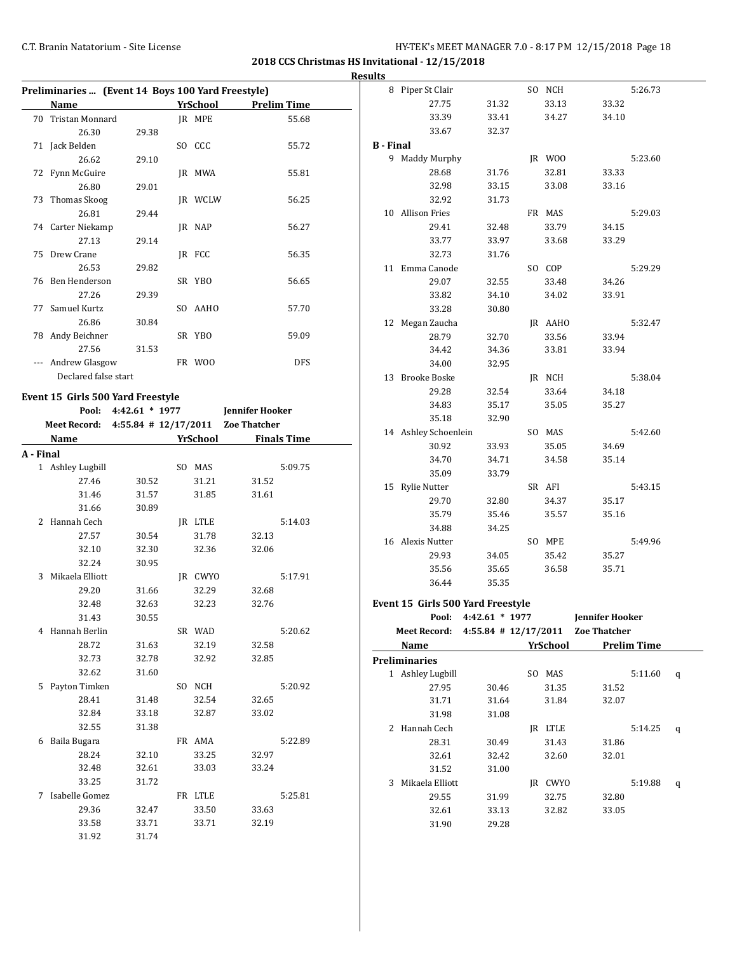|           |                                                   |                      |                  |                        |                    | <b>Results</b>   |                                                |                      |          |                        |                    |   |
|-----------|---------------------------------------------------|----------------------|------------------|------------------------|--------------------|------------------|------------------------------------------------|----------------------|----------|------------------------|--------------------|---|
|           | Preliminaries  (Event 14 Boys 100 Yard Freestyle) |                      |                  |                        |                    |                  | 8 Piper St Clair                               |                      | SO NCH   |                        | 5:26.73            |   |
|           | Name                                              |                      | <b>YrSchool</b>  |                        | <b>Prelim Time</b> |                  | 27.75                                          | 31.32                | 33.13    | 33.32                  |                    |   |
|           | 70 Tristan Monnard                                |                      | JR MPE           |                        | 55.68              |                  | 33.39                                          | 33.41                | 34.27    | 34.10                  |                    |   |
|           | 26.30                                             | 29.38                |                  |                        |                    |                  | 33.67                                          | 32.37                |          |                        |                    |   |
|           | 71 Jack Belden                                    |                      | SO CCC           |                        | 55.72              | <b>B</b> - Final |                                                |                      |          |                        |                    |   |
|           | 26.62                                             | 29.10                |                  |                        |                    |                  | 9 Maddy Murphy                                 |                      | JR WOO   |                        | 5:23.60            |   |
|           | 72 Fynn McGuire                                   |                      | JR MWA           |                        | 55.81              |                  | 28.68                                          | 31.76                | 32.81    | 33.33                  |                    |   |
|           | 26.80                                             | 29.01                |                  |                        |                    |                  | 32.98                                          | 33.15                | 33.08    | 33.16                  |                    |   |
|           | 73 Thomas Skoog                                   |                      | JR WCLW          |                        | 56.25              |                  | 32.92                                          | 31.73                |          |                        |                    |   |
|           | 26.81                                             | 29.44                |                  |                        |                    |                  | 10 Allison Fries                               |                      | FR MAS   |                        | 5:29.03            |   |
|           | 74 Carter Niekamp                                 |                      | JR NAP           |                        | 56.27              |                  | 29.41                                          | 32.48                | 33.79    | 34.15                  |                    |   |
|           | 27.13                                             | 29.14                |                  |                        |                    |                  | 33.77                                          | 33.97                | 33.68    | 33.29                  |                    |   |
|           | 75 Drew Crane                                     |                      | JR FCC           |                        | 56.35              |                  | 32.73                                          | 31.76                |          |                        |                    |   |
|           | 26.53                                             | 29.82                |                  |                        |                    |                  | 11 Emma Canode                                 |                      | SO COP   |                        | 5:29.29            |   |
|           | 76 Ben Henderson                                  |                      | SR YBO           |                        | 56.65              |                  | 29.07                                          | 32.55                | 33.48    | 34.26                  |                    |   |
|           | 27.26                                             | 29.39                |                  |                        |                    |                  | 33.82                                          | 34.10                | 34.02    | 33.91                  |                    |   |
|           | 77 Samuel Kurtz                                   |                      | SO AAHO          |                        | 57.70              |                  | 33.28                                          | 30.80                |          |                        |                    |   |
|           | 26.86                                             | 30.84                |                  |                        |                    |                  | 12 Megan Zaucha                                |                      | JR AAHO  |                        | 5:32.47            |   |
|           | 78 Andy Beichner                                  |                      | SR YBO           |                        | 59.09              |                  | 28.79                                          | 32.70                | 33.56    | 33.94                  |                    |   |
|           | 27.56                                             | 31.53                |                  |                        |                    |                  | 34.42                                          | 34.36                | 33.81    | 33.94                  |                    |   |
|           | --- Andrew Glasgow                                |                      | FR WOO           |                        | <b>DFS</b>         |                  | 34.00                                          | 32.95                |          |                        |                    |   |
|           | Declared false start                              |                      |                  |                        |                    |                  | 13 Brooke Boske                                |                      | JR NCH   |                        | 5:38.04            |   |
|           |                                                   |                      |                  |                        |                    |                  | 29.28                                          | 32.54                | 33.64    | 34.18                  |                    |   |
|           | Event 15 Girls 500 Yard Freestyle                 | Pool: 4:42.61 * 1977 |                  | <b>Jennifer Hooker</b> |                    |                  | 34.83                                          | 35.17                | 35.05    | 35.27                  |                    |   |
|           | Meet Record: 4:55.84 # 12/17/2011 Zoe Thatcher    |                      |                  |                        |                    |                  | 35.18                                          | 32.90                |          |                        |                    |   |
|           |                                                   |                      |                  |                        |                    |                  | 14 Ashley Schoenlein                           |                      | SO MAS   |                        | 5:42.60            |   |
|           | Name                                              |                      | YrSchool         |                        | <b>Finals Time</b> |                  | 30.92                                          | 33.93                | 35.05    | 34.69                  |                    |   |
| A - Final |                                                   |                      |                  |                        |                    |                  | 34.70                                          | 34.71                | 34.58    | 35.14                  |                    |   |
|           | 1 Ashley Lugbill                                  |                      | SO MAS           |                        | 5:09.75            |                  | 35.09                                          | 33.79                |          |                        |                    |   |
|           | 27.46                                             | 30.52                | 31.21            | 31.52                  |                    |                  | 15 Rylie Nutter                                |                      | SR AFI   |                        | 5:43.15            |   |
|           | 31.46                                             | 31.57                | 31.85            | 31.61                  |                    |                  | 29.70                                          | 32.80                | 34.37    | 35.17                  |                    |   |
|           | 31.66                                             | 30.89                |                  |                        |                    |                  | 35.79                                          | 35.46                | 35.57    | 35.16                  |                    |   |
|           | 2 Hannah Cech                                     |                      | JR LTLE          |                        | 5:14.03            |                  | 34.88                                          | 34.25                |          |                        |                    |   |
|           | 27.57                                             | 30.54                | 31.78            | 32.13                  |                    |                  | 16 Alexis Nutter                               |                      | SO MPE   |                        | 5:49.96            |   |
|           | 32.10<br>32.24                                    | 32.30<br>30.95       | 32.36            | 32.06                  |                    |                  | 29.93                                          | 34.05                | 35.42    | 35.27                  |                    |   |
|           | 3 Mikaela Elliott                                 |                      |                  |                        | 5:17.91            |                  | 35.56                                          | 35.65                | 36.58    | 35.71                  |                    |   |
|           | 29.20                                             | 31.66                | JR CWYO<br>32.29 | 32.68                  |                    |                  | 36.44                                          | 35.35                |          |                        |                    |   |
|           | 32.48                                             | 32.63                | 32.23            | 32.76                  |                    |                  | Event 15 Girls 500 Yard Freestyle              |                      |          |                        |                    |   |
|           | 31.43                                             | 30.55                |                  |                        |                    |                  |                                                | Pool: 4:42.61 * 1977 |          | <b>Jennifer Hooker</b> |                    |   |
|           | 4 Hannah Berlin                                   |                      | SR WAD           |                        | 5:20.62            |                  | Meet Record: 4:55.84 # 12/17/2011 Zoe Thatcher |                      |          |                        |                    |   |
|           | 28.72                                             | 31.63                | 32.19            | 32.58                  |                    |                  | Name                                           |                      | YrSchool |                        | <b>Prelim Time</b> |   |
|           | 32.73                                             | 32.78                | 32.92            | 32.85                  |                    |                  | <b>Preliminaries</b>                           |                      |          |                        |                    |   |
|           | 32.62                                             | 31.60                |                  |                        |                    |                  | 1 Ashley Lugbill                               |                      | SO MAS   |                        | $5:11.60$ q        |   |
|           | 5 Payton Timken                                   |                      | SO NCH           |                        | 5:20.92            |                  | 27.95                                          | 30.46                | 31.35    | 31.52                  |                    |   |
|           | 28.41                                             | 31.48                | 32.54            | 32.65                  |                    |                  | 31.71                                          | 31.64                | 31.84    | 32.07                  |                    |   |
|           | 32.84                                             | 33.18                | 32.87            | 33.02                  |                    |                  | 31.98                                          | 31.08                |          |                        |                    |   |
|           | 32.55                                             | 31.38                |                  |                        |                    |                  | 2 Hannah Cech                                  |                      | JR LTLE  |                        | 5:14.25            | q |
|           | 6 Baila Bugara                                    |                      | FR AMA           |                        | 5:22.89            |                  | 28.31                                          | 30.49                | 31.43    | 31.86                  |                    |   |
|           | 28.24                                             | 32.10                | 33.25            | 32.97                  |                    |                  | 32.61                                          | 32.42                | 32.60    | 32.01                  |                    |   |
|           | 32.48                                             | 32.61                | 33.03            | 33.24                  |                    |                  | 31.52                                          | 31.00                |          |                        |                    |   |
|           | 33.25                                             | 31.72                |                  |                        |                    |                  | 3 Mikaela Elliott                              |                      | JR CWYO  |                        | 5:19.88 $q$        |   |
|           | 7 Isabelle Gomez                                  |                      | FR LTLE          |                        | 5:25.81            |                  | 29.55                                          | 31.99                | 32.75    | 32.80                  |                    |   |
|           | 29.36                                             | 32.47                | 33.50            | 33.63                  |                    |                  | 32.61                                          | 33.13                | 32.82    | 33.05                  |                    |   |
|           | 33.58                                             | 33.71                | 33.71            | 32.19                  |                    |                  | 31.90                                          | 29.28                |          |                        |                    |   |
|           | 31.92                                             | 31.74                |                  |                        |                    |                  |                                                |                      |          |                        |                    |   |
|           |                                                   |                      |                  |                        |                    |                  |                                                |                      |          |                        |                    |   |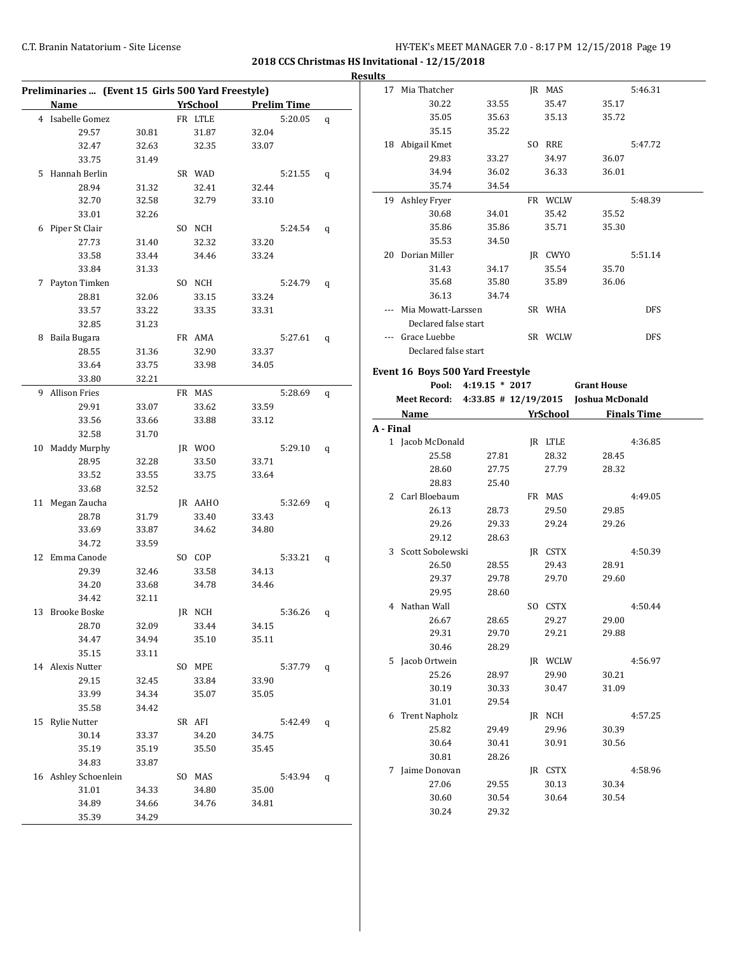|    |                      | Preliminaries  (Event 15 Girls 500 Yard Freestyle) |          |       |                    |   |
|----|----------------------|----------------------------------------------------|----------|-------|--------------------|---|
|    | Name                 |                                                    | YrSchool |       | <b>Prelim Time</b> |   |
|    | 4 Isabelle Gomez     |                                                    | FR LTLE  |       | 5:20.05            | q |
|    | 29.57                | 30.81                                              | 31.87    | 32.04 |                    |   |
|    | 32.47                | 32.63                                              | 32.35    | 33.07 |                    |   |
|    | 33.75                | 31.49                                              |          |       |                    |   |
| 5. | Hannah Berlin        |                                                    | SR WAD   |       | 5:21.55            | q |
|    | 28.94                | 31.32                                              | 32.41    | 32.44 |                    |   |
|    | 32.70                | 32.58                                              | 32.79    | 33.10 |                    |   |
|    | 33.01                | 32.26                                              |          |       |                    |   |
| 6  | Piper St Clair       |                                                    | SO NCH   |       | 5:24.54            | q |
|    | 27.73                | 31.40                                              | 32.32    | 33.20 |                    |   |
|    | 33.58                | 33.44                                              | 34.46    | 33.24 |                    |   |
|    | 33.84                | 31.33                                              |          |       |                    |   |
| 7  | Payton Timken        |                                                    | SO NCH   |       | 5:24.79            | q |
|    | 28.81                | 32.06                                              | 33.15    | 33.24 |                    |   |
|    | 33.57                | 33.22                                              | 33.35    | 33.31 |                    |   |
|    | 32.85                | 31.23                                              |          |       |                    |   |
| 8  | Baila Bugara         |                                                    | FR AMA   |       | 5:27.61            | q |
|    | 28.55                | 31.36                                              | 32.90    | 33.37 |                    |   |
|    | 33.64                | 33.75                                              | 33.98    | 34.05 |                    |   |
|    | 33.80                | 32.21                                              |          |       |                    |   |
| 9  | <b>Allison Fries</b> |                                                    | FR MAS   |       | 5:28.69            | q |
|    | 29.91                | 33.07                                              | 33.62    | 33.59 |                    |   |
|    | 33.56                | 33.66                                              | 33.88    | 33.12 |                    |   |
|    | 32.58                | 31.70                                              |          |       |                    |   |
|    | 10 Maddy Murphy      |                                                    | JR WOO   |       | 5:29.10            | q |
|    | 28.95                | 32.28                                              | 33.50    | 33.71 |                    |   |
|    | 33.52                | 33.55                                              | 33.75    | 33.64 |                    |   |
|    | 33.68                | 32.52                                              |          |       |                    |   |
| 11 | Megan Zaucha         |                                                    | JR AAHO  |       | 5:32.69            | q |
|    | 28.78                | 31.79                                              | 33.40    | 33.43 |                    |   |
|    | 33.69                | 33.87                                              | 34.62    | 34.80 |                    |   |
|    | 34.72                | 33.59                                              |          |       |                    |   |
|    | 12 Emma Canode       |                                                    | SO COP   |       | 5:33.21            | q |
|    | 29.39                | 32.46                                              | 33.58    | 34.13 |                    |   |
|    | 34.20                | 33.68                                              | 34.78    | 34.46 |                    |   |
|    | 34.42                | 32.11                                              |          |       |                    |   |
|    | 13 Brooke Boske      |                                                    | JR NCH   |       | 5:36.26            | q |
|    | 28.70                | 32.09                                              | 33.44    | 34.15 |                    |   |
|    | 34.47                | 34.94                                              | 35.10    | 35.11 |                    |   |
|    | 35.15                | 33.11                                              |          |       |                    |   |
|    | 14 Alexis Nutter     |                                                    | SO MPE   |       | 5:37.79            | q |
|    | 29.15                | 32.45                                              | 33.84    | 33.90 |                    |   |
|    | 33.99                | 34.34                                              | 35.07    | 35.05 |                    |   |
|    | 35.58                | 34.42                                              |          |       |                    |   |
|    | 15 Rylie Nutter      |                                                    | SR AFI   |       | 5:42.49            | q |
|    | 30.14                | 33.37                                              | 34.20    | 34.75 |                    |   |
|    | 35.19                | 35.19                                              | 35.50    | 35.45 |                    |   |
|    | 34.83                | 33.87                                              |          |       |                    |   |
|    | 16 Ashley Schoenlein |                                                    | SO MAS   |       | 5:43.94            | q |
|    | 31.01                | 34.33                                              | 34.80    | 35.00 |                    |   |
|    | 34.89                | 34.66                                              | 34.76    | 34.81 |                    |   |
|    | 35.39                | 34.29                                              |          |       |                    |   |

| <b>Results</b> |                                                   |                      |                 |                    |                    |  |
|----------------|---------------------------------------------------|----------------------|-----------------|--------------------|--------------------|--|
|                | 17 Mia Thatcher                                   |                      | JR MAS          |                    | 5:46.31            |  |
|                | 30.22                                             | 33.55                | 35.47           | 35.17              |                    |  |
|                | 35.05                                             | 35.63                | 35.13           | 35.72              |                    |  |
|                | 35.15                                             | 35.22                |                 |                    |                    |  |
|                | 18 Abigail Kmet                                   |                      | SO RRE          |                    | 5:47.72            |  |
|                | 29.83                                             | 33.27                | 34.97           | 36.07              |                    |  |
|                | 34.94                                             | 36.02                | 36.33           | 36.01              |                    |  |
|                | 35.74                                             | 34.54                |                 |                    |                    |  |
|                | 19 Ashley Fryer                                   |                      | FR WCLW         |                    | 5:48.39            |  |
|                | 30.68                                             | 34.01                | 35.42           | 35.52              |                    |  |
|                | 35.86                                             | 35.86                | 35.71           | 35.30              |                    |  |
|                | 35.53                                             | 34.50                |                 |                    |                    |  |
|                | 20 Dorian Miller                                  |                      | JR CWYO         |                    | 5:51.14            |  |
|                | 31.43                                             | 34.17                | 35.54           | 35.70              |                    |  |
|                | 35.68                                             | 35.80                | 35.89           | 36.06              |                    |  |
|                | 36.13                                             | 34.74                |                 |                    |                    |  |
|                | --- Mia Mowatt-Larssen                            |                      | SR WHA          |                    | DFS                |  |
|                | Declared false start                              |                      |                 |                    |                    |  |
|                | --- Grace Luebbe                                  |                      | SR WCLW         |                    | <b>DFS</b>         |  |
|                | Declared false start                              |                      |                 |                    |                    |  |
|                |                                                   |                      |                 |                    |                    |  |
|                | Event 16 Boys 500 Yard Freestyle                  |                      |                 |                    |                    |  |
|                |                                                   | Pool: 4:19.15 * 2017 |                 | <b>Grant House</b> |                    |  |
|                | Meet Record: 4:33.85 # 12/19/2015 Joshua McDonald |                      |                 |                    |                    |  |
|                | Name                                              |                      | <b>YrSchool</b> |                    | <b>Finals Time</b> |  |
| A - Final      |                                                   |                      |                 |                    |                    |  |
|                | 1 Jacob McDonald                                  |                      | JR LTLE         |                    | 4:36.85            |  |
|                | 25.58                                             | 27.81                | 28.32           | 28.45              |                    |  |
|                | 28.60                                             | 27.75                | 27.79           | 28.32              |                    |  |
|                | 28.83                                             | 25.40                |                 |                    |                    |  |
|                |                                                   |                      |                 |                    |                    |  |
|                | 2 Carl Bloebaum                                   |                      | FR MAS          |                    | 4:49.05            |  |
|                | 26.13                                             | 28.73                | 29.50           | 29.85              |                    |  |
|                | 29.26                                             | 29.33                | 29.24           | 29.26              |                    |  |
|                | 29.12                                             | 28.63                |                 |                    |                    |  |
|                | 3 Scott Sobolewski                                |                      | JR CSTX         |                    | 4:50.39            |  |
|                | 26.50                                             | 28.55                | 29.43           | 28.91              |                    |  |
|                | 29.37                                             | 29.78                | 29.70           | 29.60              |                    |  |
|                | 29.95                                             | 28.60                |                 |                    |                    |  |
|                | 4 Nathan Wall                                     |                      | SO CSTX         |                    | 4:50.44            |  |
|                | 26.67                                             | 28.65                | 29.27           | 29.00              |                    |  |
|                | 29.31                                             | 29.70                | 29.21           | 29.88              |                    |  |
|                | 30.46                                             | 28.29                |                 |                    |                    |  |
|                | 5 Jacob Ortwein                                   |                      | JR WCLW         |                    | 4:56.97            |  |
|                | 25.26                                             | 28.97                | 29.90           | 30.21              |                    |  |
|                | 30.19                                             | 30.33                | 30.47           | 31.09              |                    |  |
|                | 31.01                                             | 29.54                |                 |                    |                    |  |
| 6              | <b>Trent Napholz</b>                              |                      |                 |                    | 4:57.25            |  |
|                | 25.82                                             | 29.49                | JR NCH<br>29.96 | 30.39              |                    |  |
|                | 30.64                                             | 30.41                | 30.91           | 30.56              |                    |  |
|                | 30.81                                             | 28.26                |                 |                    |                    |  |
|                | 7 Jaime Donovan                                   |                      |                 |                    | 4:58.96            |  |
|                |                                                   |                      | JR CSTX         |                    |                    |  |
|                | 27.06                                             | 29.55                | 30.13           | 30.34              |                    |  |
|                | 30.60                                             | 30.54                | 30.64           | 30.54              |                    |  |
|                | 30.24                                             | 29.32                |                 |                    |                    |  |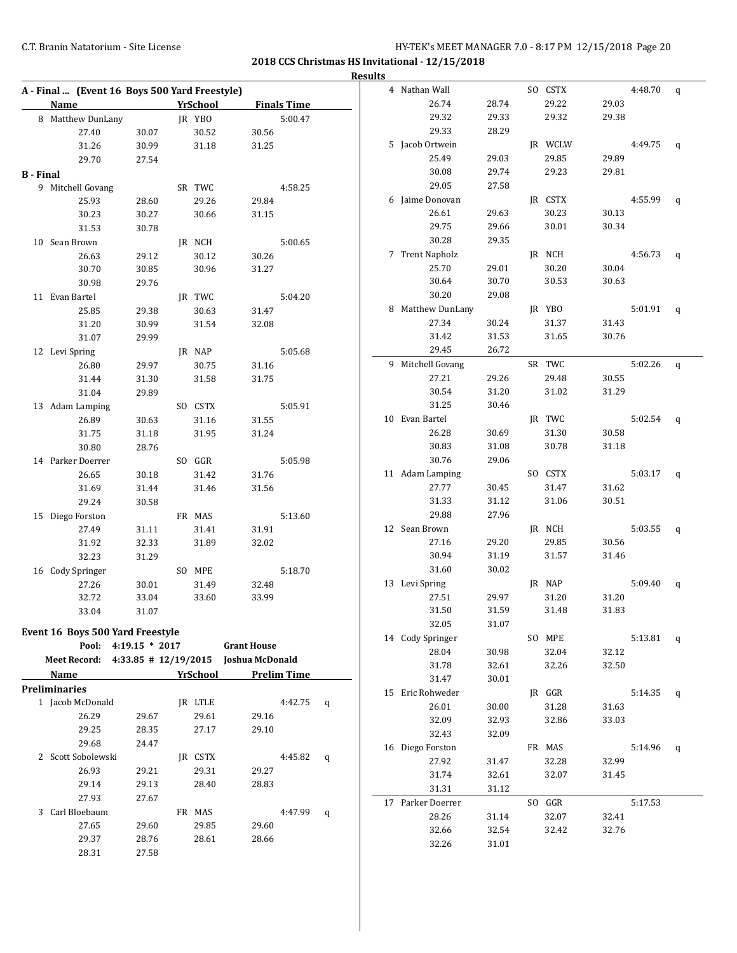|                  |                                                   |                |                 |       |                    |                    |   | <b>Results</b> |                   |       |         |       |             |              |
|------------------|---------------------------------------------------|----------------|-----------------|-------|--------------------|--------------------|---|----------------|-------------------|-------|---------|-------|-------------|--------------|
|                  | A - Final  (Event 16 Boys 500 Yard Freestyle)     |                |                 |       |                    |                    |   |                | 4 Nathan Wall     |       | SO CSTX |       | 4:48.70     | q            |
|                  | Name                                              |                | <b>YrSchool</b> |       |                    | <b>Finals Time</b> |   |                | 26.74             | 28.74 | 29.22   | 29.03 |             |              |
|                  | 8 Matthew DunLany                                 |                | JR YBO          |       |                    | 5:00.47            |   |                | 29.32             | 29.33 | 29.32   | 29.38 |             |              |
|                  | 27.40                                             | 30.07          |                 | 30.52 | 30.56              |                    |   |                | 29.33             | 28.29 |         |       |             |              |
|                  | 31.26                                             | 30.99          |                 | 31.18 | 31.25              |                    |   |                | 5 Jacob Ortwein   |       | JR WCLW |       | 4:49.75     | q            |
|                  | 29.70                                             | 27.54          |                 |       |                    |                    |   |                | 25.49             | 29.03 | 29.85   | 29.89 |             |              |
| <b>B</b> - Final |                                                   |                |                 |       |                    |                    |   |                | 30.08             | 29.74 | 29.23   | 29.81 |             |              |
|                  | 9 Mitchell Govang                                 |                | SR TWC          |       |                    | 4:58.25            |   |                | 29.05             | 27.58 |         |       |             |              |
|                  | 25.93                                             | 28.60          |                 | 29.26 | 29.84              |                    |   |                | 6 Jaime Donovan   |       | JR CSTX |       | 4:55.99     | $\mathsf{q}$ |
|                  | 30.23                                             | 30.27          |                 | 30.66 | 31.15              |                    |   |                | 26.61             | 29.63 | 30.23   | 30.13 |             |              |
|                  | 31.53                                             | 30.78          |                 |       |                    |                    |   |                | 29.75             | 29.66 | 30.01   | 30.34 |             |              |
|                  | 10 Sean Brown                                     |                | JR NCH          |       |                    | 5:00.65            |   |                | 30.28             | 29.35 |         |       |             |              |
|                  | 26.63                                             |                |                 | 30.12 |                    |                    |   |                | 7 Trent Napholz   |       | JR NCH  |       | 4:56.73     | q            |
|                  | 30.70                                             | 29.12<br>30.85 |                 | 30.96 | 30.26<br>31.27     |                    |   |                | 25.70             | 29.01 | 30.20   | 30.04 |             |              |
|                  |                                                   |                |                 |       |                    |                    |   |                | 30.64             | 30.70 | 30.53   | 30.63 |             |              |
|                  | 30.98                                             | 29.76          |                 |       |                    |                    |   |                | 30.20             | 29.08 |         |       |             |              |
|                  | 11 Evan Bartel                                    |                | JR TWC          |       |                    | 5:04.20            |   |                | 8 Matthew DunLany |       | JR YBO  |       | $5:01.91$ q |              |
|                  | 25.85                                             | 29.38          |                 | 30.63 | 31.47              |                    |   |                | 27.34             | 30.24 | 31.37   | 31.43 |             |              |
|                  | 31.20                                             | 30.99          |                 | 31.54 | 32.08              |                    |   |                | 31.42             | 31.53 | 31.65   | 30.76 |             |              |
|                  | 31.07                                             | 29.99          |                 |       |                    |                    |   |                |                   |       |         |       |             |              |
|                  | 12 Levi Spring                                    |                | JR NAP          |       |                    | 5:05.68            |   |                | 29.45             | 26.72 |         |       |             |              |
|                  | 26.80                                             | 29.97          |                 | 30.75 | 31.16              |                    |   |                | 9 Mitchell Govang |       | SR TWC  |       | 5:02.26     | $\mathbf{q}$ |
|                  | 31.44                                             | 31.30          |                 | 31.58 | 31.75              |                    |   |                | 27.21             | 29.26 | 29.48   | 30.55 |             |              |
|                  | 31.04                                             | 29.89          |                 |       |                    |                    |   |                | 30.54             | 31.20 | 31.02   | 31.29 |             |              |
|                  | 13 Adam Lamping                                   |                | SO CSTX         |       |                    | 5:05.91            |   |                | 31.25             | 30.46 |         |       |             |              |
|                  | 26.89                                             | 30.63          |                 | 31.16 | 31.55              |                    |   |                | 10 Evan Bartel    |       | JR TWC  |       | 5:02.54     | $\mathbf{q}$ |
|                  | 31.75                                             | 31.18          |                 | 31.95 | 31.24              |                    |   |                | 26.28             | 30.69 | 31.30   | 30.58 |             |              |
|                  | 30.80                                             | 28.76          |                 |       |                    |                    |   |                | 30.83             | 31.08 | 30.78   | 31.18 |             |              |
|                  | 14 Parker Doerrer                                 |                | SO GGR          |       |                    | 5:05.98            |   |                | 30.76             | 29.06 |         |       |             |              |
|                  | 26.65                                             | 30.18          |                 | 31.42 | 31.76              |                    |   |                | 11 Adam Lamping   |       | SO CSTX |       | 5:03.17     | q            |
|                  | 31.69                                             | 31.44          |                 | 31.46 | 31.56              |                    |   |                | 27.77             | 30.45 | 31.47   | 31.62 |             |              |
|                  | 29.24                                             | 30.58          |                 |       |                    |                    |   |                | 31.33             | 31.12 | 31.06   | 30.51 |             |              |
|                  | 15 Diego Forston                                  |                | FR MAS          |       |                    | 5:13.60            |   |                | 29.88             | 27.96 |         |       |             |              |
|                  | 27.49                                             | 31.11          |                 | 31.41 | 31.91              |                    |   |                | 12 Sean Brown     |       | JR NCH  |       | 5:03.55     | q            |
|                  | 31.92                                             | 32.33          |                 | 31.89 | 32.02              |                    |   |                | 27.16             | 29.20 | 29.85   | 30.56 |             |              |
|                  | 32.23                                             | 31.29          |                 |       |                    |                    |   |                | 30.94             | 31.19 | 31.57   | 31.46 |             |              |
|                  | 16 Cody Springer                                  |                | SO MPE          |       |                    | 5:18.70            |   |                | 31.60             | 30.02 |         |       |             |              |
|                  | 27.26                                             | 30.01          |                 | 31.49 | 32.48              |                    |   |                | 13 Levi Spring    |       | JR NAP  |       | 5:09.40     | q            |
|                  | 32.72                                             | 33.04          |                 | 33.60 | 33.99              |                    |   |                | 27.51             | 29.97 | 31.20   | 31.20 |             |              |
|                  | 33.04                                             | 31.07          |                 |       |                    |                    |   |                | 31.50             | 31.59 | 31.48   | 31.83 |             |              |
|                  |                                                   |                |                 |       |                    |                    |   |                | 32.05             | 31.07 |         |       |             |              |
|                  | <b>Event 16 Boys 500 Yard Freestyle</b>           |                |                 |       |                    |                    |   |                | 14 Cody Springer  |       | SO MPE  |       | $5:13.81$ q |              |
|                  | Pool: 4:19.15 * 2017                              |                |                 |       | <b>Grant House</b> |                    |   |                | 28.04             | 30.98 | 32.04   | 32.12 |             |              |
|                  | Meet Record: 4:33.85 # 12/19/2015 Joshua McDonald |                |                 |       |                    |                    |   |                | 31.78             | 32.61 | 32.26   | 32.50 |             |              |
|                  | Name                                              |                | YrSchool        |       |                    | <b>Prelim Time</b> |   |                | 31.47             | 30.01 |         |       |             |              |
|                  | <b>Preliminaries</b>                              |                |                 |       |                    |                    |   |                | 15 Eric Rohweder  |       | JR GGR  |       | 5:14.35 $q$ |              |
|                  | 1 Jacob McDonald                                  |                | JR LTLE         |       |                    | 4:42.75 $q$        |   |                | 26.01             | 30.00 | 31.28   | 31.63 |             |              |
|                  | 26.29                                             | 29.67          |                 | 29.61 | 29.16              |                    |   |                | 32.09             | 32.93 | 32.86   | 33.03 |             |              |
|                  | 29.25                                             | 28.35          |                 | 27.17 | 29.10              |                    |   |                | 32.43             | 32.09 |         |       |             |              |
|                  | 29.68                                             | 24.47          |                 |       |                    |                    |   |                | 16 Diego Forston  |       | FR MAS  |       | 5:14.96 $q$ |              |
|                  | 2 Scott Sobolewski                                |                | IR CSTX         |       |                    | 4:45.82            | q |                | 27.92             | 31.47 | 32.28   | 32.99 |             |              |
|                  | 26.93                                             | 29.21          |                 | 29.31 | 29.27              |                    |   |                | 31.74             | 32.61 | 32.07   | 31.45 |             |              |
|                  | 29.14                                             | 29.13          |                 | 28.40 | 28.83              |                    |   |                | 31.31             | 31.12 |         |       |             |              |
|                  | 27.93                                             | 27.67          |                 |       |                    |                    |   |                | 17 Parker Doerrer |       | SO GGR  |       | 5:17.53     |              |
|                  | 3 Carl Bloebaum                                   |                | FR MAS          |       |                    | 4:47.99 q          |   |                | 28.26             | 31.14 | 32.07   | 32.41 |             |              |
|                  | 27.65                                             | 29.60          |                 | 29.85 | 29.60              |                    |   |                | 32.66             | 32.54 | 32.42   | 32.76 |             |              |
|                  | 29.37                                             | 28.76          |                 | 28.61 | 28.66              |                    |   |                | 32.26             | 31.01 |         |       |             |              |
|                  | 28.31                                             | 27.58          |                 |       |                    |                    |   |                |                   |       |         |       |             |              |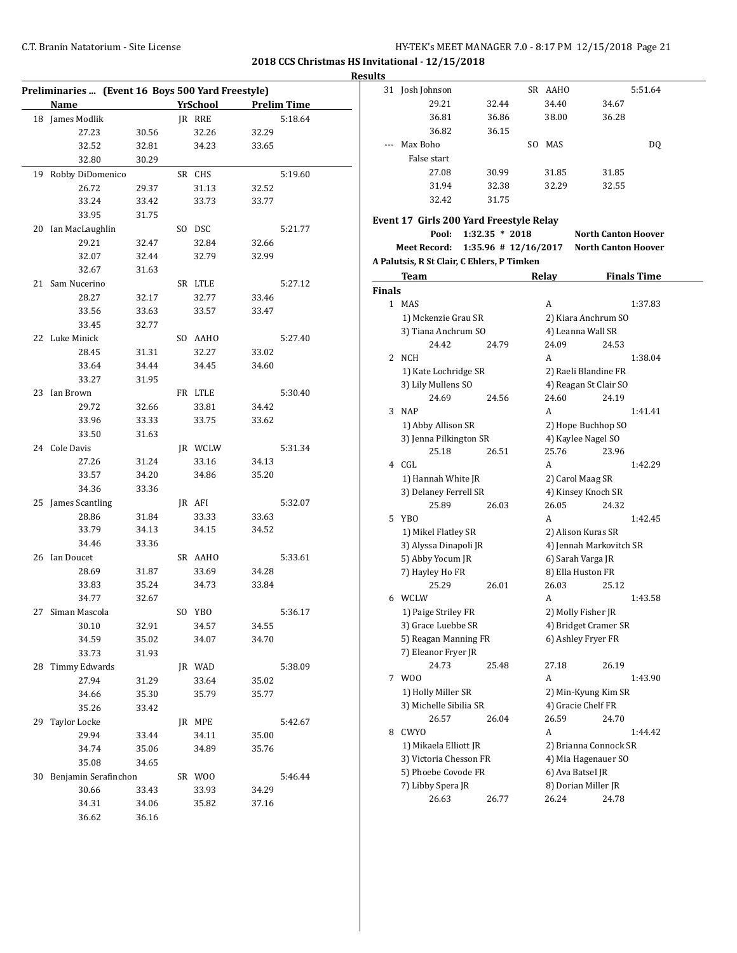**Results**

|    | Preliminaries  (Event 16 Boys 500 Yard Freestyle) |                |                 |                |                    |
|----|---------------------------------------------------|----------------|-----------------|----------------|--------------------|
|    | <b>Name</b>                                       |                | <u>YrSchool</u> |                | <b>Prelim Time</b> |
|    | 18 James Modlik                                   |                | IR RRE          |                | 5:18.64            |
|    | 27.23                                             | 30.56          | 32.26           | 32.29          |                    |
|    | 32.52                                             | 32.81          | 34.23           | 33.65          |                    |
|    | 32.80                                             | 30.29          |                 |                |                    |
| 19 | Robby DiDomenico                                  |                | SR CHS          |                | 5:19.60            |
|    | 26.72                                             | 29.37          | 31.13           | 32.52          |                    |
|    | 33.24                                             | 33.42          | 33.73           | 33.77          |                    |
|    | 33.95                                             | 31.75          |                 |                |                    |
|    |                                                   |                |                 |                |                    |
|    | 20 Ian MacLaughlin<br>29.21                       |                | SO DSC          | 32.66          | 5:21.77            |
|    |                                                   | 32.47          | 32.84           |                |                    |
|    | 32.07                                             | 32.44          | 32.79           | 32.99          |                    |
|    | 32.67                                             | 31.63          |                 |                |                    |
| 21 | Sam Nucerino                                      |                | SR LTLE         |                | 5:27.12            |
|    | 28.27                                             | 32.17          | 32.77           | 33.46          |                    |
|    | 33.56                                             | 33.63          | 33.57           | 33.47          |                    |
|    | 33.45                                             | 32.77          |                 |                |                    |
|    | 22 Luke Minick                                    |                | SO AAHO         |                | 5:27.40            |
|    | 28.45                                             | 31.31          | 32.27           | 33.02          |                    |
|    | 33.64                                             | 34.44          | 34.45           | 34.60          |                    |
|    | 33.27                                             | 31.95          |                 |                |                    |
|    | 23 Ian Brown                                      |                | FR LTLE         |                | 5:30.40            |
|    | 29.72                                             | 32.66          | 33.81           | 34.42          |                    |
|    | 33.96                                             | 33.33          | 33.75           | 33.62          |                    |
|    | 33.50                                             | 31.63          |                 |                |                    |
|    | 24 Cole Davis                                     |                | JR WCLW         |                | 5:31.34            |
|    | 27.26                                             | 31.24          | 33.16           | 34.13          |                    |
|    | 33.57                                             | 34.20          | 34.86           | 35.20          |                    |
|    | 34.36                                             | 33.36          |                 |                |                    |
|    | 25 James Scantling                                |                | JR AFI          |                | 5:32.07            |
|    | 28.86                                             | 31.84          | 33.33           | 33.63          |                    |
|    | 33.79                                             | 34.13          | 34.15           | 34.52          |                    |
|    | 34.46                                             | 33.36          |                 |                |                    |
|    | 26 Ian Doucet                                     |                | SR AAHO         |                | 5:33.61            |
|    | 28.69                                             | 31.87          | 33.69           | 34.28          |                    |
|    | 33.83                                             | 35.24          | 34.73           | 33.84          |                    |
|    | 34.77                                             | 32.67          |                 |                |                    |
| 27 | Siman Mascola                                     |                | SO YBO          |                | 5:36.17            |
|    | 30.10                                             | 32.91          | 34.57           | 34.55          |                    |
|    | 34.59                                             | 35.02          | 34.07           | 34.70          |                    |
|    | 33.73                                             | 31.93          |                 |                |                    |
| 28 | Timmy Edwards                                     |                | JR WAD          |                | 5:38.09            |
|    | 27.94                                             | 31.29          | 33.64           | 35.02          |                    |
|    | 34.66                                             | 35.30          | 35.79           | 35.77          |                    |
|    | 35.26                                             | 33.42          |                 |                |                    |
| 29 | Taylor Locke                                      |                | JR MPE          |                | 5:42.67            |
|    | 29.94                                             | 33.44          | 34.11           | 35.00          |                    |
|    | 34.74                                             | 35.06          | 34.89           | 35.76          |                    |
|    | 35.08                                             | 34.65          |                 |                |                    |
| 30 | Benjamin Serafinchon                              |                | SR WOO          |                | 5:46.44            |
|    | 30.66                                             |                |                 |                |                    |
|    | 34.31                                             | 33.43<br>34.06 | 33.93<br>35.82  | 34.29<br>37.16 |                    |
|    | 36.62                                             | 36.16          |                 |                |                    |
|    |                                                   |                |                 |                |                    |

|               | 31 Josh Johnson                            |                          |     | SR AAHO |                            | 5:51.64            |
|---------------|--------------------------------------------|--------------------------|-----|---------|----------------------------|--------------------|
|               | 29.21                                      | 32.44                    |     | 34.40   | 34.67                      |                    |
|               | 36.81                                      | 36.86                    |     | 38.00   | 36.28                      |                    |
|               | 36.82                                      | 36.15                    |     |         |                            |                    |
| ---           | Max Boho                                   |                          | SO. | MAS     |                            | DQ                 |
|               | False start                                |                          |     |         |                            |                    |
|               |                                            |                          |     |         |                            |                    |
|               | 27.08                                      | 30.99                    |     | 31.85   | 31.85                      |                    |
|               | 31.94                                      | 32.38                    |     | 32.29   | 32.55                      |                    |
|               | 32.42                                      | 31.75                    |     |         |                            |                    |
|               | Event 17 Girls 200 Yard Freestyle Relay    |                          |     |         |                            |                    |
|               | Pool:                                      | $1:32.35 * 2018$         |     |         | <b>North Canton Hoover</b> |                    |
|               | Meet Record:                               | $1:35.96$ # $12/16/2017$ |     |         | <b>North Canton Hoover</b> |                    |
|               | A Palutsis, R St Clair, C Ehlers, P Timken |                          |     |         |                            |                    |
|               | Team                                       |                          |     | Relay   |                            | <b>Finals Time</b> |
| <b>Finals</b> |                                            |                          |     |         |                            |                    |
|               | 1 MAS                                      |                          |     | A       |                            | 1:37.83            |
|               |                                            |                          |     |         |                            |                    |
|               | 1) Mckenzie Grau SR<br>3) Tiana Anchrum SO |                          |     |         | 2) Kiara Anchrum SO        |                    |
|               |                                            |                          |     |         | 4) Leanna Wall SR          |                    |
|               | 24.42                                      | 24.79                    |     | 24.09   | 24.53                      |                    |
| 2             | NCH                                        |                          |     | A       |                            | 1:38.04            |
|               | 1) Kate Lochridge SR                       |                          |     |         | 2) Raeli Blandine FR       |                    |
|               | 3) Lily Mullens SO                         |                          |     |         | 4) Reagan St Clair SO      |                    |
|               | 24.69                                      | 24.56                    |     | 24.60   | 24.19                      |                    |
| 3             | <b>NAP</b>                                 |                          |     | A       |                            | 1:41.41            |
|               | 1) Abby Allison SR                         |                          |     |         | 2) Hope Buchhop SO         |                    |
|               | 3) Jenna Pilkington SR                     |                          |     |         | 4) Kaylee Nagel SO         |                    |
|               | 25.18                                      | 26.51                    |     | 25.76   | 23.96                      |                    |
| 4             | CGL                                        |                          |     | A       |                            | 1:42.29            |
|               | 1) Hannah White JR                         |                          |     |         | 2) Carol Maag SR           |                    |
|               | 3) Delaney Ferrell SR                      |                          |     |         | 4) Kinsey Knoch SR         |                    |
|               | 25.89                                      | 26.03                    |     | 26.05   | 24.32                      |                    |
| 5             | YBO                                        |                          |     | A       |                            | 1:42.45            |
|               | 1) Mikel Flatley SR                        |                          |     |         | 2) Alison Kuras SR         |                    |
|               | 3) Alyssa Dinapoli JR                      |                          |     |         | 4) Jennah Markovitch SR    |                    |
|               | 5) Abby Yocum JR                           |                          |     |         | 6) Sarah Varga JR          |                    |
|               | 7) Hayley Ho FR                            |                          |     |         | 8) Ella Huston FR          |                    |
|               | 25.29                                      | 26.01                    |     | 26.03   | 25.12                      |                    |
| 6             | WCLW                                       |                          |     | A       |                            | 1:43.58            |
|               | 1) Paige Striley FR                        |                          |     |         | 2) Molly Fisher JR         |                    |
|               | 3) Grace Luebbe SR                         |                          |     |         | 4) Bridget Cramer SR       |                    |
|               | 5) Reagan Manning FR                       |                          |     |         | 6) Ashley Fryer FR         |                    |
|               | 7) Eleanor Fryer JR                        |                          |     |         |                            |                    |
|               | 24.73                                      | 25.48                    |     | 27.18   | 26.19                      |                    |
| 7             | W00                                        |                          |     | A       |                            | 1:43.90            |
|               | 1) Holly Miller SR                         |                          |     |         | 2) Min-Kyung Kim SR        |                    |
|               | 3) Michelle Sibilia SR                     |                          |     |         | 4) Gracie Chelf FR         |                    |
|               | 26.57                                      | 26.04                    |     | 26.59   | 24.70                      |                    |
| 8             | CWYO                                       |                          |     | A       |                            | 1:44.42            |
|               | 1) Mikaela Elliott JR                      |                          |     |         | 2) Brianna Connock SR      |                    |
|               | 3) Victoria Chesson FR                     |                          |     |         | 4) Mia Hagenauer SO        |                    |
|               | 5) Phoebe Covode FR                        |                          |     |         | 6) Ava Batsel JR           |                    |
|               | 7) Libby Spera JR                          |                          |     |         | 8) Dorian Miller JR        |                    |
|               | 26.63                                      | 26.77                    |     | 26.24   | 24.78                      |                    |
|               |                                            |                          |     |         |                            |                    |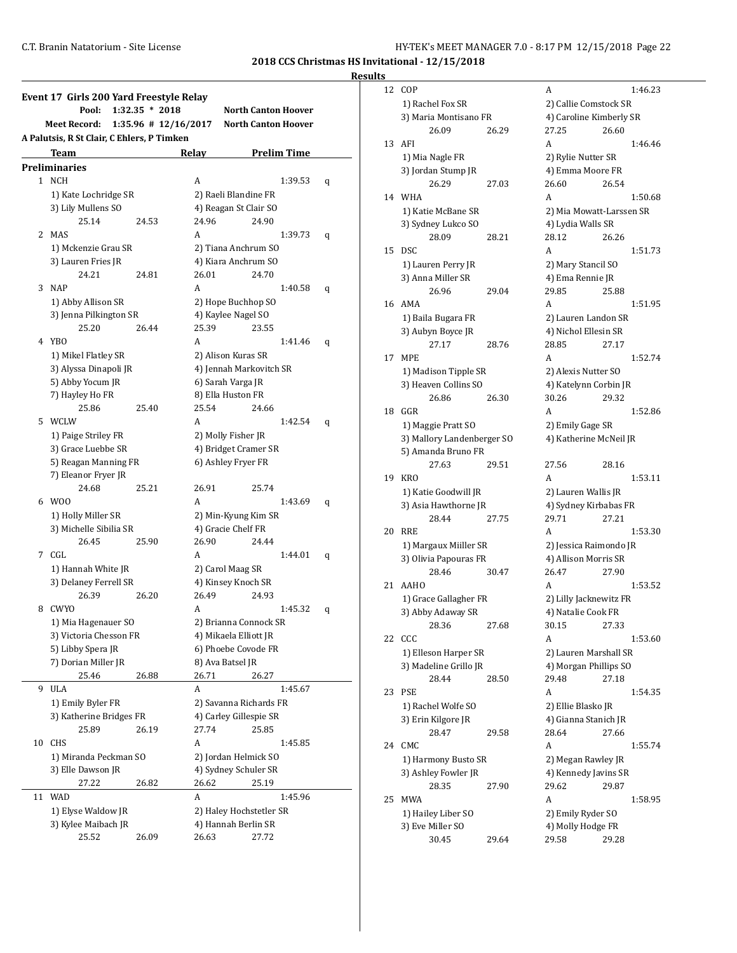**Results**

|    | Event 17 Girls 200 Yard Freestyle Relay                           |                         |       |                                                  |   |  |  |  |  |
|----|-------------------------------------------------------------------|-------------------------|-------|--------------------------------------------------|---|--|--|--|--|
|    | Pool:                                                             | $1:32.35 * 2018$        |       | <b>North Canton Hoover</b>                       |   |  |  |  |  |
|    | <b>Meet Record:</b><br>A Palutsis, R St Clair, C Ehlers, P Timken | $1:35.96 \# 12/16/2017$ |       | <b>North Canton Hoover</b>                       |   |  |  |  |  |
|    | Team                                                              |                         | Relay | <b>Prelim Time</b>                               |   |  |  |  |  |
|    | Preliminaries                                                     |                         |       |                                                  |   |  |  |  |  |
|    | 1 NCH                                                             |                         | А     | 1:39.53                                          | q |  |  |  |  |
|    | 1) Kate Lochridge SR                                              |                         |       | 2) Raeli Blandine FR                             |   |  |  |  |  |
|    | 3) Lily Mullens SO                                                |                         |       | 4) Reagan St Clair SO                            |   |  |  |  |  |
|    | 25.14                                                             | 24.53                   | 24.96 | 24.90                                            |   |  |  |  |  |
| 2  | <b>MAS</b>                                                        |                         | A     | 1:39.73                                          | q |  |  |  |  |
|    | 1) Mckenzie Grau SR                                               |                         |       | 2) Tiana Anchrum SO                              |   |  |  |  |  |
|    | 3) Lauren Fries JR                                                |                         |       | 4) Kiara Anchrum SO                              |   |  |  |  |  |
|    | 24.21                                                             | 24.81                   | 26.01 | 24.70                                            |   |  |  |  |  |
| 3  | <b>NAP</b>                                                        |                         | A     | 1:40.58                                          | q |  |  |  |  |
|    | 1) Abby Allison SR                                                |                         |       | 2) Hope Buchhop SO                               |   |  |  |  |  |
|    | 3) Jenna Pilkington SR                                            |                         |       | 4) Kaylee Nagel SO                               |   |  |  |  |  |
|    | 25.20                                                             | 26.44                   | 25.39 | 23.55                                            |   |  |  |  |  |
|    | 4 YBO                                                             |                         | А     | 1:41.46                                          | q |  |  |  |  |
|    | 1) Mikel Flatley SR                                               |                         |       | 2) Alison Kuras SR                               |   |  |  |  |  |
|    | 3) Alyssa Dinapoli JR                                             |                         |       | 4) Jennah Markovitch SR                          |   |  |  |  |  |
|    | 5) Abby Yocum JR                                                  |                         |       | 6) Sarah Varga JR                                |   |  |  |  |  |
|    | 7) Hayley Ho FR                                                   |                         |       | 8) Ella Huston FR                                |   |  |  |  |  |
|    | 25.86                                                             | 25.40                   | 25.54 | 24.66                                            |   |  |  |  |  |
|    | 5 WCLW                                                            |                         | А     | 1:42.54                                          | q |  |  |  |  |
|    | 1) Paige Striley FR                                               |                         |       | 2) Molly Fisher JR                               |   |  |  |  |  |
|    | 3) Grace Luebbe SR                                                |                         |       | 4) Bridget Cramer SR                             |   |  |  |  |  |
|    | 5) Reagan Manning FR                                              |                         |       | 6) Ashley Fryer FR                               |   |  |  |  |  |
|    | 7) Eleanor Fryer JR                                               |                         |       |                                                  |   |  |  |  |  |
|    | 24.68                                                             | 25.21                   | 26.91 | 25.74                                            |   |  |  |  |  |
|    | 6 W00                                                             |                         | A     | 1:43.69                                          | q |  |  |  |  |
|    | 1) Holly Miller SR                                                |                         |       | 2) Min-Kyung Kim SR                              |   |  |  |  |  |
|    | 3) Michelle Sibilia SR                                            |                         |       | 4) Gracie Chelf FR                               |   |  |  |  |  |
|    | 26.45                                                             | 25.90                   | 26.90 | 24.44                                            |   |  |  |  |  |
| 7  | CGL                                                               |                         | A     | 1:44.01                                          | q |  |  |  |  |
|    | 1) Hannah White JR                                                |                         |       | 2) Carol Maag SR                                 |   |  |  |  |  |
|    | 3) Delaney Ferrell SR                                             |                         |       | 4) Kinsey Knoch SR                               |   |  |  |  |  |
|    | 26.39                                                             | 26.20                   | 26.49 | 24.93                                            |   |  |  |  |  |
| 8  | <b>CWYO</b>                                                       |                         | A     | 1:45.32                                          | q |  |  |  |  |
|    | 1) Mia Hagenauer SO                                               |                         |       | 2) Brianna Connock SR                            |   |  |  |  |  |
|    | 3) Victoria Chesson FR                                            |                         |       | 4) Mikaela Elliott JR                            |   |  |  |  |  |
|    | 5) Libby Spera JR                                                 |                         |       | 6) Phoebe Covode FR                              |   |  |  |  |  |
|    | 7) Dorian Miller JR                                               | 26.88                   | 26.71 | 8) Ava Batsel JR                                 |   |  |  |  |  |
| 9  | 25.46<br><b>ULA</b>                                               |                         |       | 26.27                                            |   |  |  |  |  |
|    |                                                                   |                         | А     | 1:45.67                                          |   |  |  |  |  |
|    | 1) Emily Byler FR                                                 |                         |       | 2) Savanna Richards FR<br>4) Carley Gillespie SR |   |  |  |  |  |
|    | 3) Katherine Bridges FR<br>25.89                                  | 26.19                   | 27.74 | 25.85                                            |   |  |  |  |  |
| 10 | CHS                                                               |                         | А     | 1:45.85                                          |   |  |  |  |  |
|    | 1) Miranda Peckman SO                                             |                         |       | 2) Jordan Helmick SO                             |   |  |  |  |  |
|    | 3) Elle Dawson JR                                                 |                         |       | 4) Sydney Schuler SR                             |   |  |  |  |  |
|    | 27.22                                                             | 26.82                   | 26.62 | 25.19                                            |   |  |  |  |  |
| 11 | <b>WAD</b>                                                        |                         | A     | 1:45.96                                          |   |  |  |  |  |
|    | 1) Elyse Waldow JR                                                |                         |       | 2) Haley Hochstetler SR                          |   |  |  |  |  |
|    | 3) Kylee Maibach JR                                               |                         |       | 4) Hannah Berlin SR                              |   |  |  |  |  |
|    | 25.52                                                             | 26.09                   | 26.63 | 27.72                                            |   |  |  |  |  |
|    |                                                                   |                         |       |                                                  |   |  |  |  |  |

| 12 | COP                                            |       | A                                              |       | 1:46.23 |
|----|------------------------------------------------|-------|------------------------------------------------|-------|---------|
|    | 1) Rachel Fox SR                               |       | 2) Callie Comstock SR                          |       |         |
|    | 3) Maria Montisano FR                          |       | 4) Caroline Kimberly SR                        |       |         |
|    | 26.09                                          | 26.29 | 27.25                                          | 26.60 |         |
| 13 | AFI                                            |       | A                                              |       | 1:46.46 |
|    | 1) Mia Nagle FR                                |       | 2) Rylie Nutter SR                             |       |         |
|    | 3) Jordan Stump JR                             |       | 4) Emma Moore FR                               |       |         |
|    | 26.29                                          | 27.03 | 26.60                                          | 26.54 |         |
| 14 | <b>WHA</b>                                     |       | A                                              |       | 1:50.68 |
|    | 1) Katie McBane SR                             |       | 2) Mia Mowatt-Larssen SR                       |       |         |
|    | 3) Sydney Lukco SO                             |       | 4) Lydia Walls SR                              |       |         |
|    | 28.09                                          | 28.21 | 28.12                                          | 26.26 |         |
| 15 | <b>DSC</b>                                     |       | A                                              |       | 1:51.73 |
|    | 1) Lauren Perry JR                             |       | 2) Mary Stancil SO                             |       |         |
|    | 3) Anna Miller SR                              |       | 4) Ema Rennie JR                               |       |         |
|    | 26.96                                          | 29.04 | 29.85                                          | 25.88 |         |
| 16 | AMA                                            |       | A                                              |       | 1:51.95 |
|    | 1) Baila Bugara FR                             |       | 2) Lauren Landon SR                            |       |         |
|    | 3) Aubyn Boyce JR                              |       | 4) Nichol Ellesin SR                           |       |         |
|    | 27.17                                          | 28.76 | 28.85                                          | 27.17 |         |
| 17 | MPE                                            |       | A                                              |       | 1:52.74 |
|    | 1) Madison Tipple SR                           |       | 2) Alexis Nutter SO                            |       |         |
|    | 3) Heaven Collins SO                           |       | 4) Katelynn Corbin JR                          |       |         |
|    | 26.86                                          | 26.30 | 30.26                                          | 29.32 |         |
| 18 | GGR                                            |       | А                                              |       | 1:52.86 |
|    | 1) Maggie Pratt SO                             |       | 2) Emily Gage SR                               |       |         |
|    | 3) Mallory Landenberger SO                     |       | 4) Katherine McNeil JR                         |       |         |
|    | 5) Amanda Bruno FR                             |       |                                                |       |         |
|    | 27.63                                          | 29.51 | 27.56                                          | 28.16 |         |
|    | KRO                                            |       | A                                              |       | 1:53.11 |
| 19 |                                                |       |                                                |       |         |
|    | 1) Katie Goodwill JR                           |       | 2) Lauren Wallis JR                            |       |         |
|    | 3) Asia Hawthorne JR<br>28.44                  | 27.75 | 4) Sydney Kirbabas FR<br>29.71                 | 27.21 |         |
| 20 | RRE                                            |       | A                                              |       | 1:53.30 |
|    |                                                |       |                                                |       |         |
|    | 1) Margaux Miiller SR<br>3) Olivia Papouras FR |       | 2) Jessica Raimondo JR<br>4) Allison Morris SR |       |         |
|    | 28.46                                          |       | 26.47                                          | 27.90 |         |
| 21 | <b>AAHO</b>                                    | 30.47 | A                                              |       | 1:53.52 |
|    |                                                |       |                                                |       |         |
|    | 1) Grace Gallagher FR                          |       | 2) Lilly Jacknewitz FR                         |       |         |
|    | 3) Abby Adaway SR                              |       | 4) Natalie Cook FR                             | 27.33 |         |
|    | 28.36                                          | 27.68 | 30.15                                          |       |         |
| 22 | CCC                                            |       | A                                              |       | 1:53.60 |
|    | 1) Elleson Harper SR                           |       | 2) Lauren Marshall SR                          |       |         |
|    | 3) Madeline Grillo JR                          |       | 4) Morgan Phillips SO                          |       |         |
|    | 28.44                                          | 28.50 | 29.48                                          | 27.18 |         |
| 23 | PSE                                            |       | А                                              |       | 1:54.35 |
|    | 1) Rachel Wolfe SO                             |       | 2) Ellie Blasko JR                             |       |         |
|    | 3) Erin Kilgore JR                             |       | 4) Gianna Stanich JR                           |       |         |
|    | 28.47                                          | 29.58 | 28.64                                          | 27.66 |         |
| 24 | CMC                                            |       | A                                              |       | 1:55.74 |
|    | 1) Harmony Busto SR                            |       | 2) Megan Rawley JR                             |       |         |
|    | 3) Ashley Fowler JR                            |       | 4) Kennedy Javins SR                           |       |         |
|    | 28.35                                          | 27.90 | 29.62                                          | 29.87 |         |
| 25 | MWA                                            |       | A                                              |       | 1:58.95 |
|    | 1) Hailey Liber SO                             |       | 2) Emily Ryder SO                              |       |         |
|    | 3) Eve Miller SO                               |       | 4) Molly Hodge FR                              |       |         |
|    | 30.45                                          | 29.64 | 29.58                                          | 29.28 |         |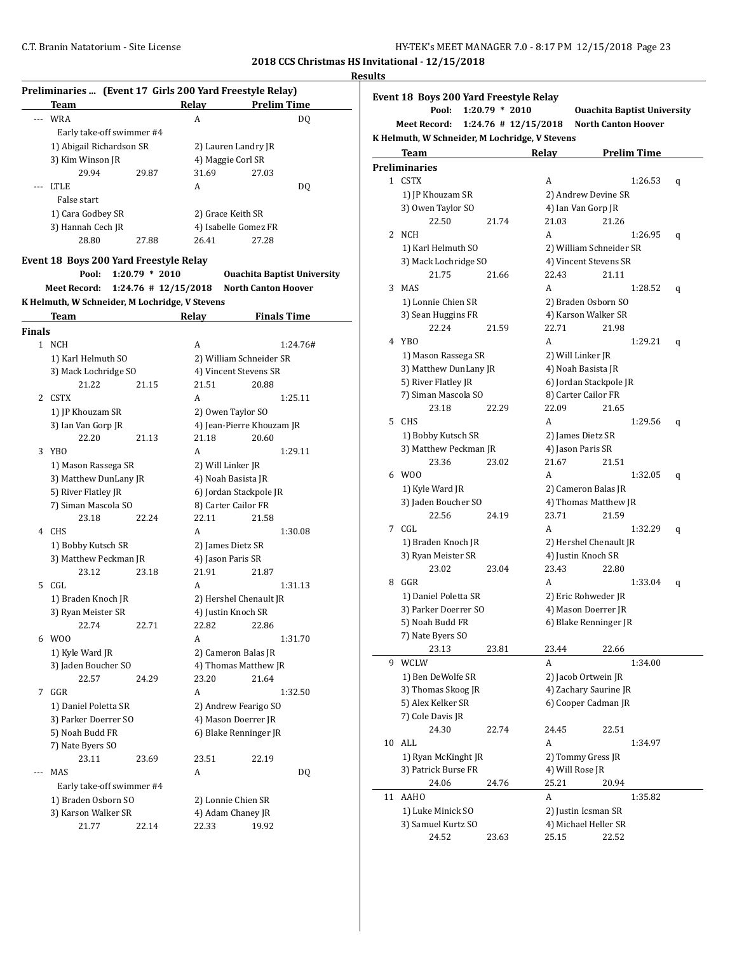|        | Preliminaries  (Event 17 Girls 200 Yard Freestyle Relay) |                  |                          |                                                                  |     |
|--------|----------------------------------------------------------|------------------|--------------------------|------------------------------------------------------------------|-----|
|        | Team                                                     |                  | Relay                    | <b>Prelim Time</b>                                               | Eve |
| $---$  | <b>WRA</b>                                               |                  | A                        | DQ                                                               |     |
|        |                                                          |                  |                          |                                                                  |     |
|        | Early take-off swimmer #4                                |                  |                          |                                                                  | K H |
|        | 1) Abigail Richardson SR                                 |                  |                          | 2) Lauren Landry JR                                              |     |
|        | 3) Kim Winson JR                                         |                  |                          | 4) Maggie Corl SR                                                | Pre |
|        | 29.94                                                    | 29.87            | 31.69                    | 27.03                                                            |     |
|        | <b>LTLE</b>                                              |                  | A                        | DQ                                                               |     |
|        | False start                                              |                  |                          |                                                                  |     |
|        | 1) Cara Godbey SR                                        |                  | 2) Grace Keith SR        |                                                                  |     |
|        | 3) Hannah Cech JR                                        |                  |                          | 4) Isabelle Gomez FR                                             |     |
|        | 28.80                                                    | 27.88            | 26.41                    | 27.28                                                            |     |
|        |                                                          |                  |                          |                                                                  |     |
|        | Event 18 Boys 200 Yard Freestyle Relay<br>Pool:          | $1:20.79 * 2010$ |                          |                                                                  |     |
|        | <b>Meet Record:</b>                                      |                  | $1:24.76$ # $12/15/2018$ | <b>Ouachita Baptist University</b><br><b>North Canton Hoover</b> |     |
|        |                                                          |                  |                          |                                                                  |     |
|        | K Helmuth, W Schneider, M Lochridge, V Stevens<br>Team   |                  | <b>Relay</b>             | <b>Finals Time</b>                                               |     |
| Finals |                                                          |                  |                          |                                                                  |     |
|        | 1 NCH                                                    |                  | A                        | 1:24.76#                                                         |     |
|        | 1) Karl Helmuth SO                                       |                  |                          | 2) William Schneider SR                                          |     |
|        | 3) Mack Lochridge SO                                     |                  |                          | 4) Vincent Stevens SR                                            |     |
|        | 21.22                                                    |                  | 21.51                    |                                                                  |     |
|        |                                                          | 21.15            |                          | 20.88                                                            |     |
| 2      | <b>CSTX</b>                                              |                  | A                        | 1:25.11                                                          |     |
|        | 1) JP Khouzam SR                                         |                  |                          | 2) Owen Taylor SO                                                |     |
|        | 3) Ian Van Gorp JR                                       |                  |                          | 4) Jean-Pierre Khouzam JR                                        |     |
|        | 22.20                                                    | 21.13            | 21.18                    | 20.60                                                            |     |
| 3      | YBO                                                      |                  | A                        | 1:29.11                                                          |     |
|        | 1) Mason Rassega SR                                      |                  | 2) Will Linker JR        |                                                                  |     |
|        | 3) Matthew DunLany JR                                    |                  |                          | 4) Noah Basista JR                                               |     |
|        |                                                          |                  |                          |                                                                  |     |
|        | 5) River Flatley JR                                      |                  |                          | 6) Jordan Stackpole JR                                           |     |
|        | 7) Siman Mascola SO                                      |                  |                          | 8) Carter Cailor FR                                              |     |
|        | 23.18                                                    | 22.24            | 22.11                    | 21.58                                                            |     |
| 4      | CHS                                                      |                  | A                        | 1:30.08                                                          |     |
|        | 1) Bobby Kutsch SR                                       |                  |                          | 2) James Dietz SR                                                |     |
|        | 3) Matthew Peckman JR                                    |                  | 4) Jason Paris SR        |                                                                  |     |
|        | 23.12                                                    | 23.18            | 21.91                    | 21.87                                                            |     |
| 5      | CGL                                                      |                  | A                        | 1:31.13                                                          |     |
|        |                                                          |                  |                          |                                                                  |     |
|        | 1) Braden Knoch JR                                       |                  |                          | 2) Hershel Chenault JR                                           |     |
|        | 3) Ryan Meister SR                                       |                  |                          | 4) Justin Knoch SR                                               |     |
|        | 22.74                                                    | 22.71            | 22.82                    | 22.86                                                            |     |
|        | 6 W00                                                    |                  | А                        | 1:31.70                                                          |     |
|        | 1) Kyle Ward JR                                          |                  |                          | 2) Cameron Balas JR                                              |     |
|        | 3) Jaden Boucher SO                                      |                  |                          | 4) Thomas Matthew JR                                             |     |
|        | 22.57                                                    | 24.29            | 23.20                    | 21.64                                                            |     |
|        |                                                          |                  |                          |                                                                  |     |
| 7      | GGR                                                      |                  | A                        | 1:32.50                                                          |     |
|        | 1) Daniel Poletta SR                                     |                  |                          | 2) Andrew Fearigo SO                                             |     |
|        | 3) Parker Doerrer SO                                     |                  |                          | 4) Mason Doerrer JR                                              |     |
|        | 5) Noah Budd FR                                          |                  |                          | 6) Blake Renninger JR                                            |     |
|        | 7) Nate Byers SO                                         |                  |                          |                                                                  |     |
|        | 23.11                                                    | 23.69            | 23.51                    | 22.19                                                            |     |
|        |                                                          |                  |                          |                                                                  |     |
|        | MAS                                                      |                  | А                        | DQ                                                               |     |
|        | Early take-off swimmer #4                                |                  |                          |                                                                  |     |
|        |                                                          |                  |                          | 2) Lonnie Chien SR                                               |     |
|        | 1) Braden Osborn SO                                      |                  |                          |                                                                  |     |
|        | 3) Karson Walker SR                                      |                  |                          | 4) Adam Chaney JR                                                |     |

|                | Event 18 Boys 200 Yard Freestyle Relay         |                          |                 |                                        |                    |   |
|----------------|------------------------------------------------|--------------------------|-----------------|----------------------------------------|--------------------|---|
|                | Pool:                                          | $1:20.79 * 2010$         |                 | <b>Ouachita Baptist University</b>     |                    |   |
|                | Meet Record:                                   | $1:24.76$ # $12/15/2018$ |                 | <b>North Canton Hoover</b>             |                    |   |
|                | K Helmuth, W Schneider, M Lochridge, V Stevens |                          |                 |                                        |                    |   |
|                | <b>Team</b>                                    |                          | Relay           |                                        | <b>Prelim Time</b> |   |
|                | <b>Preliminaries</b>                           |                          |                 |                                        |                    |   |
|                | 1 CSTX                                         |                          | A               |                                        | 1:26.53            | q |
|                | 1) JP Khouzam SR                               |                          |                 | 2) Andrew Devine SR                    |                    |   |
|                | 3) Owen Taylor SO                              |                          |                 | 4) Ian Van Gorp JR                     |                    |   |
|                | 22.50                                          | 21.74                    | 21.03           | 21.26                                  |                    |   |
| $\overline{2}$ | NCH                                            |                          | A               |                                        | 1:26.95            | q |
|                | 1) Karl Helmuth SO                             |                          |                 | 2) William Schneider SR                |                    |   |
|                | 3) Mack Lochridge SO                           |                          |                 | 4) Vincent Stevens SR                  |                    |   |
|                | 21.75                                          | 21.66                    | 22.43           | 21.11                                  |                    |   |
| 3              | <b>MAS</b>                                     |                          | A               |                                        | 1:28.52            | q |
|                | 1) Lonnie Chien SR                             |                          |                 | 2) Braden Osborn SO                    |                    |   |
|                | 3) Sean Huggins FR                             |                          |                 | 4) Karson Walker SR                    |                    |   |
|                | 22.24                                          | 21.59                    | 22.71           | 21.98                                  |                    |   |
| 4              | YBO                                            |                          | A               |                                        | 1:29.21            | q |
|                | 1) Mason Rassega SR                            |                          |                 | 2) Will Linker JR                      |                    |   |
|                | 3) Matthew DunLany JR                          |                          |                 | 4) Noah Basista JR                     |                    |   |
|                | 5) River Flatley JR                            |                          |                 | 6) Jordan Stackpole JR                 |                    |   |
|                | 7) Siman Mascola SO<br>23.18                   | 22.29                    |                 | 8) Carter Cailor FR<br>21.65           |                    |   |
| 5.             | <b>CHS</b>                                     |                          | 22.09<br>A      |                                        |                    |   |
|                |                                                |                          |                 |                                        | 1:29.56            | q |
|                | 1) Bobby Kutsch SR<br>3) Matthew Peckman JR    |                          |                 | 2) James Dietz SR<br>4) Jason Paris SR |                    |   |
|                | 23.36                                          | 23.02                    | 21.67           | 21.51                                  |                    |   |
|                | 6 W00                                          |                          | A               |                                        | 1:32.05            |   |
|                | 1) Kyle Ward JR                                |                          |                 | 2) Cameron Balas JR                    |                    | q |
|                | 3) Jaden Boucher SO                            |                          |                 | 4) Thomas Matthew JR                   |                    |   |
|                | 22.56                                          | 24.19                    | 23.71           | 21.59                                  |                    |   |
| 7              | CGL                                            |                          | A               |                                        | 1:32.29            | q |
|                | 1) Braden Knoch JR                             |                          |                 | 2) Hershel Chenault JR                 |                    |   |
|                | 3) Ryan Meister SR                             |                          |                 | 4) Justin Knoch SR                     |                    |   |
|                | 23.02                                          | 23.04                    | 23.43           | 22.80                                  |                    |   |
| 8              | GGR                                            |                          | A               |                                        | 1:33.04            | q |
|                | 1) Daniel Poletta SR                           |                          |                 | 2) Eric Rohweder JR                    |                    |   |
|                | 3) Parker Doerrer SO                           |                          |                 | 4) Mason Doerrer JR                    |                    |   |
|                | 5) Noah Budd FR                                |                          |                 | 6) Blake Renninger JR                  |                    |   |
|                | 7) Nate Byers SO                               |                          |                 |                                        |                    |   |
|                | 23.13                                          | 23.81                    | 23.44           | 22.66                                  |                    |   |
| 9              | WCLW                                           |                          | А               |                                        | 1:34.00            |   |
|                | 1) Ben DeWolfe SR                              |                          |                 | 2) Jacob Ortwein JR                    |                    |   |
|                | 3) Thomas Skoog JR                             |                          |                 | 4) Zachary Saurine JR                  |                    |   |
|                | 5) Alex Kelker SR                              |                          |                 | 6) Cooper Cadman JR                    |                    |   |
|                | 7) Cole Davis JR                               |                          |                 |                                        |                    |   |
|                | 24.30                                          | 22.74                    | 24.45           | 22.51                                  |                    |   |
| 10             | ALL                                            |                          | A               |                                        | 1:34.97            |   |
|                | 1) Ryan McKinght JR                            |                          |                 | 2) Tommy Gress JR                      |                    |   |
|                | 3) Patrick Burse FR                            |                          | 4) Will Rose JR |                                        |                    |   |
|                | 24.06                                          | 24.76                    | 25.21           | 20.94                                  |                    |   |
| 11             | <b>AAHO</b>                                    |                          | A               |                                        | 1:35.82            |   |
|                | 1) Luke Minick SO                              |                          |                 | 2) Justin Icsman SR                    |                    |   |
|                | 3) Samuel Kurtz SO                             |                          |                 | 4) Michael Heller SR                   |                    |   |
|                | 24.52                                          | 23.63                    | 25.15           | 22.52                                  |                    |   |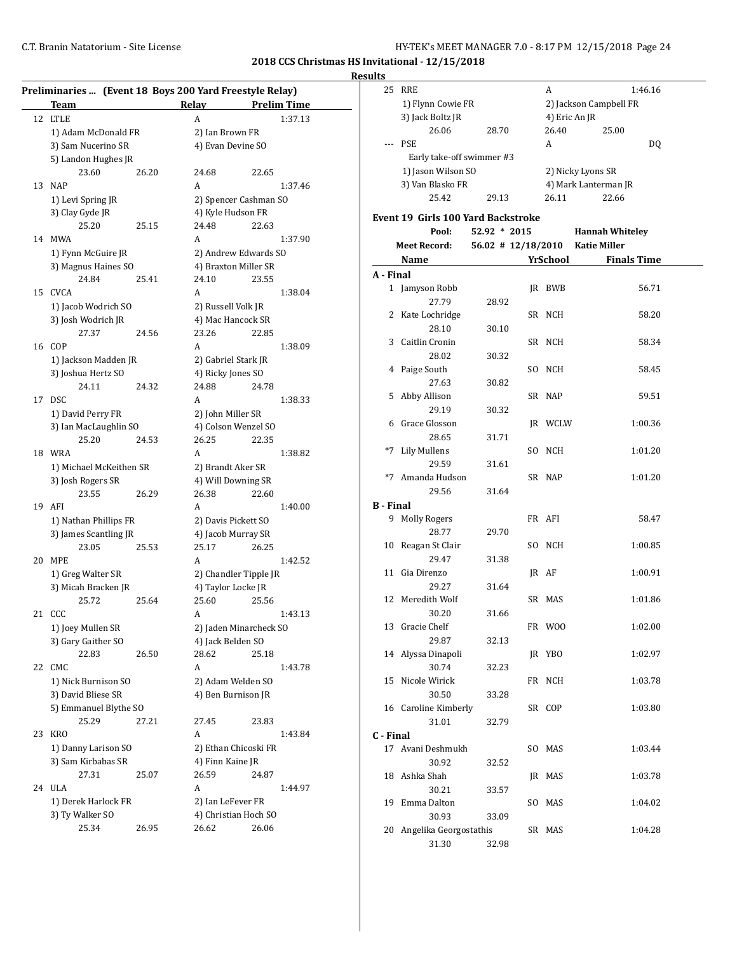**Results**

|    | Preliminaries  (Event 18 Boys 200 Yard Freestyle Relay) |       |                    |                        |  |  |  |
|----|---------------------------------------------------------|-------|--------------------|------------------------|--|--|--|
|    | Team                                                    |       | Relay              | <b>Prelim Time</b>     |  |  |  |
| 12 | <b>LTLE</b>                                             |       | A                  | 1:37.13                |  |  |  |
|    | 1) Adam McDonald FR                                     |       | 2) Ian Brown FR    |                        |  |  |  |
|    | 3) Sam Nucerino SR                                      |       |                    | 4) Evan Devine SO      |  |  |  |
|    | 5) Landon Hughes JR                                     |       |                    |                        |  |  |  |
|    | 23.60                                                   | 26.20 | 24.68              | 22.65                  |  |  |  |
| 13 | <b>NAP</b>                                              |       | A                  | 1:37.46                |  |  |  |
|    | 1) Levi Spring JR                                       |       |                    | 2) Spencer Cashman SO  |  |  |  |
|    | 3) Clay Gyde JR                                         |       |                    | 4) Kyle Hudson FR      |  |  |  |
|    | 25.20                                                   | 25.15 | 24.48              | 22.63                  |  |  |  |
| 14 | MWA                                                     |       | A                  | 1:37.90                |  |  |  |
|    |                                                         |       |                    | 2) Andrew Edwards SO   |  |  |  |
|    | 1) Fynn McGuire JR                                      |       |                    |                        |  |  |  |
|    | 3) Magnus Haines SO                                     |       |                    | 4) Braxton Miller SR   |  |  |  |
|    | 24.84                                                   | 25.41 | 24.10              | 23.55                  |  |  |  |
| 15 | <b>CVCA</b>                                             |       | A                  | 1:38.04                |  |  |  |
|    | 1) Jacob Wodrich SO                                     |       | 2) Russell Volk JR |                        |  |  |  |
|    | 3) Josh Wodrich JR                                      |       |                    | 4) Mac Hancock SR      |  |  |  |
|    | 27.37                                                   | 24.56 | 23.26              | 22.85                  |  |  |  |
| 16 | COP                                                     |       | A                  | 1:38.09                |  |  |  |
|    | 1) Jackson Madden JR                                    |       |                    | 2) Gabriel Stark JR    |  |  |  |
|    | 3) Joshua Hertz SO                                      |       | 4) Ricky Jones SO  |                        |  |  |  |
|    | 24.11                                                   | 24.32 | 24.88              | 24.78                  |  |  |  |
| 17 | <b>DSC</b>                                              |       | A                  | 1:38.33                |  |  |  |
|    | 1) David Perry FR                                       |       | 2) John Miller SR  |                        |  |  |  |
|    | 3) Ian MacLaughlin SO                                   |       |                    | 4) Colson Wenzel SO    |  |  |  |
|    | 25.20                                                   | 24.53 | 26.25              | 22.35                  |  |  |  |
| 18 | WRA                                                     |       | A                  | 1:38.82                |  |  |  |
|    | 1) Michael McKeithen SR                                 |       |                    | 2) Brandt Aker SR      |  |  |  |
|    | 3) Josh Rogers SR                                       |       |                    | 4) Will Downing SR     |  |  |  |
|    | 23.55                                                   | 26.29 | 26.38              | 22.60                  |  |  |  |
| 19 | AFI                                                     |       | A                  | 1:40.00                |  |  |  |
|    | 1) Nathan Phillips FR                                   |       |                    | 2) Davis Pickett SO    |  |  |  |
|    | 3) James Scantling JR                                   |       |                    | 4) Jacob Murray SR     |  |  |  |
|    | 23.05                                                   | 25.53 | 25.17              | 26.25                  |  |  |  |
| 20 | <b>MPE</b>                                              |       | A                  | 1:42.52                |  |  |  |
|    | 1) Greg Walter SR                                       |       |                    | 2) Chandler Tipple JR  |  |  |  |
|    | 3) Micah Bracken JR                                     |       | 4) Taylor Locke JR |                        |  |  |  |
|    | 25.72                                                   | 25.64 | 25.60              | 25.56                  |  |  |  |
|    | 21 CCC                                                  |       | A                  | 1:43.13                |  |  |  |
|    | 1) Joey Mullen SR                                       |       |                    | 2) Jaden Minarcheck SO |  |  |  |
|    | 3) Gary Gaither SO                                      |       | 4) Jack Belden SO  |                        |  |  |  |
|    | 22.83                                                   | 26.50 | 28.62              | 25.18                  |  |  |  |
| 22 | CMC                                                     |       | A                  | 1:43.78                |  |  |  |
|    | 1) Nick Burnison SO                                     |       |                    | 2) Adam Welden SO      |  |  |  |
|    | 3) David Bliese SR                                      |       |                    | 4) Ben Burnison JR     |  |  |  |
|    | 5) Emmanuel Blythe SO                                   |       |                    |                        |  |  |  |
|    | 25.29                                                   | 27.21 | 27.45              | 23.83                  |  |  |  |
| 23 | <b>KRO</b>                                              |       | A                  | 1:43.84                |  |  |  |
|    |                                                         |       |                    |                        |  |  |  |
|    | 1) Danny Larison SO                                     |       |                    | 2) Ethan Chicoski FR   |  |  |  |
|    | 3) Sam Kirbabas SR                                      |       | 4) Finn Kaine JR   |                        |  |  |  |
|    | 27.31                                                   | 25.07 | 26.59              | 24.87                  |  |  |  |
| 24 | <b>ULA</b>                                              |       | A                  | 1:44.97                |  |  |  |
|    | 1) Derek Harlock FR                                     |       |                    | 2) Ian LeFever FR      |  |  |  |
|    | 3) Ty Walker SO                                         |       |                    | 4) Christian Hoch SO   |  |  |  |
|    | 25.34                                                   | 26.95 | 26.62              | 26.06                  |  |  |  |

|                  | 25 RRE                             |                | A               | 1:46.16                         |  |
|------------------|------------------------------------|----------------|-----------------|---------------------------------|--|
|                  | 1) Flynn Cowie FR                  |                |                 | 2) Jackson Campbell FR          |  |
|                  | 3) Jack Boltz JR                   |                | 4) Eric An JR   |                                 |  |
|                  | 26.06                              | 28.70          | 26.40           | 25.00                           |  |
| $---$            | <b>PSE</b>                         |                | A               | DQ                              |  |
|                  | Early take-off swimmer #3          |                |                 |                                 |  |
|                  | 1) Jason Wilson SO                 |                |                 | 2) Nicky Lyons SR               |  |
|                  | 3) Van Blasko FR                   |                |                 | 4) Mark Lanterman JR            |  |
|                  | 25.42                              | 29.13          | 26.11           | 22.66                           |  |
|                  |                                    |                |                 |                                 |  |
|                  | Event 19 Girls 100 Yard Backstroke |                |                 |                                 |  |
|                  | Pool:                              | $52.92 * 2015$ |                 | <b>Hannah Whiteley</b>          |  |
|                  | <b>Meet Record:</b>                |                |                 | 56.02 # 12/18/2010 Katie Miller |  |
|                  | <b>Name</b>                        |                | <b>YrSchool</b> | <b>Finals Time</b>              |  |
| A - Final        |                                    |                |                 |                                 |  |
|                  | 1 Jamyson Robb                     |                | JR BWB          | 56.71                           |  |
|                  | 27.79                              | 28.92          |                 |                                 |  |
|                  | 2 Kate Lochridge                   |                | SR NCH          | 58.20                           |  |
|                  | 28.10                              | 30.10          |                 |                                 |  |
|                  | 3 Caitlin Cronin                   |                | SR NCH          | 58.34                           |  |
|                  | 28.02                              | 30.32          |                 |                                 |  |
|                  | 4 Paige South                      |                | SO NCH          | 58.45                           |  |
|                  | 27.63                              | 30.82          |                 |                                 |  |
|                  | 5 Abby Allison                     |                | SR NAP          | 59.51                           |  |
|                  | 29.19                              | 30.32          |                 |                                 |  |
|                  | 6 Grace Glosson                    |                | JR WCLW         | 1:00.36                         |  |
|                  | 28.65                              | 31.71          |                 |                                 |  |
| *7               | <b>Lily Mullens</b>                |                | SO NCH          | 1:01.20                         |  |
|                  | 29.59                              | 31.61          |                 |                                 |  |
|                  | *7 Amanda Hudson                   |                | SR NAP          | 1:01.20                         |  |
|                  | 29.56                              | 31.64          |                 |                                 |  |
| <b>B</b> - Final |                                    |                |                 |                                 |  |
| 9.               | <b>Molly Rogers</b>                |                | FR AFI          | 58.47                           |  |
|                  | 28.77                              | 29.70          |                 |                                 |  |
| 10               | Reagan St Clair                    |                | SO NCH          | 1:00.85                         |  |
|                  | 29.47                              | 31.38          |                 |                                 |  |
| 11               | Gia Direnzo                        |                | JR AF           | 1:00.91                         |  |
|                  | 29.27                              | 31.64          |                 |                                 |  |
|                  | 12 Meredith Wolf                   |                | SR MAS          | 1:01.86                         |  |
|                  | 30.20                              | 31.66          |                 |                                 |  |
|                  | 13 Gracie Chelf                    |                | FR WOO          | 1:02.00                         |  |
|                  | 29.87                              | 32.13          |                 |                                 |  |
|                  | 14 Alyssa Dinapoli                 |                | JR YBO          | 1:02.97                         |  |
|                  | 30.74                              | 32.23          |                 |                                 |  |
|                  | 15 Nicole Wirick                   |                | FR NCH          | 1:03.78                         |  |
|                  | 30.50                              | 33.28          |                 |                                 |  |
|                  | 16 Caroline Kimberly               |                | SR COP          | 1:03.80                         |  |
|                  | 31.01                              | 32.79          |                 |                                 |  |
| C - Final        |                                    |                |                 |                                 |  |
|                  | 17 Avani Deshmukh                  |                | SO MAS          | 1:03.44                         |  |
|                  | 30.92                              | 32.52          |                 |                                 |  |
|                  | 18 Ashka Shah                      |                | JR MAS          | 1:03.78                         |  |
|                  | 30.21                              | 33.57          |                 |                                 |  |
|                  | 19 Emma Dalton                     |                | SO MAS          | 1:04.02                         |  |
|                  | 30.93                              | 33.09          |                 |                                 |  |
| 20               | Angelika Georgostathis             |                | SR MAS          | 1:04.28                         |  |
|                  | 31.30                              | 32.98          |                 |                                 |  |
|                  |                                    |                |                 |                                 |  |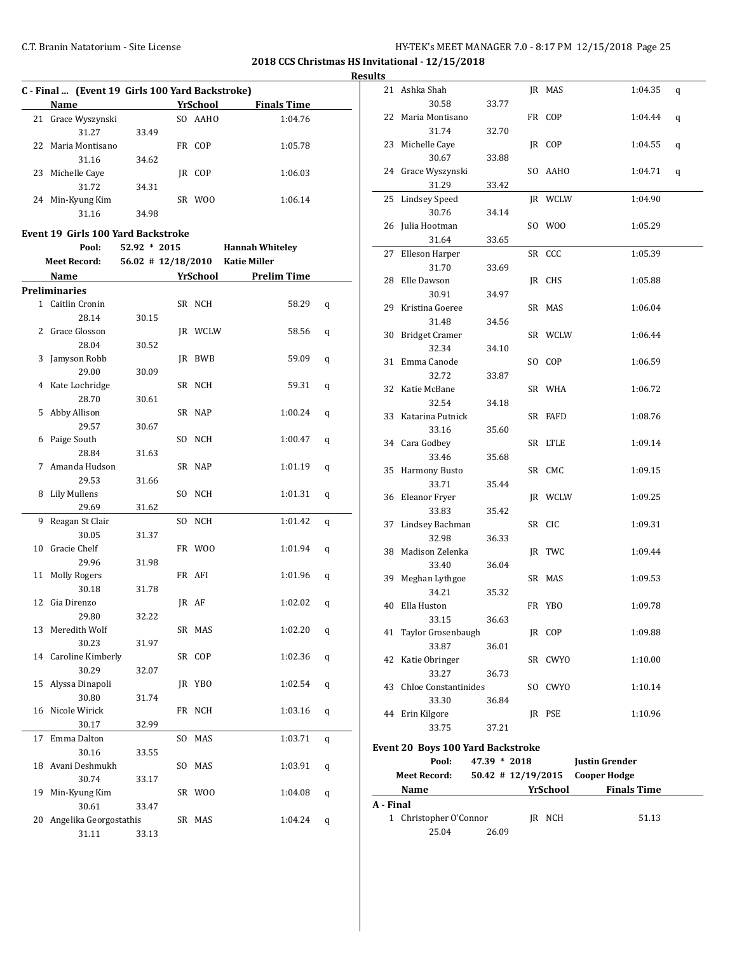**2018 CCS Christmas HS Invitational - 12/15/2018**

**Results**

|    | C - Final  (Event 19 Girls 100 Yard Backstroke) |       |     |                |                    |  |
|----|-------------------------------------------------|-------|-----|----------------|--------------------|--|
|    | Name                                            |       |     | YrSchool       | <b>Finals Time</b> |  |
|    | 21 Grace Wyszynski                              |       |     | SO AAHO        | 1:04.76            |  |
|    | 31.27                                           | 33.49 |     |                |                    |  |
|    | 22 Maria Montisano                              |       | FR. | COP.           | 1:05.78            |  |
|    | 31.16                                           | 34.62 |     |                |                    |  |
| 23 | Michelle Caye                                   |       | IR  | COP            | 1:06.03            |  |
|    | 31.72                                           | 34.31 |     |                |                    |  |
| 24 | Min-Kyung Kim                                   |       | SR  | W <sub>0</sub> | 1:06.14            |  |
|    | 31.16                                           | 34.98 |     |                |                    |  |

#### **Event 19 Girls 100 Yard Backstroke**

|    | Pool:                  | 52.92 * 2015         |     |            | <b>Hannah Whiteley</b> |   |
|----|------------------------|----------------------|-----|------------|------------------------|---|
|    | <b>Meet Record:</b>    | $56.02$ # 12/18/2010 |     |            | <b>Katie Miller</b>    |   |
|    | Name                   |                      |     | YrSchool   | <b>Prelim Time</b>     |   |
|    | Preliminaries          |                      |     |            |                        |   |
|    | 1 Caitlin Cronin       |                      |     | SR NCH     | 58.29                  | q |
|    | 28.14                  | 30.15                |     |            |                        |   |
| 2  | Grace Glosson          |                      |     | JR WCLW    | 58.56                  | q |
|    | 28.04                  | 30.52                |     |            |                        |   |
| 3  | Jamyson Robb           |                      |     | IR BWB     | 59.09                  | q |
|    | 29.00                  | 30.09                |     |            |                        |   |
| 4  | Kate Lochridge         |                      |     | SR NCH     | 59.31                  | q |
|    | 28.70                  | 30.61                |     |            |                        |   |
| 5  | Abby Allison           |                      |     | SR NAP     | 1:00.24                | q |
|    | 29.57                  | 30.67                |     |            |                        |   |
| 6  | Paige South            |                      |     | SO NCH     | 1:00.47                | q |
|    | 28.84                  | 31.63                |     |            |                        |   |
| 7  | Amanda Hudson          |                      |     | SR NAP     | 1:01.19                | q |
|    | 29.53                  | 31.66                |     |            |                        |   |
| 8  | <b>Lily Mullens</b>    |                      |     | SO NCH     | 1:01.31                | q |
|    | 29.69                  | 31.62                |     |            |                        |   |
| 9  | Reagan St Clair        |                      | SO. | <b>NCH</b> | 1:01.42                | q |
|    | 30.05                  | 31.37                |     |            |                        |   |
| 10 | Gracie Chelf           |                      |     | FR WOO     | 1:01.94                | q |
|    | 29.96                  | 31.98                |     |            |                        |   |
| 11 | <b>Molly Rogers</b>    |                      |     | FR AFI     | 1:01.96                | q |
|    | 30.18                  | 31.78                |     |            |                        |   |
| 12 | Gia Direnzo            |                      |     | IR AF      | 1:02.02                | q |
|    | 29.80                  | 32.22                |     |            |                        |   |
| 13 | Meredith Wolf          |                      |     | SR MAS     | 1:02.20                | q |
|    | 30.23                  | 31.97                |     |            |                        |   |
| 14 | Caroline Kimberly      |                      |     | SR COP     | 1:02.36                | q |
|    | 30.29                  | 32.07                |     |            |                        |   |
| 15 | Alyssa Dinapoli        |                      |     | JR YBO     | 1:02.54                | q |
|    | 30.80                  | 31.74                |     |            |                        |   |
| 16 | Nicole Wirick          |                      |     | FR NCH     | 1:03.16                | q |
|    | 30.17                  | 32.99                |     |            |                        |   |
| 17 | Emma Dalton            |                      | SO. | MAS        | 1:03.71                | q |
|    | 30.16                  | 33.55                |     |            |                        |   |
| 18 | Avani Deshmukh         |                      |     | SO MAS     | 1:03.91                | q |
|    | 30.74                  | 33.17                |     |            |                        |   |
| 19 | Min-Kyung Kim          |                      |     | SR WOO     | 1:04.08                | q |
|    | 30.61                  | 33.47                |     |            |                        |   |
| 20 | Angelika Georgostathis |                      |     | SR MAS     | 1:04.24                | q |
|    | 31.11                  | 33.13                |     |            |                        |   |

| படல       |                                          |                      |          |                       |   |
|-----------|------------------------------------------|----------------------|----------|-----------------------|---|
|           | 21 Ashka Shah                            |                      | JR MAS   | 1:04.35               | q |
|           | 30.58                                    | 33.77                |          |                       |   |
| 22        | Maria Montisano                          |                      | FR COP   | 1:04.44               | q |
|           | 31.74                                    | 32.70                |          |                       |   |
| 23        | Michelle Caye                            |                      | JR COP   | 1:04.55               | q |
|           | 30.67                                    | 33.88                |          |                       |   |
| 24        | Grace Wyszynski                          |                      | SO AAHO  | 1:04.71               | q |
|           | 31.29                                    | 33.42                |          |                       |   |
| 25        | <b>Lindsey Speed</b>                     |                      | IR WCLW  | 1:04.90               |   |
|           | 30.76                                    | 34.14                |          |                       |   |
| 26        | Julia Hootman                            |                      | SO WOO   | 1:05.29               |   |
|           | 31.64                                    | 33.65                |          |                       |   |
| 27        | Elleson Harper                           |                      | SR CCC   | 1:05.39               |   |
|           | 31.70                                    | 33.69                |          |                       |   |
| 28        | Elle Dawson                              |                      | JR CHS   | 1:05.88               |   |
|           | 30.91                                    | 34.97                |          |                       |   |
|           | 29 Kristina Goeree                       |                      | SR MAS   | 1:06.04               |   |
|           | 31.48                                    | 34.56                |          |                       |   |
| 30        | <b>Bridget Cramer</b>                    |                      | SR WCLW  | 1:06.44               |   |
|           | 32.34                                    | 34.10                |          |                       |   |
| 31        | Emma Canode                              |                      | SO COP   | 1:06.59               |   |
|           | 32.72                                    | 33.87                |          |                       |   |
| 32        | Katie McBane                             |                      | SR WHA   | 1:06.72               |   |
|           | 32.54                                    | 34.18                |          |                       |   |
| 33        | Katarina Putnick                         |                      | SR FAFD  | 1:08.76               |   |
|           | 33.16                                    | 35.60                |          |                       |   |
|           | 34 Cara Godbey                           |                      | SR LTLE  | 1:09.14               |   |
|           | 33.46                                    | 35.68                |          |                       |   |
| 35        | <b>Harmony Busto</b>                     |                      | SR CMC   | 1:09.15               |   |
|           | 33.71                                    | 35.44                |          |                       |   |
| 36        | Eleanor Fryer                            |                      | JR WCLW  | 1:09.25               |   |
|           | 33.83                                    | 35.42                |          |                       |   |
| 37        | Lindsey Bachman                          |                      | SR CIC   | 1:09.31               |   |
|           | 32.98                                    | 36.33                |          |                       |   |
| 38        | Madison Zelenka                          |                      | JR TWC   | 1:09.44               |   |
|           | 33.40                                    | 36.04                |          |                       |   |
| 39        | Meghan Lythgoe                           |                      | SR MAS   | 1:09.53               |   |
| 40        | 34.21<br>Ella Huston                     | 35.32                |          | 1:09.78               |   |
|           | 33.15                                    | 36.63                | FR YBO   |                       |   |
| 41        | Taylor Grosenbaugh                       |                      | JR COP   | 1:09.88               |   |
|           | 33.87                                    | 36.01                |          |                       |   |
| 42        | Katie Obringer                           |                      | SR CWYO  | 1:10.00               |   |
|           | 33.27                                    | 36.73                |          |                       |   |
| 43        | <b>Chloe Constantinides</b>              |                      | SO CWYO  | 1:10.14               |   |
|           | 33.30                                    | 36.84                |          |                       |   |
|           | 44 Erin Kilgore                          |                      | JR PSE   | 1:10.96               |   |
|           | 33.75                                    | 37.21                |          |                       |   |
|           |                                          |                      |          |                       |   |
|           | <b>Event 20 Boys 100 Yard Backstroke</b> |                      |          |                       |   |
|           | Pool:                                    | 47.39 * 2018         |          | <b>Justin Grender</b> |   |
|           | <b>Meet Record:</b>                      | $50.42$ # 12/19/2015 |          | <b>Cooper Hodge</b>   |   |
|           | <b>Name</b>                              |                      | YrSchool | <b>Finals Time</b>    |   |
| A - Final |                                          |                      |          |                       |   |
|           | 1<br>Christopher O'Connor                |                      | JR NCH   | 51.13                 |   |
|           | 25.04                                    | 26.09                |          |                       |   |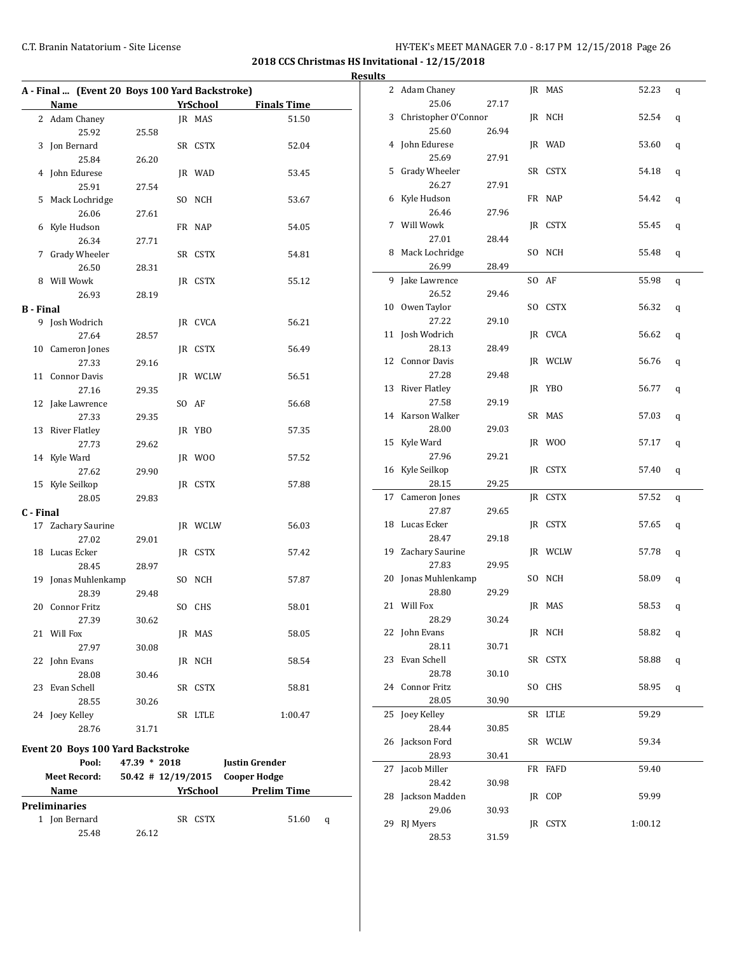#### C.T. Branin Natatorium - Site License C.T. Branin Natatorium - Site License 26

2 Adam Chaney JR MAS 52.23 q

3 Christopher O'Connor JR NCH 52.54 q

4 John Edurese JR WAD 53.60 q

25.06 27.17

25.60 26.94

**2018 CCS Christmas HS Invitational - 12/15/2018 Results**

|                  | A - Final  (Event 20 Boys 100 Yard Backstroke) |       |                 |                    |
|------------------|------------------------------------------------|-------|-----------------|--------------------|
|                  | Name                                           |       | <b>YrSchool</b> | <b>Finals Time</b> |
|                  | 2 Adam Chaney                                  |       | JR MAS          | 51.50              |
|                  | 25.92                                          | 25.58 |                 |                    |
| 3                | Jon Bernard                                    |       | SR CSTX         | 52.04              |
|                  | 25.84                                          | 26.20 |                 |                    |
|                  | 4 John Edurese                                 |       | JR WAD          | 53.45              |
|                  | 25.91                                          | 27.54 |                 |                    |
| 5                | Mack Lochridge                                 |       | SO NCH          | 53.67              |
|                  | 26.06                                          | 27.61 |                 |                    |
|                  | 6 Kyle Hudson                                  |       | FR NAP          | 54.05              |
|                  | 26.34                                          | 27.71 |                 |                    |
|                  | 7 Grady Wheeler                                |       | SR CSTX         | 54.81              |
|                  | 26.50                                          | 28.31 |                 |                    |
|                  | 8 Will Wowk                                    |       | JR CSTX         | 55.12              |
|                  | 26.93                                          | 28.19 |                 |                    |
| <b>B</b> - Final |                                                |       |                 |                    |
| 9                | Josh Wodrich                                   |       | IR CVCA         | 56.21              |
|                  | 27.64                                          | 28.57 |                 |                    |
| 10               | Cameron Jones                                  |       | JR CSTX         | 56.49              |
|                  | 27.33                                          | 29.16 |                 |                    |
| 11               | <b>Connor Davis</b>                            |       | JR WCLW         | 56.51              |
|                  | 27.16                                          | 29.35 |                 |                    |
|                  | 12 Jake Lawrence                               |       | SO AF           | 56.68              |
|                  | 27.33                                          | 29.35 |                 |                    |
| 13               | <b>River Flatley</b>                           |       | JR YBO          | 57.35              |
|                  | 27.73                                          |       |                 |                    |
|                  | 14 Kyle Ward                                   | 29.62 |                 |                    |
|                  |                                                |       | JR WOO          | 57.52              |
|                  | 27.62                                          | 29.90 |                 |                    |
|                  | 15 Kyle Seilkop                                |       | JR CSTX         | 57.88              |
|                  | 28.05                                          | 29.83 |                 |                    |
| C - Final        |                                                |       |                 |                    |
| 17               | Zachary Saurine                                |       | JR WCLW         | 56.03              |
|                  | 27.02                                          | 29.01 |                 |                    |
|                  | 18 Lucas Ecker                                 |       | JR CSTX         | 57.42              |
|                  | 28.45                                          | 28.97 |                 |                    |
| 19               | Jonas Muhlenkamp                               |       | SO NCH          | 57.87              |
|                  | 28.39                                          | 29.48 |                 |                    |
|                  | 20 Connor Fritz                                |       | SO CHS          | 58.01              |
|                  | 27.39                                          | 30.62 |                 |                    |
|                  | 21 Will Fox                                    |       | JR MAS          | 58.05              |
|                  | 27.97                                          | 30.08 |                 |                    |
| 22               | John Evans                                     |       | JR NCH          | 58.54              |
|                  | 28.08                                          | 30.46 |                 |                    |
| 23               | Evan Schell                                    |       | SR CSTX         | 58.81              |
|                  | 28.55                                          | 30.26 |                 |                    |
|                  | 24 Joey Kelley                                 |       | SR LTLE         | 1:00.47            |
|                  | 28.76                                          | 31.71 |                 |                    |
|                  | Event 20 Boys 100 Yard Backstroke              |       |                 |                    |

**Pool: 47.39 \* 2018 Justin Grender Meet Record: 50.42 # 12/19/2015 Cooper Hodge Name** *YrSchool* **<b>Prelim Time** 

1 Jon Bernard SR CSTX 51.60 q

25.48 26.12

**Preliminaries**

|    | 25.69                | 27.91 |     |         |         |   |
|----|----------------------|-------|-----|---------|---------|---|
|    | 5 Grady Wheeler      |       |     | SR CSTX | 54.18   | q |
|    | 26.27                | 27.91 |     |         |         |   |
| 6  | Kyle Hudson          |       |     | FR NAP  | 54.42   | q |
|    | 26.46                | 27.96 |     |         |         |   |
| 7  | Will Wowk            |       |     | IR CSTX | 55.45   | q |
|    | 27.01                | 28.44 |     |         |         |   |
| 8  | Mack Lochridge       |       |     | SO NCH  | 55.48   | q |
|    | 26.99                | 28.49 |     |         |         |   |
| 9  | Jake Lawrence        |       | SO. | AF      | 55.98   | q |
|    | 26.52                | 29.46 |     |         |         |   |
|    | 10 Owen Taylor       |       | SO  | CSTX    | 56.32   | q |
|    | 27.22                | 29.10 |     |         |         |   |
| 11 | Josh Wodrich         |       |     | JR CVCA | 56.62   |   |
|    | 28.13                |       |     |         |         | q |
|    | 12 Connor Davis      | 28.49 |     |         | 56.76   |   |
|    |                      |       |     | JR WCLW |         | q |
|    | 27.28                | 29.48 |     |         |         |   |
| 13 | <b>River Flatley</b> |       |     | JR YBO  | 56.77   | q |
|    | 27.58                | 29.19 |     |         |         |   |
|    | 14 Karson Walker     |       |     | SR MAS  | 57.03   | q |
|    | 28.00                | 29.03 |     |         |         |   |
| 15 | Kyle Ward            |       |     | JR WOO  | 57.17   | q |
|    | 27.96                | 29.21 |     |         |         |   |
|    | 16 Kyle Seilkop      |       |     | JR CSTX | 57.40   | q |
|    | 28.15                | 29.25 |     |         |         |   |
| 17 | Cameron Jones        |       |     | IR CSTX | 57.52   | q |
|    | 27.87                | 29.65 |     |         |         |   |
| 18 | Lucas Ecker          |       |     | JR CSTX | 57.65   | q |
|    | 28.47                | 29.18 |     |         |         |   |
| 19 | Zachary Saurine      |       |     | JR WCLW | 57.78   | q |
|    | 27.83                | 29.95 |     |         |         |   |
| 20 | Jonas Muhlenkamp     |       |     | SO NCH  | 58.09   | q |
|    | 28.80                | 29.29 |     |         |         |   |
|    | 21 Will Fox          |       |     | JR MAS  | 58.53   | q |
|    | 28.29                | 30.24 |     |         |         |   |
| 22 | John Evans           |       |     | JR NCH  | 58.82   | q |
|    | 28.11                | 30.71 |     |         |         |   |
| 23 | Evan Schell          |       |     | SR CSTX | 58.88   | q |
|    | 28.78                | 30.10 |     |         |         |   |
|    | 24 Connor Fritz      |       |     | SO CHS  | 58.95   | q |
|    | 28.05                | 30.90 |     |         |         |   |
|    | 25 Joey Kelley       |       |     | SR LTLE | 59.29   |   |
|    | 28.44                | 30.85 |     |         |         |   |
| 26 | Jackson Ford         |       |     | SR WCLW | 59.34   |   |
|    | 28.93                | 30.41 |     |         |         |   |
| 27 | Jacob Miller         |       |     | FR FAFD | 59.40   |   |
|    | 28.42                | 30.98 |     |         |         |   |
| 28 | Jackson Madden       |       |     | JR COP  | 59.99   |   |
|    | 29.06                | 30.93 |     |         |         |   |
| 29 | RJ Myers             |       |     | IR CSTX | 1:00.12 |   |
|    | 28.53                | 31.59 |     |         |         |   |
|    |                      |       |     |         |         |   |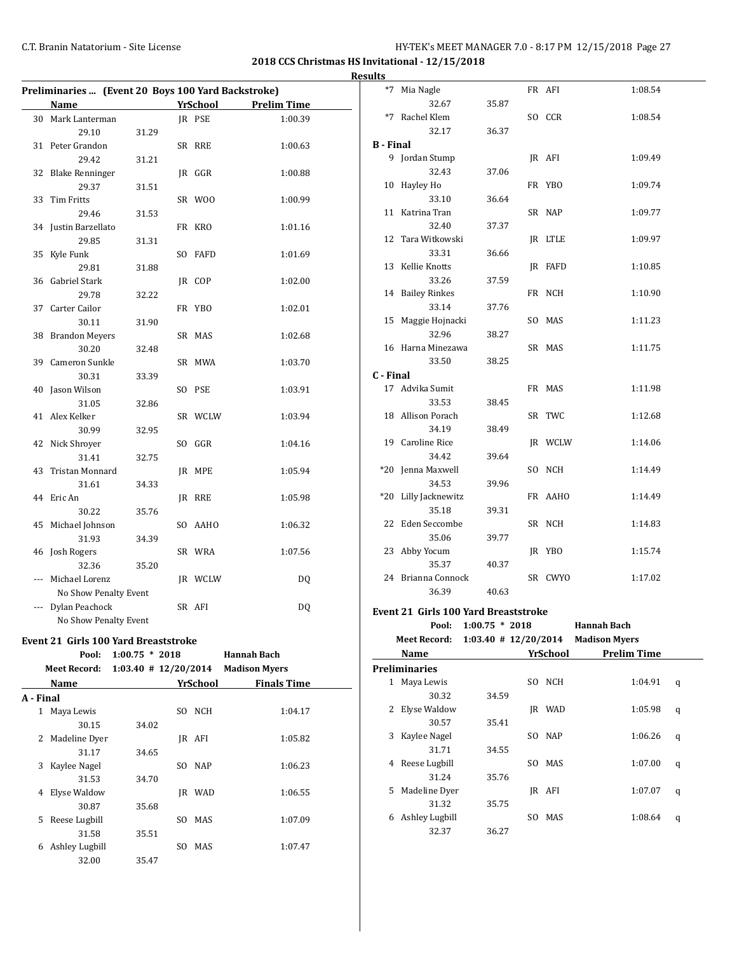**2018 CCS Christmas HS Invitational - 12/15/2018 Results**

|     | Preliminaries  (Event 20 Boys 100 Yard Backstroke) |       |                 |                    | $*7$            |
|-----|----------------------------------------------------|-------|-----------------|--------------------|-----------------|
|     | Name                                               |       | <b>YrSchool</b> | <b>Prelim Time</b> |                 |
|     | 30 Mark Lanterman                                  |       | JR PSE          | 1:00.39            | $*7$            |
|     | 29.10                                              | 31.29 |                 |                    |                 |
|     | 31 Peter Grandon                                   |       | SR RRE          | 1:00.63            | <b>B</b> - Fin  |
|     | 29.42                                              | 31.21 |                 |                    | 9               |
|     | 32 Blake Renninger                                 |       | JR GGR          | 1:00.88            |                 |
|     | 29.37                                              | 31.51 |                 |                    | 10              |
|     | 33 Tim Fritts                                      |       | SR WOO          | 1:00.99            |                 |
|     | 29.46                                              | 31.53 |                 |                    | 11              |
|     | 34 Justin Barzellato                               |       | FR KRO          | 1:01.16            |                 |
|     | 29.85                                              | 31.31 |                 |                    | 12              |
| 35  | Kyle Funk                                          |       | SO FAFD         | 1:01.69            |                 |
|     | 29.81                                              | 31.88 |                 |                    | 13              |
| 36  | Gabriel Stark                                      |       | IR COP          | 1:02.00            |                 |
|     | 29.78                                              | 32.22 |                 |                    | 14              |
| 37  | Carter Cailor                                      |       | FR YBO          | 1:02.01            |                 |
|     | 30.11                                              | 31.90 |                 |                    | 15              |
|     | 38 Brandon Meyers                                  |       | SR MAS          | 1:02.68            |                 |
|     | 30.20                                              | 32.48 |                 |                    | 16              |
|     | 39 Cameron Sunkle                                  |       | SR MWA          | 1:03.70            |                 |
|     | 30.31                                              | 33.39 |                 |                    | $C - Fin$       |
|     | 40 Jason Wilson                                    |       | SO PSE          | 1:03.91            | 17              |
|     | 31.05                                              | 32.86 |                 |                    |                 |
|     | 41 Alex Kelker                                     |       | SR WCLW         | 1:03.94            | 18              |
|     | 30.99                                              | 32.95 |                 |                    |                 |
|     | 42 Nick Shroyer                                    |       | SO GGR          | 1:04.16            | 19              |
|     | 31.41                                              | 32.75 |                 |                    |                 |
| 43  | Tristan Monnard                                    |       | IR MPE          | 1:05.94            | $*20$           |
|     | 31.61                                              | 34.33 |                 |                    |                 |
|     | 44 Eric An                                         |       | IR RRE          | 1:05.98            | $*20$           |
|     | 30.22                                              | 35.76 |                 |                    |                 |
|     | 45 Michael Johnson                                 |       | SO AAHO         | 1:06.32            | 22              |
|     | 31.93                                              | 34.39 |                 |                    |                 |
|     | 46 Josh Rogers                                     |       | SR WRA          | 1:07.56            | 23 <sub>1</sub> |
|     | 32.36                                              | 35.20 |                 |                    |                 |
| --- | Michael Lorenz                                     |       | JR WCLW         | DQ                 | 24              |
|     | No Show Penalty Event                              |       |                 |                    |                 |
|     | --- Dylan Peachock                                 |       | SR AFI          | DQ                 | Event           |
|     | No Show Penalty Event                              |       |                 |                    |                 |
|     |                                                    |       |                 |                    |                 |

## **Event 21 Girls 100 Yard Breaststroke**

|           | Pool:               | $1:00.75 * 2018$        |     |            | <b>Hannah Bach</b>   |  |
|-----------|---------------------|-------------------------|-----|------------|----------------------|--|
|           | <b>Meet Record:</b> | $1:03.40 \# 12/20/2014$ |     |            | <b>Madison Myers</b> |  |
|           | Name                |                         |     | YrSchool   | <b>Finals Time</b>   |  |
| A - Final |                     |                         |     |            |                      |  |
| 1         | Maya Lewis          |                         | SO. | <b>NCH</b> | 1:04.17              |  |
|           | 30.15               | 34.02                   |     |            |                      |  |
| 2         | Madeline Dyer       |                         | IR  | AFI        | 1:05.82              |  |
|           | 31.17               | 34.65                   |     |            |                      |  |
| 3         | Kaylee Nagel        |                         | SO. | <b>NAP</b> | 1:06.23              |  |
|           | 31.53               | 34.70                   |     |            |                      |  |
| 4         | Elyse Waldow        |                         | IR  | WAD        | 1:06.55              |  |
|           | 30.87               | 35.68                   |     |            |                      |  |
| 5.        | Reese Lugbill       |                         | SO  | MAS        | 1:07.09              |  |
|           | 31.58               | 35.51                   |     |            |                      |  |
| 6         | Ashley Lugbill      |                         | SO  | MAS        | 1:07.47              |  |
|           | 32.00               | 35.47                   |     |            |                      |  |

| $*7$             | Mia Nagle         |       | FR AFI  | 1:08.54 |
|------------------|-------------------|-------|---------|---------|
|                  | 32.67             | 35.87 |         |         |
| $*7$             | Rachel Klem       |       | SO CCR  | 1:08.54 |
|                  | 32.17             | 36.37 |         |         |
| <b>B</b> - Final |                   |       |         |         |
|                  | 9 Jordan Stump    |       | IR AFI  | 1:09.49 |
|                  | 32.43             | 37.06 |         |         |
| 10               | Hayley Ho         |       | FR YBO  | 1:09.74 |
|                  | 33.10             | 36.64 |         |         |
| 11               | Katrina Tran      |       | SR NAP  | 1:09.77 |
|                  | 32.40             | 37.37 |         |         |
| 12               | Tara Witkowski    |       | IR LTLE | 1:09.97 |
|                  | 33.31             | 36.66 |         |         |
| 13               | Kellie Knotts     |       | IR FAFD | 1:10.85 |
|                  | 33.26             | 37.59 |         |         |
|                  | 14 Bailey Rinkes  |       | FR NCH  | 1:10.90 |
|                  | 33.14             | 37.76 |         |         |
| 15               | Maggie Hojnacki   |       | SO MAS  | 1:11.23 |
|                  | 32.96             | 38.27 |         |         |
|                  | 16 Harna Minezawa |       | SR MAS  | 1:11.75 |
|                  | 33.50             | 38.25 |         |         |
| C - Final        |                   |       |         |         |
| 17               | Advika Sumit      |       | FR MAS  | 1:11.98 |
|                  | 33.53             | 38.45 |         |         |
| 18               | Allison Porach    |       | SR TWC  | 1:12.68 |
|                  | 34.19             | 38.49 |         |         |
|                  | 19 Caroline Rice  |       | JR WCLW | 1:14.06 |
|                  | 34.42             | 39.64 |         |         |
| $*20$            | Jenna Maxwell     |       | SO NCH  | 1:14.49 |
|                  | 34.53             | 39.96 |         |         |
| $*20$            | Lilly Jacknewitz  |       | FR AAHO | 1:14.49 |
|                  | 35.18             | 39.31 |         |         |
| 22               | Eden Seccombe     |       | SR NCH  | 1:14.83 |
|                  | 35.06             | 39.77 |         |         |
| 23               | Abby Yocum        |       | JR YBO  | 1:15.74 |
|                  | 35.37             | 40.37 |         |         |
| 24               | Brianna Connock   |       | SR CWYO | 1:17.02 |
|                  | 36.39             | 40.63 |         |         |
|                  |                   |       |         |         |

# **Event 21 Girls 100 Yard Breaststroke**

|   | Pool:               | $1:00.75 * 2018$        |     |            | <b>Hannah Bach</b>   |   |
|---|---------------------|-------------------------|-----|------------|----------------------|---|
|   | <b>Meet Record:</b> | $1:03.40 \# 12/20/2014$ |     |            | <b>Madison Myers</b> |   |
|   | Name                |                         |     | YrSchool   | Prelim Time          |   |
|   | Preliminaries       |                         |     |            |                      |   |
| 1 | Maya Lewis          |                         |     | SO NCH     | 1:04.91              | q |
|   | 30.32               | 34.59                   |     |            |                      |   |
| 2 | Elyse Waldow        |                         |     | JR WAD     | 1:05.98              | q |
|   | 30.57               | 35.41                   |     |            |                      |   |
| 3 | Kaylee Nagel        |                         | SO. | <b>NAP</b> | 1:06.26              | q |
|   | 31.71               | 34.55                   |     |            |                      |   |
| 4 | Reese Lugbill       |                         | SO. | MAS        | 1:07.00              | q |
|   | 31.24               | 35.76                   |     |            |                      |   |
| 5 | Madeline Dyer       |                         |     | IR AFI     | 1:07.07              | q |
|   | 31.32               | 35.75                   |     |            |                      |   |
| 6 | Ashley Lugbill      |                         | SO. | <b>MAS</b> | 1:08.64              | q |
|   | 32.37               | 36.27                   |     |            |                      |   |
|   |                     |                         |     |            |                      |   |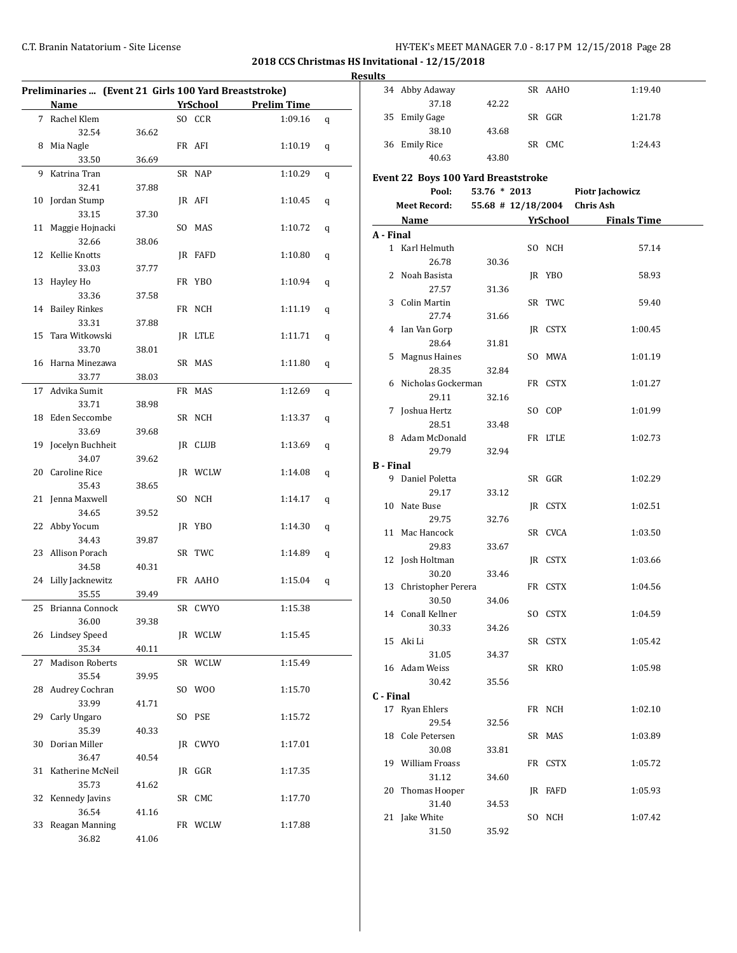# C.T. Branin Natatorium - Site License C.T. Branin Natatorium - Site License

|    | Preliminaries  (Event 21 Girls 100 Yard Breaststroke) |       |     |          |                    |   |
|----|-------------------------------------------------------|-------|-----|----------|--------------------|---|
|    | <b>Name</b>                                           |       |     | YrSchool | <b>Prelim Time</b> |   |
|    | 7 Rachel Klem                                         |       |     | SO CCR   | 1:09.16            | q |
|    | 32.54                                                 | 36.62 |     |          |                    |   |
|    | 8 Mia Nagle                                           |       |     | FR AFI   | 1:10.19            | q |
|    | 33.50                                                 | 36.69 |     |          |                    |   |
| 9  | Katrina Tran                                          |       |     | SR NAP   | 1:10.29            | q |
|    | 32.41                                                 | 37.88 |     |          |                    |   |
| 10 | Jordan Stump                                          |       |     | JR AFI   | 1:10.45            | q |
|    | 33.15                                                 | 37.30 |     |          |                    |   |
| 11 | Maggie Hojnacki                                       |       |     | SO MAS   | 1:10.72            | q |
|    | 32.66                                                 | 38.06 |     |          |                    |   |
| 12 | Kellie Knotts                                         |       |     | JR FAFD  | 1:10.80            | q |
|    | 33.03                                                 | 37.77 |     |          |                    |   |
| 13 | Hayley Ho                                             |       |     | FR YBO   | 1:10.94            | q |
|    | 33.36                                                 | 37.58 |     |          |                    |   |
| 14 | <b>Bailey Rinkes</b>                                  |       |     | FR NCH   | 1:11.19            | q |
|    | 33.31                                                 | 37.88 |     |          |                    |   |
| 15 | Tara Witkowski                                        |       |     | JR LTLE  | 1:11.71            | q |
|    | 33.70                                                 | 38.01 |     |          |                    |   |
| 16 | Harna Minezawa                                        |       |     | SR MAS   | 1:11.80            | q |
|    | 33.77                                                 | 38.03 |     |          |                    |   |
| 17 | Advika Sumit                                          |       |     | FR MAS   | 1:12.69            | q |
|    | 33.71                                                 | 38.98 |     |          |                    |   |
| 18 | Eden Seccombe                                         |       |     | SR NCH   | 1:13.37            | q |
|    | 33.69                                                 | 39.68 |     |          |                    |   |
| 19 | Jocelyn Buchheit                                      |       |     | JR CLUB  | 1:13.69            |   |
|    | 34.07                                                 | 39.62 |     |          |                    | q |
| 20 | <b>Caroline Rice</b>                                  |       |     | JR WCLW  | 1:14.08            |   |
|    |                                                       |       |     |          |                    | q |
|    | 35.43                                                 | 38.65 |     |          |                    |   |
| 21 | Jenna Maxwell                                         |       | SO  | NCH      | 1:14.17            | q |
|    | 34.65                                                 | 39.52 |     |          |                    |   |
| 22 | Abby Yocum                                            |       |     | JR YBO   | 1:14.30            | q |
|    | 34.43                                                 | 39.87 |     |          |                    |   |
| 23 | Allison Porach                                        |       |     | SR TWC   | 1:14.89            | q |
|    | 34.58                                                 | 40.31 |     |          |                    |   |
|    | 24 Lilly Jacknewitz                                   |       |     | FR AAHO  | 1:15.04            | q |
|    | 35.55                                                 | 39.49 |     |          |                    |   |
|    | 25 Brianna Connock                                    |       |     | SR CWYO  | 1:15.38            |   |
|    | 36.00                                                 | 39.38 |     |          |                    |   |
| 26 | <b>Lindsey Speed</b>                                  |       |     | JR WCLW  | 1:15.45            |   |
|    | 35.34                                                 | 40.11 |     |          |                    |   |
| 27 | <b>Madison Roberts</b>                                |       | SR  | WCLW     | 1:15.49            |   |
|    | 35.54                                                 | 39.95 |     |          |                    |   |
| 28 | Audrey Cochran                                        |       | SO  | W00      | 1:15.70            |   |
|    | 33.99                                                 | 41.71 |     |          |                    |   |
| 29 | Carly Ungaro                                          |       | SO  | PSE      | 1:15.72            |   |
|    | 35.39                                                 | 40.33 |     |          |                    |   |
| 30 | Dorian Miller                                         |       | JR. | CWYO     | 1:17.01            |   |
|    | 36.47                                                 | 40.54 |     |          |                    |   |
| 31 | Katherine McNeil                                      |       |     | JR GGR   | 1:17.35            |   |
|    | 35.73                                                 | 41.62 |     |          |                    |   |
| 32 | Kennedy Javins                                        |       |     | SR CMC   | 1:17.70            |   |
|    | 36.54                                                 | 41.16 |     |          |                    |   |
| 33 | Reagan Manning                                        |       |     | FR WCLW  | 1:17.88            |   |
|    | 36.82                                                 | 41.06 |     |          |                    |   |
|    |                                                       |       |     |          |                    |   |

| 34 Abby Adaway      |                                                                                                                                                                                                                                                                                                                              |                                                                                                                                                           |              | 1:19.40                                                                                                                                                                                                                                                                                                                                                                         |
|---------------------|------------------------------------------------------------------------------------------------------------------------------------------------------------------------------------------------------------------------------------------------------------------------------------------------------------------------------|-----------------------------------------------------------------------------------------------------------------------------------------------------------|--------------|---------------------------------------------------------------------------------------------------------------------------------------------------------------------------------------------------------------------------------------------------------------------------------------------------------------------------------------------------------------------------------|
|                     |                                                                                                                                                                                                                                                                                                                              |                                                                                                                                                           |              |                                                                                                                                                                                                                                                                                                                                                                                 |
|                     |                                                                                                                                                                                                                                                                                                                              |                                                                                                                                                           |              | 1:21.78                                                                                                                                                                                                                                                                                                                                                                         |
|                     |                                                                                                                                                                                                                                                                                                                              |                                                                                                                                                           |              |                                                                                                                                                                                                                                                                                                                                                                                 |
|                     |                                                                                                                                                                                                                                                                                                                              |                                                                                                                                                           |              | 1:24.43                                                                                                                                                                                                                                                                                                                                                                         |
|                     |                                                                                                                                                                                                                                                                                                                              |                                                                                                                                                           |              |                                                                                                                                                                                                                                                                                                                                                                                 |
|                     |                                                                                                                                                                                                                                                                                                                              |                                                                                                                                                           |              |                                                                                                                                                                                                                                                                                                                                                                                 |
| Pool:               |                                                                                                                                                                                                                                                                                                                              |                                                                                                                                                           |              | Piotr Jachowicz                                                                                                                                                                                                                                                                                                                                                                 |
| <b>Meet Record:</b> |                                                                                                                                                                                                                                                                                                                              |                                                                                                                                                           |              |                                                                                                                                                                                                                                                                                                                                                                                 |
|                     |                                                                                                                                                                                                                                                                                                                              |                                                                                                                                                           |              |                                                                                                                                                                                                                                                                                                                                                                                 |
|                     |                                                                                                                                                                                                                                                                                                                              |                                                                                                                                                           |              |                                                                                                                                                                                                                                                                                                                                                                                 |
|                     |                                                                                                                                                                                                                                                                                                                              |                                                                                                                                                           |              | 57.14                                                                                                                                                                                                                                                                                                                                                                           |
|                     |                                                                                                                                                                                                                                                                                                                              |                                                                                                                                                           |              |                                                                                                                                                                                                                                                                                                                                                                                 |
|                     |                                                                                                                                                                                                                                                                                                                              |                                                                                                                                                           |              | 58.93                                                                                                                                                                                                                                                                                                                                                                           |
|                     |                                                                                                                                                                                                                                                                                                                              |                                                                                                                                                           |              |                                                                                                                                                                                                                                                                                                                                                                                 |
|                     |                                                                                                                                                                                                                                                                                                                              |                                                                                                                                                           |              | 59.40                                                                                                                                                                                                                                                                                                                                                                           |
|                     |                                                                                                                                                                                                                                                                                                                              |                                                                                                                                                           |              |                                                                                                                                                                                                                                                                                                                                                                                 |
|                     |                                                                                                                                                                                                                                                                                                                              |                                                                                                                                                           |              |                                                                                                                                                                                                                                                                                                                                                                                 |
|                     |                                                                                                                                                                                                                                                                                                                              |                                                                                                                                                           |              | 1:00.45                                                                                                                                                                                                                                                                                                                                                                         |
|                     |                                                                                                                                                                                                                                                                                                                              |                                                                                                                                                           |              |                                                                                                                                                                                                                                                                                                                                                                                 |
|                     |                                                                                                                                                                                                                                                                                                                              |                                                                                                                                                           |              | 1:01.19                                                                                                                                                                                                                                                                                                                                                                         |
|                     |                                                                                                                                                                                                                                                                                                                              |                                                                                                                                                           |              |                                                                                                                                                                                                                                                                                                                                                                                 |
|                     |                                                                                                                                                                                                                                                                                                                              |                                                                                                                                                           |              | 1:01.27                                                                                                                                                                                                                                                                                                                                                                         |
|                     |                                                                                                                                                                                                                                                                                                                              |                                                                                                                                                           |              |                                                                                                                                                                                                                                                                                                                                                                                 |
|                     |                                                                                                                                                                                                                                                                                                                              |                                                                                                                                                           |              | 1:01.99                                                                                                                                                                                                                                                                                                                                                                         |
| 28.51               | 33.48                                                                                                                                                                                                                                                                                                                        |                                                                                                                                                           |              |                                                                                                                                                                                                                                                                                                                                                                                 |
|                     |                                                                                                                                                                                                                                                                                                                              |                                                                                                                                                           |              | 1:02.73                                                                                                                                                                                                                                                                                                                                                                         |
| 29.79               | 32.94                                                                                                                                                                                                                                                                                                                        |                                                                                                                                                           |              |                                                                                                                                                                                                                                                                                                                                                                                 |
| <b>B</b> - Final    |                                                                                                                                                                                                                                                                                                                              |                                                                                                                                                           |              |                                                                                                                                                                                                                                                                                                                                                                                 |
| 9 Daniel Poletta    |                                                                                                                                                                                                                                                                                                                              |                                                                                                                                                           |              | 1:02.29                                                                                                                                                                                                                                                                                                                                                                         |
| 29.17               | 33.12                                                                                                                                                                                                                                                                                                                        |                                                                                                                                                           |              |                                                                                                                                                                                                                                                                                                                                                                                 |
| 10 Nate Buse        |                                                                                                                                                                                                                                                                                                                              |                                                                                                                                                           |              | 1:02.51                                                                                                                                                                                                                                                                                                                                                                         |
| 29.75               | 32.76                                                                                                                                                                                                                                                                                                                        |                                                                                                                                                           |              |                                                                                                                                                                                                                                                                                                                                                                                 |
| 11 Mac Hancock      |                                                                                                                                                                                                                                                                                                                              |                                                                                                                                                           |              | 1:03.50                                                                                                                                                                                                                                                                                                                                                                         |
| 29.83               | 33.67                                                                                                                                                                                                                                                                                                                        |                                                                                                                                                           |              |                                                                                                                                                                                                                                                                                                                                                                                 |
| 12 Josh Holtman     |                                                                                                                                                                                                                                                                                                                              |                                                                                                                                                           |              | 1:03.66                                                                                                                                                                                                                                                                                                                                                                         |
| 30.20               | 33.46                                                                                                                                                                                                                                                                                                                        |                                                                                                                                                           |              |                                                                                                                                                                                                                                                                                                                                                                                 |
|                     |                                                                                                                                                                                                                                                                                                                              |                                                                                                                                                           |              | 1:04.56                                                                                                                                                                                                                                                                                                                                                                         |
| 30.50               | 34.06                                                                                                                                                                                                                                                                                                                        |                                                                                                                                                           |              |                                                                                                                                                                                                                                                                                                                                                                                 |
| 14 Conall Kellner   |                                                                                                                                                                                                                                                                                                                              |                                                                                                                                                           |              | 1:04.59                                                                                                                                                                                                                                                                                                                                                                         |
| 30.33               | 34.26                                                                                                                                                                                                                                                                                                                        |                                                                                                                                                           |              |                                                                                                                                                                                                                                                                                                                                                                                 |
| 15 Aki Li           |                                                                                                                                                                                                                                                                                                                              |                                                                                                                                                           |              | 1:05.42                                                                                                                                                                                                                                                                                                                                                                         |
| 31.05               | 34.37                                                                                                                                                                                                                                                                                                                        |                                                                                                                                                           |              |                                                                                                                                                                                                                                                                                                                                                                                 |
| 16 Adam Weiss       |                                                                                                                                                                                                                                                                                                                              |                                                                                                                                                           |              | 1:05.98                                                                                                                                                                                                                                                                                                                                                                         |
| 30.42               | 35.56                                                                                                                                                                                                                                                                                                                        |                                                                                                                                                           |              |                                                                                                                                                                                                                                                                                                                                                                                 |
| C - Final           |                                                                                                                                                                                                                                                                                                                              |                                                                                                                                                           |              |                                                                                                                                                                                                                                                                                                                                                                                 |
| 17 Ryan Ehlers      |                                                                                                                                                                                                                                                                                                                              |                                                                                                                                                           |              | 1:02.10                                                                                                                                                                                                                                                                                                                                                                         |
| 29.54               | 32.56                                                                                                                                                                                                                                                                                                                        |                                                                                                                                                           |              |                                                                                                                                                                                                                                                                                                                                                                                 |
| 18 Cole Petersen    |                                                                                                                                                                                                                                                                                                                              |                                                                                                                                                           |              | 1:03.89                                                                                                                                                                                                                                                                                                                                                                         |
| 30.08               | 33.81                                                                                                                                                                                                                                                                                                                        |                                                                                                                                                           |              |                                                                                                                                                                                                                                                                                                                                                                                 |
| 19 William Froass   |                                                                                                                                                                                                                                                                                                                              |                                                                                                                                                           |              | 1:05.72                                                                                                                                                                                                                                                                                                                                                                         |
|                     |                                                                                                                                                                                                                                                                                                                              |                                                                                                                                                           |              |                                                                                                                                                                                                                                                                                                                                                                                 |
|                     |                                                                                                                                                                                                                                                                                                                              |                                                                                                                                                           |              | 1:05.93                                                                                                                                                                                                                                                                                                                                                                         |
|                     |                                                                                                                                                                                                                                                                                                                              |                                                                                                                                                           |              |                                                                                                                                                                                                                                                                                                                                                                                 |
|                     |                                                                                                                                                                                                                                                                                                                              |                                                                                                                                                           |              | 1:07.42                                                                                                                                                                                                                                                                                                                                                                         |
|                     |                                                                                                                                                                                                                                                                                                                              |                                                                                                                                                           |              |                                                                                                                                                                                                                                                                                                                                                                                 |
|                     |                                                                                                                                                                                                                                                                                                                              |                                                                                                                                                           |              |                                                                                                                                                                                                                                                                                                                                                                                 |
|                     | 37.18<br>35 Emily Gage<br>38.10<br>36 Emily Rice<br>40.63<br>A - Final<br>1 Karl Helmuth<br>26.78<br>2 Noah Basista<br>27.57<br>3 Colin Martin<br>27.74<br>4 Ian Van Gorp<br>28.64<br>5 Magnus Haines<br>28.35<br>29.11<br>7 Joshua Hertz<br>8 Adam McDonald<br>31.12<br>20 Thomas Hooper<br>31.40<br>21 Jake White<br>31.50 | 42.22<br>43.68<br>43.80<br>30.36<br>31.36<br>31.66<br>31.81<br>32.84<br>6 Nicholas Gockerman<br>32.16<br>13 Christopher Perera<br>34.60<br>34.53<br>35.92 | 53.76 * 2013 | SR AAHO<br>SR GGR<br>SR CMC<br><b>Event 22 Boys 100 Yard Breaststroke</b><br>55.68 # 12/18/2004 Chris Ash<br>Name <b>Making School</b> Finals Time<br>SO NCH<br>JR YBO<br>SR TWC<br>JR CSTX<br>SO MWA<br>FR CSTX<br>SO COP<br>FR LTLE<br>SR GGR<br>JR CSTX<br>SR CVCA<br>JR CSTX<br>FR CSTX<br>SO CSTX<br>SR CSTX<br>SR KRO<br>FR NCH<br>SR MAS<br>FR CSTX<br>JR FAFD<br>SO NCH |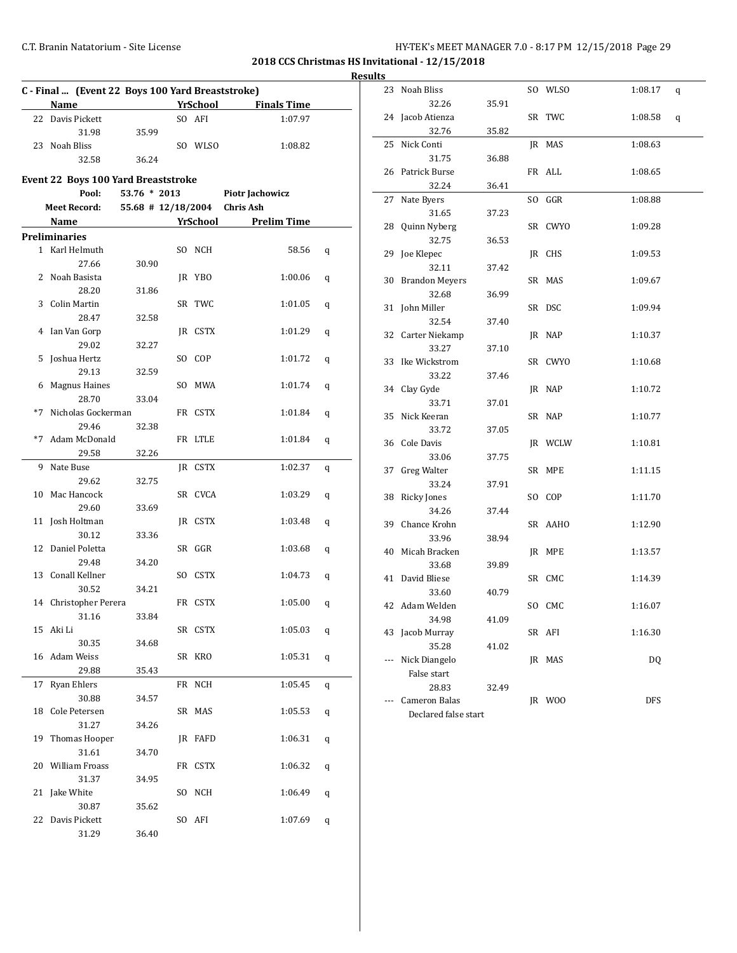## C.T. Branin Natatorium - Site License C.T. Branin Natatorium - Site License

|    |                                                          |                            |         |                      | Result |
|----|----------------------------------------------------------|----------------------------|---------|----------------------|--------|
|    | C - Final  (Event 22 Boys 100 Yard Breaststroke)<br>Name |                            |         | YrSchool Finals Time |        |
|    | 22 Davis Pickett                                         |                            | SO AFI  | 1:07.97              |        |
|    | 31.98                                                    | 35.99                      |         |                      |        |
|    | 23 Noah Bliss                                            |                            | SO WLSO | 1:08.82              |        |
|    | 32.58                                                    | 36.24                      |         |                      |        |
|    |                                                          |                            |         |                      |        |
|    | Event 22 Boys 100 Yard Breaststroke                      |                            |         |                      |        |
|    | Pool:                                                    | 53.76 * 2013               |         | Piotr Jachowicz      |        |
|    | <b>Meet Record:</b>                                      | 55.68 # 12/18/2004         |         | <b>Chris Ash</b>     |        |
|    | <b>Name</b>                                              | <b>Example 25 YrSchool</b> |         | <b>Prelim Time</b>   |        |
|    | <b>Preliminaries</b>                                     |                            |         |                      |        |
|    | 1 Karl Helmuth                                           |                            | SO NCH  | 58.56                | q      |
|    | 27.66                                                    | 30.90                      |         |                      |        |
|    | 2 Noah Basista                                           |                            | JR YBO  | 1:00.06              | q      |
|    | 28.20                                                    | 31.86                      |         |                      |        |
|    | 3 Colin Martin                                           |                            | SR TWC  | 1:01.05              | q      |
|    | 28.47                                                    | 32.58                      |         |                      |        |
|    | 4 Ian Van Gorp                                           |                            | JR CSTX | 1:01.29              | q      |
|    | 29.02                                                    | 32.27                      |         |                      |        |
|    | 5 Joshua Hertz                                           |                            | SO COP  | 1:01.72              | q      |
|    | 29.13                                                    | 32.59                      |         |                      |        |
|    | 6 Magnus Haines                                          |                            | SO MWA  | 1:01.74              | q      |
|    | 28.70                                                    | 33.04                      |         |                      |        |
|    | *7 Nicholas Gockerman                                    |                            | FR CSTX | 1:01.84              | q      |
|    | 29.46                                                    | 32.38                      |         |                      |        |
|    | *7 Adam McDonald                                         |                            | FR LTLE | 1:01.84              | q      |
|    | 29.58                                                    | 32.26                      |         |                      |        |
| 9  | Nate Buse                                                |                            | IR CSTX | 1:02.37              | q      |
|    | 29.62                                                    | 32.75                      |         |                      |        |
| 10 | Mac Hancock                                              |                            | SR CVCA | 1:03.29              | q      |
|    | 29.60                                                    | 33.69                      |         |                      |        |
|    | 11 Josh Holtman                                          |                            | JR CSTX | 1:03.48              | q      |
|    | 30.12                                                    | 33.36                      |         |                      |        |
|    | 12 Daniel Poletta                                        |                            | SR GGR  | 1:03.68              | q      |
|    | 29.48                                                    | 34.20                      |         |                      |        |
|    | 13 Conall Kellner                                        |                            | SO CSTX | 1:04.73              | q      |
|    | 30.52                                                    | 34.21                      |         |                      |        |
|    | 14 Christopher Perera                                    |                            | FR CSTX | 1:05.00              | q      |
|    | 31.16                                                    | 33.84                      |         |                      |        |
|    | 15 Aki Li                                                |                            | SR CSTX | 1:05.03              | q      |
|    | 30.35                                                    | 34.68                      |         |                      |        |
|    | 16 Adam Weiss                                            |                            | SR KRO  | 1:05.31              | q      |
|    | 29.88                                                    | 35.43                      |         |                      |        |
|    | 17 Ryan Ehlers                                           |                            | FR NCH  | 1:05.45              | q      |
|    | 30.88                                                    | 34.57                      |         |                      |        |
|    | 18 Cole Petersen                                         |                            | SR MAS  | 1:05.53              | q      |
|    | 31.27                                                    | 34.26                      |         |                      |        |
|    | 19 Thomas Hooper                                         |                            | JR FAFD | 1:06.31              | q      |
|    | 31.61                                                    | 34.70                      |         |                      |        |
|    | 20 William Froass                                        |                            | FR CSTX | 1:06.32              | q      |
|    | 31.37                                                    | 34.95                      |         |                      |        |
|    | 21 Jake White                                            |                            | SO NCH  | 1:06.49              | q      |
|    | 30.87                                                    | 35.62                      |         |                      |        |
| 22 | Davis Pickett                                            |                            | SO AFI  | 1:07.69              | q      |
|    | 31.29                                                    | 36.40                      |         |                      |        |
|    |                                                          |                            |         |                      |        |

| ults |     |                      |       |    |         |              |  |
|------|-----|----------------------|-------|----|---------|--------------|--|
|      |     | 23 Noah Bliss        |       |    | SO WLSO | 1:08.17<br>q |  |
|      |     | 32.26                | 35.91 |    |         |              |  |
|      |     | 24 Jacob Atienza     |       |    | SR TWC  | 1:08.58<br>q |  |
|      |     | 32.76                | 35.82 |    |         |              |  |
|      | 25  | Nick Conti           |       | JR | MAS     | 1:08.63      |  |
|      |     | 31.75                | 36.88 |    |         |              |  |
|      | 26  | Patrick Burse        |       |    | FR ALL  | 1:08.65      |  |
|      |     | 32.24                | 36.41 |    |         |              |  |
|      | 27  | Nate Byers           |       |    | SO GGR  | 1:08.88      |  |
|      |     | 31.65                | 37.23 |    |         |              |  |
|      | 28  | Quinn Nyberg         |       |    | SR CWYO | 1:09.28      |  |
|      |     | 32.75                | 36.53 |    |         |              |  |
|      |     | 29 Joe Klepec        |       |    | JR CHS  | 1:09.53      |  |
|      |     | 32.11                | 37.42 |    |         |              |  |
|      |     | 30 Brandon Meyers    |       |    | SR MAS  | 1:09.67      |  |
|      |     | 32.68                | 36.99 |    |         |              |  |
|      |     | 31 John Miller       |       |    | SR DSC  | 1:09.94      |  |
|      |     | 32.54                | 37.40 |    |         |              |  |
|      |     | 32 Carter Niekamp    |       |    | JR NAP  | 1:10.37      |  |
|      |     | 33.27                | 37.10 |    |         |              |  |
|      | 33  | Ike Wickstrom        |       |    | SR CWYO | 1:10.68      |  |
|      |     | 33.22                | 37.46 |    |         |              |  |
|      | 34  | Clay Gyde            |       |    | JR NAP  | 1:10.72      |  |
|      |     | 33.71                | 37.01 |    |         |              |  |
|      | 35  | Nick Keeran          |       |    | SR NAP  | 1:10.77      |  |
|      |     | 33.72                | 37.05 |    |         |              |  |
|      |     | 36 Cole Davis        |       |    | JR WCLW | 1:10.81      |  |
|      |     | 33.06                | 37.75 |    |         |              |  |
|      | 37  | Greg Walter          |       |    | SR MPE  | 1:11.15      |  |
|      |     | 33.24                | 37.91 |    |         |              |  |
|      | 38  | <b>Ricky Jones</b>   |       |    | SO COP  | 1:11.70      |  |
|      |     | 34.26                | 37.44 |    |         |              |  |
|      |     | 39 Chance Krohn      |       |    | SR AAHO | 1:12.90      |  |
|      |     | 33.96                | 38.94 |    |         |              |  |
|      | 40  | Micah Bracken        |       | JR | MPE     | 1:13.57      |  |
|      |     | 33.68                | 39.89 |    |         |              |  |
|      | 41  | David Bliese         |       |    | SR CMC  | 1:14.39      |  |
|      |     | 33.60                | 40.79 |    |         |              |  |
|      |     | 42 Adam Welden       |       |    | SO CMC  | 1:16.07      |  |
|      |     | 34.98                | 41.09 |    |         |              |  |
|      | 43  | Jacob Murray         |       |    | SR AFI  | 1:16.30      |  |
|      |     | 35.28                | 41.02 |    |         |              |  |
|      | --- | Nick Diangelo        |       |    | JR MAS  | DQ           |  |
|      |     | False start          |       |    |         |              |  |
|      |     | 28.83                | 32.49 |    |         |              |  |
|      |     | <b>Cameron Balas</b> |       |    | JR WOO  | DFS          |  |
|      |     | Declared false start |       |    |         |              |  |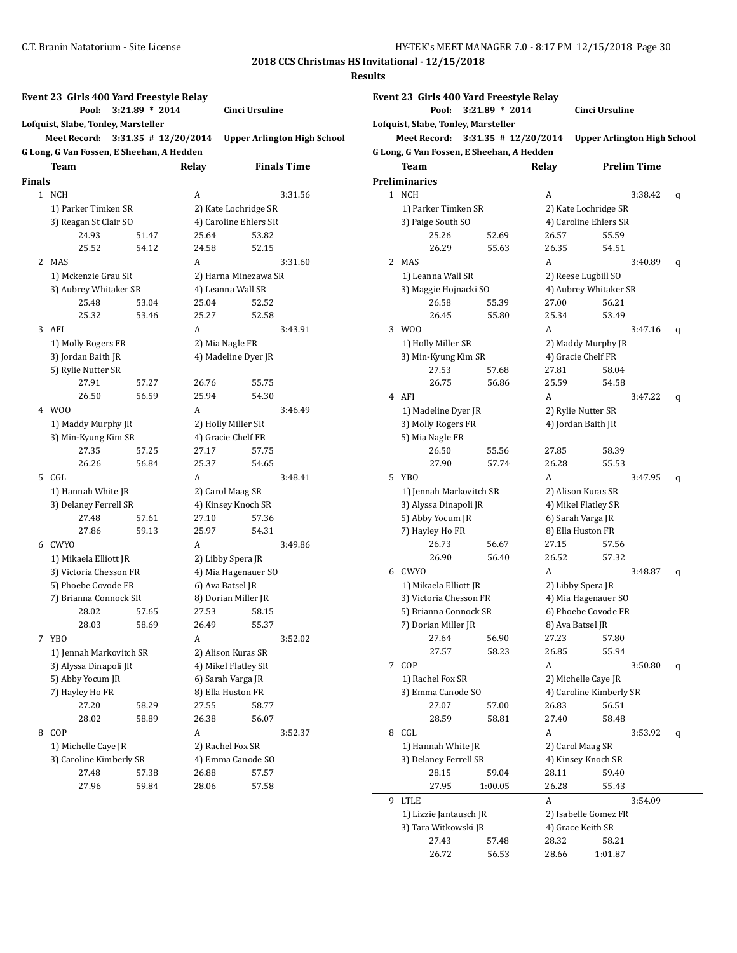#### **Results**

|        | Pool:                                                            | $3:21.89 * 2014$         |       | Cinci Ursuline                     |  |  |
|--------|------------------------------------------------------------------|--------------------------|-------|------------------------------------|--|--|
|        | Lofquist, Slabe, Tonley, Marsteller                              |                          |       |                                    |  |  |
|        | <b>Meet Record:</b><br>G Long, G Van Fossen, E Sheehan, A Hedden | $3:31.35$ # $12/20/2014$ |       | <b>Upper Arlington High School</b> |  |  |
|        | <b>Team</b>                                                      |                          | Relay | <b>Finals Time</b>                 |  |  |
| Finals |                                                                  |                          |       |                                    |  |  |
|        | 1 NCH                                                            |                          | A     | 3:31.56                            |  |  |
|        | 1) Parker Timken SR                                              |                          |       | 2) Kate Lochridge SR               |  |  |
|        | 3) Reagan St Clair SO                                            |                          |       | 4) Caroline Ehlers SR              |  |  |
|        | 24.93                                                            | 51.47                    | 25.64 | 53.82                              |  |  |
|        | 25.52                                                            | 54.12                    | 24.58 | 52.15                              |  |  |
| 2      | MAS                                                              |                          | A     | 3:31.60                            |  |  |
|        | 1) Mckenzie Grau SR                                              |                          |       | 2) Harna Minezawa SR               |  |  |
|        | 3) Aubrey Whitaker SR                                            |                          |       | 4) Leanna Wall SR                  |  |  |
|        | 25.48                                                            | 53.04                    | 25.04 | 52.52                              |  |  |
|        | 25.32                                                            | 53.46                    | 25.27 | 52.58                              |  |  |
| 3      | AFI                                                              |                          | A     | 3:43.91                            |  |  |
|        | 1) Molly Rogers FR                                               |                          |       | 2) Mia Nagle FR                    |  |  |
|        | 3) Jordan Baith JR                                               |                          |       | 4) Madeline Dyer JR                |  |  |
|        | 5) Rylie Nutter SR                                               |                          |       |                                    |  |  |
|        | 27.91                                                            | 57.27                    | 26.76 | 55.75                              |  |  |
|        | 26.50                                                            | 56.59                    | 25.94 | 54.30                              |  |  |
| 4      | W00                                                              |                          | A     | 3:46.49                            |  |  |
|        | 1) Maddy Murphy JR                                               |                          |       | 2) Holly Miller SR                 |  |  |
|        | 3) Min-Kyung Kim SR                                              |                          |       | 4) Gracie Chelf FR                 |  |  |
|        | 27.35                                                            | 57.25                    | 27.17 | 57.75                              |  |  |
|        | 26.26                                                            | 56.84                    | 25.37 | 54.65                              |  |  |
| 5      | CGL                                                              |                          | A     | 3:48.41                            |  |  |
|        | 1) Hannah White JR                                               |                          |       | 2) Carol Maag SR                   |  |  |
|        | 3) Delaney Ferrell SR                                            |                          |       | 4) Kinsey Knoch SR                 |  |  |
|        | 27.48                                                            | 57.61                    | 27.10 | 57.36                              |  |  |
|        | 27.86                                                            | 59.13                    | 25.97 | 54.31                              |  |  |
|        | 6 CWYO                                                           |                          | A     | 3:49.86                            |  |  |
|        | 1) Mikaela Elliott JR                                            |                          |       | 2) Libby Spera JR                  |  |  |
|        | 3) Victoria Chesson FR                                           |                          |       | 4) Mia Hagenauer SO                |  |  |
|        | 5) Phoebe Covode FR                                              |                          |       | 6) Ava Batsel JR                   |  |  |
|        | 7) Brianna Connock SR                                            |                          |       | 8) Dorian Miller JR                |  |  |
|        | 28.02                                                            | 57.65                    | 27.53 | 58.15                              |  |  |
|        | 28.03                                                            | 58.69                    | 26.49 | 55.37                              |  |  |
| 7      | YBO                                                              |                          | A     | 3:52.02                            |  |  |
|        |                                                                  | 1) Jennah Markovitch SR  |       | 2) Alison Kuras SR                 |  |  |
|        | 3) Alyssa Dinapoli JR                                            |                          |       | 4) Mikel Flatley SR                |  |  |
|        | 5) Abby Yocum JR                                                 |                          |       | 6) Sarah Varga JR                  |  |  |
|        | 7) Hayley Ho FR                                                  |                          |       | 8) Ella Huston FR                  |  |  |
|        | 27.20                                                            | 58.29                    | 27.55 | 58.77                              |  |  |
|        | 28.02                                                            | 58.89                    | 26.38 | 56.07                              |  |  |
| 8      | COP                                                              |                          | A     | 3:52.37                            |  |  |
|        | 1) Michelle Caye JR                                              |                          |       | 2) Rachel Fox SR                   |  |  |
|        | 3) Caroline Kimberly SR                                          |                          |       | 4) Emma Canode SO                  |  |  |
|        | 27.48                                                            | 57.38                    | 26.88 | 57.57                              |  |  |
|        | 27.96                                                            | 59.84                    | 28.06 | 57.58                              |  |  |

| Event 23 Girls 400 Yard Freestyle Relay     |                                     |                                           |       |                                    |  |  |  |
|---------------------------------------------|-------------------------------------|-------------------------------------------|-------|------------------------------------|--|--|--|
| Pool:<br>$3:21.89 * 2014$<br>Cinci Ursuline |                                     |                                           |       |                                    |  |  |  |
|                                             | Lofquist, Slabe, Tonley, Marsteller |                                           |       |                                    |  |  |  |
|                                             | <b>Meet Record:</b>                 | $3:31.35$ # $12/20/2014$                  |       | <b>Upper Arlington High School</b> |  |  |  |
|                                             |                                     | G Long, G Van Fossen, E Sheehan, A Hedden |       |                                    |  |  |  |
|                                             | Team                                |                                           | Relay | <b>Prelim Time</b>                 |  |  |  |
|                                             | <b>Preliminaries</b>                |                                           |       |                                    |  |  |  |
|                                             | 1 NCH                               |                                           | A     | 3:38.42<br>q                       |  |  |  |
|                                             | 1) Parker Timken SR                 |                                           |       | 2) Kate Lochridge SR               |  |  |  |
|                                             | 3) Paige South SO                   |                                           |       | 4) Caroline Ehlers SR              |  |  |  |
|                                             | 25.26                               | 52.69                                     | 26.57 | 55.59                              |  |  |  |
|                                             | 26.29                               | 55.63                                     | 26.35 | 54.51                              |  |  |  |
|                                             | 2 MAS                               |                                           | A     | 3:40.89<br>q                       |  |  |  |
|                                             | 1) Leanna Wall SR                   |                                           |       | 2) Reese Lugbill SO                |  |  |  |
|                                             | 3) Maggie Hojnacki SO               |                                           |       | 4) Aubrey Whitaker SR              |  |  |  |
|                                             | 26.58                               | 55.39                                     | 27.00 | 56.21                              |  |  |  |
|                                             | 26.45                               | 55.80                                     | 25.34 | 53.49                              |  |  |  |
|                                             | 3 W <sub>00</sub>                   |                                           | A     | 3:47.16<br>q                       |  |  |  |
|                                             | 1) Holly Miller SR                  |                                           |       | 2) Maddy Murphy JR                 |  |  |  |
|                                             | 3) Min-Kyung Kim SR                 |                                           |       | 4) Gracie Chelf FR                 |  |  |  |
|                                             | 27.53                               | 57.68                                     | 27.81 | 58.04                              |  |  |  |
|                                             | 26.75                               | 56.86                                     | 25.59 | 54.58                              |  |  |  |
|                                             | 4 AFI                               |                                           | A     | 3:47.22<br>q                       |  |  |  |
|                                             | 1) Madeline Dyer JR                 |                                           |       | 2) Rylie Nutter SR                 |  |  |  |
|                                             | 3) Molly Rogers FR                  |                                           |       | 4) Jordan Baith JR                 |  |  |  |
|                                             | 5) Mia Nagle FR                     |                                           |       |                                    |  |  |  |
|                                             | 26.50                               | 55.56                                     | 27.85 | 58.39                              |  |  |  |
|                                             | 27.90                               | 57.74                                     | 26.28 | 55.53                              |  |  |  |
| 5.                                          | <b>YBO</b>                          |                                           | A     | 3:47.95<br>q                       |  |  |  |
|                                             | 1) Jennah Markovitch SR             |                                           |       | 2) Alison Kuras SR                 |  |  |  |
|                                             | 3) Alyssa Dinapoli JR               |                                           |       | 4) Mikel Flatley SR                |  |  |  |
|                                             | 5) Abby Yocum JR                    |                                           |       | 6) Sarah Varga JR                  |  |  |  |
|                                             | 7) Hayley Ho FR                     |                                           |       | 8) Ella Huston FR                  |  |  |  |
|                                             | 26.73                               | 56.67                                     | 27.15 | 57.56                              |  |  |  |
|                                             | 26.90                               | 56.40                                     | 26.52 | 57.32                              |  |  |  |
|                                             | 6 CWYO                              |                                           | A     | 3:48.87<br>q                       |  |  |  |
|                                             | 1) Mikaela Elliott JR               |                                           |       | 2) Libby Spera JR                  |  |  |  |
|                                             | 3) Victoria Chesson FR              |                                           |       | 4) Mia Hagenauer SO                |  |  |  |
|                                             | 5) Brianna Connock SR               |                                           |       | 6) Phoebe Covode FR                |  |  |  |
|                                             | 7) Dorian Miller JR                 |                                           |       | 8) Ava Batsel JR                   |  |  |  |
|                                             | 27.64                               | 56.90                                     | 27.23 | 57.80                              |  |  |  |
|                                             | 27.57                               | 58.23                                     | 26.85 | 55.94                              |  |  |  |
| 7                                           | COP                                 |                                           | A     | 3:50.80<br>q                       |  |  |  |
|                                             | 1) Rachel Fox SR                    |                                           |       | 2) Michelle Caye JR                |  |  |  |
|                                             | 3) Emma Canode SO                   |                                           |       | 4) Caroline Kimberly SR            |  |  |  |
|                                             | 27.07                               | 57.00                                     | 26.83 | 56.51                              |  |  |  |
|                                             | 28.59                               | 58.81                                     | 27.40 | 58.48                              |  |  |  |
|                                             | 8 CGL                               |                                           | A     | 3:53.92<br>q                       |  |  |  |
|                                             | 1) Hannah White JR                  |                                           |       | 2) Carol Maag SR                   |  |  |  |
|                                             | 3) Delaney Ferrell SR               |                                           |       | 4) Kinsey Knoch SR                 |  |  |  |
|                                             | 28.15                               | 59.04                                     | 28.11 | 59.40                              |  |  |  |
|                                             | 27.95                               | 1:00.05                                   | 26.28 | 55.43                              |  |  |  |
| 9                                           | <b>LTLE</b>                         |                                           | A     | 3:54.09                            |  |  |  |
|                                             | 1) Lizzie Jantausch JR              |                                           |       | 2) Isabelle Gomez FR               |  |  |  |
|                                             | 3) Tara Witkowski JR                |                                           |       | 4) Grace Keith SR                  |  |  |  |
|                                             | 27.43                               | 57.48                                     | 28.32 | 58.21                              |  |  |  |
|                                             | 26.72                               | 56.53                                     | 28.66 | 1:01.87                            |  |  |  |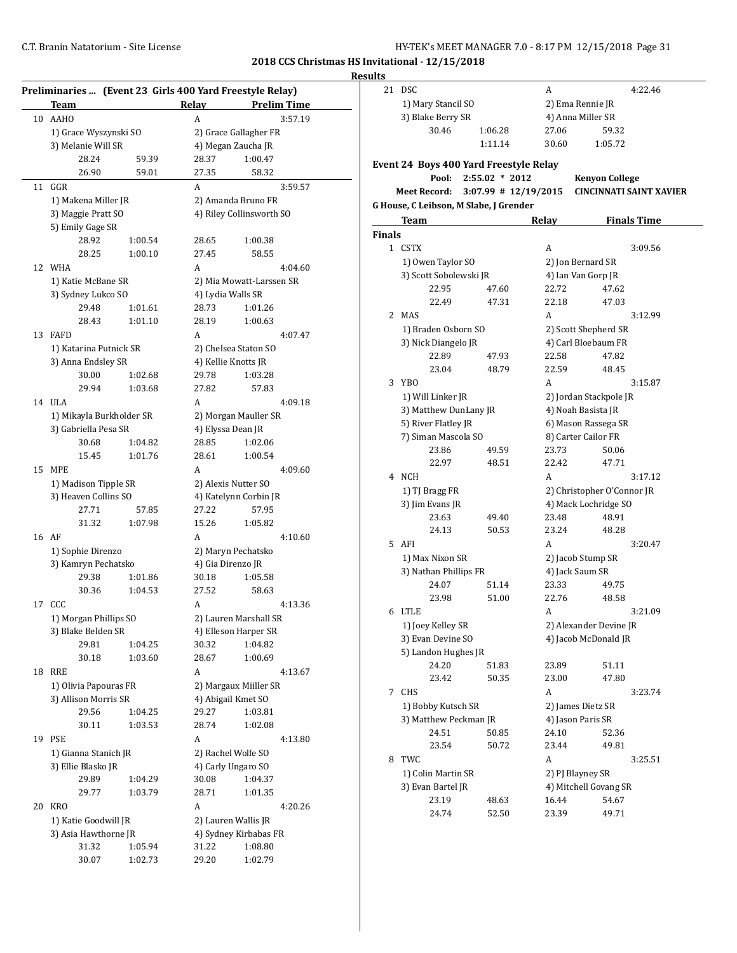| HY-TEK's MEET MANAGER 7.0 - 8:17 PM 12/15/2018 Page 31 |  |  |  |
|--------------------------------------------------------|--|--|--|
|--------------------------------------------------------|--|--|--|

|--|

|    | Team                                             |                    | Relay                                        | Preliminaries  (Event 23 Girls 400 Yard Freestyle Relay)<br><b>Prelim Time</b> |  |  |  |
|----|--------------------------------------------------|--------------------|----------------------------------------------|--------------------------------------------------------------------------------|--|--|--|
| 10 | <b>AAHO</b>                                      |                    | A                                            | 3:57.19                                                                        |  |  |  |
|    | 1) Grace Wyszynski SO                            |                    |                                              | 2) Grace Gallagher FR                                                          |  |  |  |
|    | 3) Melanie Will SR                               |                    |                                              | 4) Megan Zaucha JR                                                             |  |  |  |
|    | 28.24                                            | 59.39              | 28.37                                        | 1:00.47                                                                        |  |  |  |
|    | 26.90                                            | 59.01              | 27.35                                        | 58.32                                                                          |  |  |  |
| 11 | GGR                                              |                    | A                                            | 3:59.57                                                                        |  |  |  |
|    | 1) Makena Miller JR                              |                    |                                              | 2) Amanda Bruno FR                                                             |  |  |  |
|    | 3) Maggie Pratt SO                               |                    | 4) Riley Collinsworth SO                     |                                                                                |  |  |  |
|    | 5) Emily Gage SR                                 |                    |                                              |                                                                                |  |  |  |
|    | 28.92                                            | 1:00.54            | 28.65                                        | 1:00.38                                                                        |  |  |  |
|    | 28.25                                            | 1:00.10            | 27.45                                        | 58.55                                                                          |  |  |  |
| 12 | WHA                                              |                    | A                                            | 4:04.60                                                                        |  |  |  |
|    | 1) Katie McBane SR                               |                    | 2) Mia Mowatt-Larssen SR                     |                                                                                |  |  |  |
|    | 3) Sydney Lukco SO                               |                    | 4) Lydia Walls SR                            |                                                                                |  |  |  |
|    | 29.48                                            | 1:01.61            | 28.73                                        | 1:01.26                                                                        |  |  |  |
|    | 28.43                                            | 1:01.10            | 28.19                                        | 1:00.63                                                                        |  |  |  |
| 13 | <b>FAFD</b>                                      |                    | A                                            | 4:07.47                                                                        |  |  |  |
|    | 1) Katarina Putnick SR                           |                    |                                              | 2) Chelsea Staton SO                                                           |  |  |  |
|    | 3) Anna Endsley SR                               |                    |                                              | 4) Kellie Knotts JR                                                            |  |  |  |
|    | 30.00                                            | 1:02.68            | 29.78                                        | 1:03.28                                                                        |  |  |  |
|    | 29.94                                            | 1:03.68            | 27.82                                        | 57.83                                                                          |  |  |  |
|    | 14 ULA                                           |                    | A                                            | 4:09.18                                                                        |  |  |  |
|    |                                                  |                    |                                              |                                                                                |  |  |  |
|    | 1) Mikayla Burkholder SR<br>3) Gabriella Pesa SR |                    |                                              | 2) Morgan Mauller SR<br>4) Elyssa Dean JR                                      |  |  |  |
|    | 30.68                                            | 1:04.82            | 28.85                                        | 1:02.06                                                                        |  |  |  |
|    | 15.45                                            | 1:01.76            | 28.61                                        | 1:00.54                                                                        |  |  |  |
| 15 | <b>MPE</b>                                       |                    | A                                            | 4:09.60                                                                        |  |  |  |
|    |                                                  |                    |                                              |                                                                                |  |  |  |
|    | 1) Madison Tipple SR<br>3) Heaven Collins SO     |                    | 2) Alexis Nutter SO<br>4) Katelynn Corbin JR |                                                                                |  |  |  |
|    | 27.71                                            | 57.85              | 27.22                                        | 57.95                                                                          |  |  |  |
|    | 31.32                                            | 1:07.98            | 15.26                                        | 1:05.82                                                                        |  |  |  |
| 16 | AF                                               |                    | A                                            | 4:10.60                                                                        |  |  |  |
|    |                                                  |                    |                                              |                                                                                |  |  |  |
|    | 1) Sophie Direnzo                                |                    | 2) Maryn Pechatsko<br>4) Gia Direnzo JR      |                                                                                |  |  |  |
|    | 3) Kamryn Pechatsko                              | 1:01.86            |                                              |                                                                                |  |  |  |
|    | 29.38<br>30.36                                   |                    | 30.18                                        | 1:05.58                                                                        |  |  |  |
|    |                                                  | 1:04.53            | 27.52                                        | 58.63                                                                          |  |  |  |
|    | 17 CCC                                           |                    | A                                            | 4:13.36                                                                        |  |  |  |
|    | 1) Morgan Phillips SO                            |                    |                                              | 2) Lauren Marshall SR<br>4) Elleson Harper SR                                  |  |  |  |
|    | 3) Blake Belden SR                               |                    |                                              |                                                                                |  |  |  |
|    | 29.81                                            | 1:04.25<br>1:03.60 | 30.32                                        | 1:04.82                                                                        |  |  |  |
|    | 30.18                                            |                    | 28.67                                        | 1:00.69                                                                        |  |  |  |
| 18 | <b>RRE</b>                                       |                    | А                                            | 4:13.67                                                                        |  |  |  |
|    | 1) Olivia Papouras FR                            |                    |                                              | 2) Margaux Miiller SR                                                          |  |  |  |
|    | 3) Allison Morris SR                             |                    |                                              | 4) Abigail Kmet SO                                                             |  |  |  |
|    | 29.56                                            | 1:04.25            | 29.27                                        | 1:03.81                                                                        |  |  |  |
|    | 30.11                                            | 1:03.53            | 28.74                                        | 1:02.08                                                                        |  |  |  |
| 19 | <b>PSE</b>                                       |                    | A                                            | 4:13.80                                                                        |  |  |  |
|    | 1) Gianna Stanich JR                             |                    |                                              | 2) Rachel Wolfe SO                                                             |  |  |  |
|    | 3) Ellie Blasko JR                               |                    |                                              | 4) Carly Ungaro SO                                                             |  |  |  |
|    | 29.89                                            | 1:04.29            | 30.08                                        | 1:04.37                                                                        |  |  |  |
|    | 29.77                                            | 1:03.79            | 28.71                                        | 1:01.35                                                                        |  |  |  |
| 20 | <b>KRO</b>                                       |                    | A                                            | 4:20.26                                                                        |  |  |  |
|    | 1) Katie Goodwill JR                             |                    |                                              | 2) Lauren Wallis JR                                                            |  |  |  |
|    | 3) Asia Hawthorne JR                             |                    |                                              | 4) Sydney Kirbabas FR                                                          |  |  |  |
|    | 31.32                                            | 1:05.94            | 31.22                                        | 1:08.80                                                                        |  |  |  |
|    | 30.07                                            | 1:02.73            | 29.20                                        | 1:02.79                                                                        |  |  |  |

| սււչ          |                                        |                        |                    |                                |
|---------------|----------------------------------------|------------------------|--------------------|--------------------------------|
| 21            | <b>DSC</b>                             |                        | A                  | 4:22.46                        |
|               | 1) Mary Stancil SO                     |                        | 2) Ema Rennie JR   |                                |
|               | 3) Blake Berry SR                      |                        | 4) Anna Miller SR  |                                |
|               | 30.46                                  | 1:06.28                | 27.06              | 59.32                          |
|               |                                        |                        |                    |                                |
|               |                                        | 1:11.14                | 30.60              | 1:05.72                        |
|               | Event 24 Boys 400 Yard Freestyle Relay |                        |                    |                                |
|               | Pool:                                  | $2:55.02 * 2012$       |                    | <b>Kenyon College</b>          |
|               | Meet Record:                           | $3:07.99$ # 12/19/2015 |                    | <b>CINCINNATI SAINT XAVIER</b> |
|               |                                        |                        |                    |                                |
|               | G House, C Leibson, M Slabe, J Grender |                        |                    |                                |
|               | Team                                   |                        | Relay              | <b>Finals Time</b>             |
| <b>Finals</b> |                                        |                        |                    |                                |
|               | 1 CSTX                                 |                        | A                  | 3:09.56                        |
|               | 1) Owen Taylor SO                      |                        | 2) Jon Bernard SR  |                                |
|               | 3) Scott Sobolewski JR                 |                        | 4) Ian Van Gorp JR |                                |
|               | 22.95                                  | 47.60                  | 22.72              | 47.62                          |
|               | 22.49                                  | 47.31                  | 22.18              | 47.03                          |
|               | 2 MAS                                  |                        | A                  | 3:12.99                        |
|               | 1) Braden Osborn SO                    |                        |                    | 2) Scott Shepherd SR           |
|               | 3) Nick Diangelo JR                    |                        |                    | 4) Carl Bloebaum FR            |
|               | 22.89                                  | 47.93                  | 22.58              | 47.82                          |
|               | 23.04                                  | 48.79                  | 22.59              | 48.45                          |
| 3             | YBO                                    |                        | A                  | 3:15.87                        |
|               |                                        |                        |                    |                                |
|               | 1) Will Linker JR                      |                        |                    | 2) Jordan Stackpole JR         |
|               | 3) Matthew DunLany JR                  |                        | 4) Noah Basista JR |                                |
|               | 5) River Flatley JR                    |                        |                    | 6) Mason Rassega SR            |
|               | 7) Siman Mascola SO                    |                        |                    | 8) Carter Cailor FR            |
|               | 23.86                                  | 49.59                  | 23.73              | 50.06                          |
|               | 22.97                                  | 48.51                  | 22.42              | 47.71                          |
|               | 4 NCH                                  |                        | A                  | 3:17.12                        |
|               | 1) TJ Bragg FR                         |                        |                    | 2) Christopher O'Connor JR     |
|               | 3) Jim Evans JR                        |                        |                    | 4) Mack Lochridge SO           |
|               | 23.63                                  | 49.40                  | 23.48              | 48.91                          |
|               | 24.13                                  | 50.53                  | 23.24              | 48.28                          |
| 5             | AFI                                    |                        | A                  | 3:20.47                        |
|               | 1) Max Nixon SR                        |                        | 2) Jacob Stump SR  |                                |
|               | 3) Nathan Phillips FR                  |                        | 4) Jack Saum SR    |                                |
|               | 24.07                                  | 51.14                  | 23.33              | 49.75                          |
|               | 23.98                                  | 51.00                  | 22.76              | 48.58                          |
| 6             | LTLE                                   |                        | A                  | 3:21.09                        |
|               | 1) Joey Kelley SR                      |                        |                    | 2) Alexander Devine JR         |
|               | 3) Evan Devine SO                      |                        |                    | 4) Jacob McDonald JR           |
|               | 5) Landon Hughes JR                    |                        |                    |                                |
|               | 24.20                                  | 51.83                  | 23.89              | 51.11                          |
|               |                                        |                        |                    |                                |
|               | 23.42                                  | 50.35                  | 23.00              | 47.80                          |
|               | 7 CHS                                  |                        | A                  | 3:23.74                        |
|               | 1) Bobby Kutsch SR                     |                        | 2) James Dietz SR  |                                |
|               | 3) Matthew Peckman JR                  |                        | 4) Jason Paris SR  |                                |
|               | 24.51                                  | 50.85                  | 24.10              | 52.36                          |
|               | 23.54                                  | 50.72                  | 23.44              | 49.81                          |
|               | 8 TWC                                  |                        | A                  | 3:25.51                        |
|               | 1) Colin Martin SR                     |                        | 2) PJ Blayney SR   |                                |
|               | 3) Evan Bartel JR                      |                        |                    | 4) Mitchell Govang SR          |
|               | 23.19                                  | 48.63                  | 16.44              | 54.67                          |
|               | 24.74                                  | 52.50                  | 23.39              | 49.71                          |
|               |                                        |                        |                    |                                |
|               |                                        |                        |                    |                                |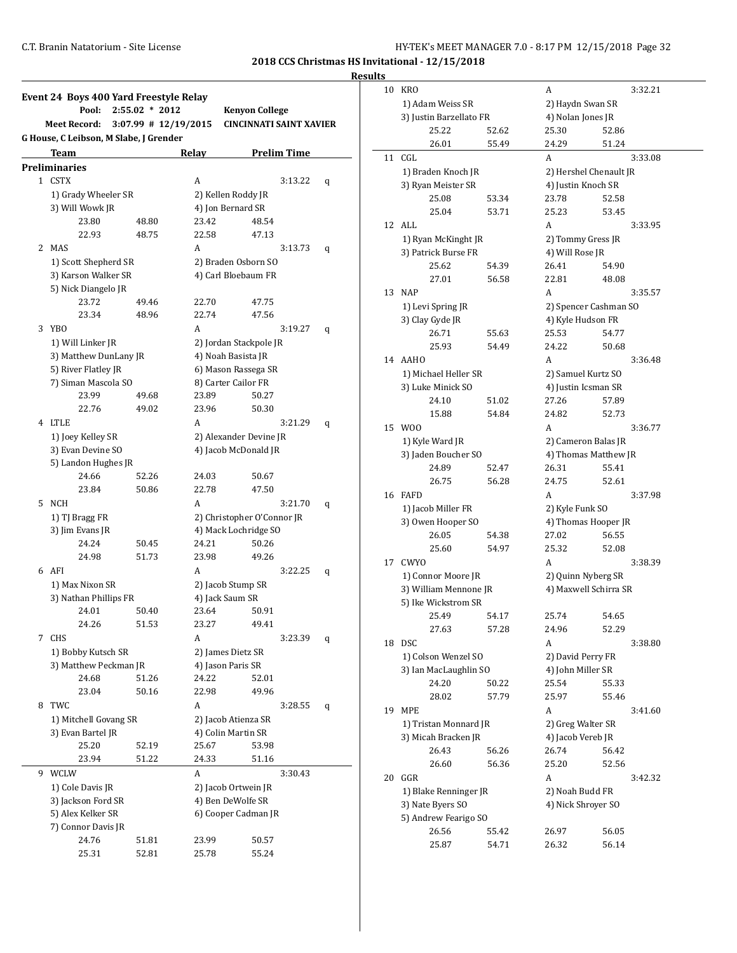**Results**

|              | Event 24 Boys 400 Yard Freestyle Relay |                  |                        |                                |              |  |
|--------------|----------------------------------------|------------------|------------------------|--------------------------------|--------------|--|
|              | Pool:                                  | $2:55.02 * 2012$ |                        | <b>Kenyon College</b>          |              |  |
|              | <b>Meet Record:</b>                    |                  | $3:07.99$ # 12/19/2015 | <b>CINCINNATI SAINT XAVIER</b> |              |  |
|              | G House, C Leibson, M Slabe, J Grender |                  |                        |                                |              |  |
|              | Team                                   |                  | Relay                  | <b>Prelim Time</b>             |              |  |
|              | <b>Preliminaries</b>                   |                  |                        |                                |              |  |
| $\mathbf{1}$ | CSTX                                   |                  | A                      |                                | 3:13.22<br>q |  |
|              | 1) Grady Wheeler SR                    |                  |                        | 2) Kellen Roddy JR             |              |  |
|              | 3) Will Wowk JR                        |                  |                        | 4) Jon Bernard SR              |              |  |
|              | 23.80                                  | 48.80            | 23.42                  | 48.54                          |              |  |
|              | 22.93                                  | 48.75            | 22.58                  | 47.13                          |              |  |
| 2            | MAS                                    |                  | A                      |                                | 3:13.73<br>q |  |
|              | 1) Scott Shepherd SR                   |                  |                        | 2) Braden Osborn SO            |              |  |
|              | 3) Karson Walker SR                    |                  |                        | 4) Carl Bloebaum FR            |              |  |
|              | 5) Nick Diangelo JR<br>23.72           | 49.46            | 22.70                  | 47.75                          |              |  |
|              | 23.34                                  | 48.96            | 22.74                  | 47.56                          |              |  |
| 3            | YBO                                    |                  | A                      |                                | 3:19.27<br>q |  |
|              | 1) Will Linker JR                      |                  |                        | 2) Jordan Stackpole JR         |              |  |
|              | 3) Matthew DunLany JR                  |                  |                        | 4) Noah Basista JR             |              |  |
|              | 5) River Flatley JR                    |                  |                        | 6) Mason Rassega SR            |              |  |
|              | 7) Siman Mascola SO                    |                  |                        | 8) Carter Cailor FR            |              |  |
|              | 23.99                                  | 49.68            | 23.89                  | 50.27                          |              |  |
|              | 22.76                                  | 49.02            | 23.96                  | 50.30                          |              |  |
| 4            | LTLE                                   |                  | A                      |                                | 3:21.29<br>q |  |
|              | 1) Joey Kelley SR                      |                  |                        | 2) Alexander Devine JR         |              |  |
|              | 3) Evan Devine SO                      |                  |                        | 4) Jacob McDonald JR           |              |  |
|              | 5) Landon Hughes JR                    |                  |                        |                                |              |  |
|              | 24.66                                  | 52.26            | 24.03                  | 50.67                          |              |  |
|              | 23.84                                  | 50.86            | 22.78                  | 47.50                          |              |  |
| 5.           | NCH                                    |                  | А                      |                                | 3:21.70<br>q |  |
|              | 1) TJ Bragg FR                         |                  |                        | 2) Christopher O'Connor JR     |              |  |
|              | 3) Jim Evans JR                        |                  |                        | 4) Mack Lochridge SO           |              |  |
|              | 24.24                                  | 50.45            | 24.21                  | 50.26                          |              |  |
|              | 24.98                                  | 51.73            | 23.98                  | 49.26                          |              |  |
| 6            | AFI                                    |                  | A                      |                                | 3:22.25<br>q |  |
|              | 1) Max Nixon SR                        |                  |                        | 2) Jacob Stump SR              |              |  |
|              | 3) Nathan Phillips FR                  |                  |                        | 4) Jack Saum SR                |              |  |
|              | 24.01<br>24.26                         | 50.40<br>51.53   | 23.64<br>23.27         | 50.91<br>49.41                 |              |  |
| 7            | <b>CHS</b>                             |                  | A                      |                                | 3:23.39      |  |
|              | 1) Bobby Kutsch SR                     |                  |                        | 2) James Dietz SR              | q            |  |
|              | 3) Matthew Peckman JR                  |                  |                        | 4) Jason Paris SR              |              |  |
|              | 24.68                                  | 51.26            | 24.22                  | 52.01                          |              |  |
|              | 23.04                                  | 50.16            | 22.98                  | 49.96                          |              |  |
| 8            | TWC                                    |                  | A                      |                                | 3:28.55<br>q |  |
|              | 1) Mitchell Govang SR                  |                  |                        | 2) Jacob Atienza SR            |              |  |
|              | 3) Evan Bartel JR                      |                  |                        | 4) Colin Martin SR             |              |  |
|              | 25.20                                  | 52.19            | 25.67                  | 53.98                          |              |  |
|              | 23.94                                  | 51.22            | 24.33                  | 51.16                          |              |  |
| 9            | WCLW                                   |                  | A                      |                                | 3:30.43      |  |
|              | 1) Cole Davis JR                       |                  |                        | 2) Jacob Ortwein JR            |              |  |
|              | 3) Jackson Ford SR                     |                  |                        | 4) Ben DeWolfe SR              |              |  |
|              | 5) Alex Kelker SR                      |                  |                        | 6) Cooper Cadman JR            |              |  |
|              | 7) Connor Davis JR                     |                  |                        |                                |              |  |
|              | 24.76                                  | 51.81            | 23.99                  | 50.57                          |              |  |
|              | 25.31                                  | 52.81            | 25.78                  | 55.24                          |              |  |

| 10 | <b>KRO</b>                                  |                    | A                      |       | 3:32.21 |  |
|----|---------------------------------------------|--------------------|------------------------|-------|---------|--|
|    | 1) Adam Weiss SR<br>3) Justin Barzellato FR |                    | 2) Haydn Swan SR       |       |         |  |
|    |                                             |                    | 4) Nolan Jones JR      |       |         |  |
|    | 25.22                                       | 52.62              | 25.30                  | 52.86 |         |  |
|    | 26.01                                       | 55.49              | 24.29                  | 51.24 |         |  |
| 11 | CGL                                         |                    | A                      |       | 3:33.08 |  |
|    | 1) Braden Knoch JR                          |                    | 2) Hershel Chenault JR |       |         |  |
|    | 3) Ryan Meister SR                          |                    | 4) Justin Knoch SR     |       |         |  |
|    | 25.08                                       | 53.34              | 23.78                  | 52.58 |         |  |
|    | 25.04                                       | 53.71              | 25.23                  | 53.45 |         |  |
| 12 | <b>ALL</b>                                  |                    | A                      |       | 3:33.95 |  |
|    | 1) Ryan McKinght JR                         |                    | 2) Tommy Gress JR      |       |         |  |
|    | 3) Patrick Burse FR                         |                    | 4) Will Rose JR        |       |         |  |
|    | 25.62                                       | 54.39              | 26.41                  | 54.90 |         |  |
|    | 27.01                                       | 56.58              | 22.81                  | 48.08 |         |  |
| 13 | <b>NAP</b>                                  |                    | A                      |       | 3.35.57 |  |
|    | 1) Levi Spring JR                           |                    | 2) Spencer Cashman SO  |       |         |  |
|    | 3) Clay Gyde JR                             |                    | 4) Kyle Hudson FR      |       |         |  |
|    | 26.71                                       | 55.63              | 25.53                  | 54.77 |         |  |
|    | 25.93                                       | 54.49              | 24.22                  | 50.68 |         |  |
| 14 | AAHO                                        |                    | A                      |       | 3:36.48 |  |
|    | 1) Michael Heller SR                        |                    | 2) Samuel Kurtz SO     |       |         |  |
|    | 3) Luke Minick SO                           |                    | 4) Justin Icsman SR    |       |         |  |
|    | 24.10                                       | 51.02              | 27.26                  | 57.89 |         |  |
|    | 15.88                                       | 54.84              | 24.82                  | 52.73 |         |  |
| 15 | W <sub>00</sub>                             |                    | A                      |       | 3:36.77 |  |
|    | 1) Kyle Ward JR                             |                    | 2) Cameron Balas JR    |       |         |  |
|    | 3) Jaden Boucher SO                         |                    | 4) Thomas Matthew JR   |       |         |  |
|    | 24.89                                       | 52.47              | 26.31                  | 55.41 |         |  |
|    | 26.75                                       | 56.28              | 24.75                  | 52.61 |         |  |
| 16 | <b>FAFD</b>                                 |                    | A                      |       | 3:37.98 |  |
|    | 1) Jacob Miller FR                          | 2) Kyle Funk SO    |                        |       |         |  |
|    | 3) Owen Hooper SO                           |                    | 4) Thomas Hooper JR    |       |         |  |
|    | 26.05                                       | 54.38              | 27.02                  | 56.55 |         |  |
|    | 25.60                                       | 54.97              | 25.32                  | 52.08 |         |  |
| 17 | CWYO                                        |                    | A                      |       | 3:38.39 |  |
|    | 1) Connor Moore JR                          | 2) Quinn Nyberg SR |                        |       |         |  |
|    | 3) William Mennone JR                       |                    | 4) Maxwell Schirra SR  |       |         |  |
|    | 5) Ike Wickstrom SR                         |                    |                        |       |         |  |
|    | 25.49                                       | 54.17              | 25.74                  | 54.65 |         |  |
|    | 27.63                                       | 57.28              | 24.96                  | 52.29 |         |  |
| 18 | <b>DSC</b>                                  |                    | A                      |       | 3:38.80 |  |
|    | 1) Colson Wenzel SO                         |                    | 2) David Perry FR      |       |         |  |
|    | 3) Ian MacLaughlin SO                       | 4) John Miller SR  |                        |       |         |  |
|    | 24.20                                       | 50.22              | 25.54                  | 55.33 |         |  |
|    | 28.02                                       | 57.79              | 25.97                  | 55.46 |         |  |
| 19 | MPE                                         |                    | A                      |       | 3:41.60 |  |
|    | 1) Tristan Monnard JR                       |                    | 2) Greg Walter SR      |       |         |  |
|    | 3) Micah Bracken JR                         |                    | 4) Jacob Vereb JR      |       |         |  |
|    | 26.43                                       | 56.26              | 26.74                  | 56.42 |         |  |
|    | 26.60                                       | 56.36              | 25.20                  | 52.56 |         |  |
| 20 | GGR                                         |                    | A                      |       | 3:42.32 |  |
|    | 1) Blake Renninger JR                       |                    | 2) Noah Budd FR        |       |         |  |
|    | 3) Nate Byers SO                            |                    | 4) Nick Shroyer SO     |       |         |  |
|    | 5) Andrew Fearigo SO                        |                    |                        |       |         |  |
|    | 26.56                                       | 55.42              | 26.97                  | 56.05 |         |  |
|    | 25.87                                       | 54.71              | 26.32                  | 56.14 |         |  |
|    |                                             |                    |                        |       |         |  |